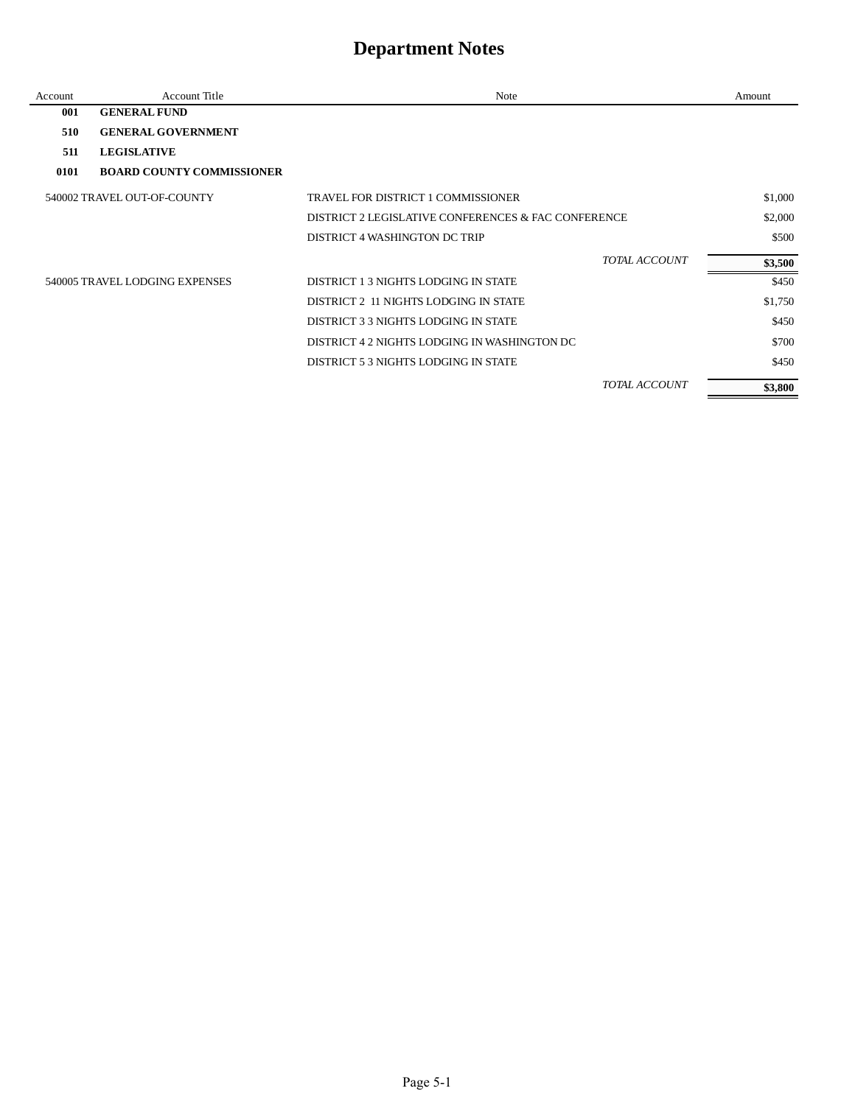| Account | Account Title                    | Note                                                |                      | Amount  |
|---------|----------------------------------|-----------------------------------------------------|----------------------|---------|
| 001     | <b>GENERAL FUND</b>              |                                                     |                      |         |
| 510     | <b>GENERAL GOVERNMENT</b>        |                                                     |                      |         |
| 511     | <b>LEGISLATIVE</b>               |                                                     |                      |         |
| 0101    | <b>BOARD COUNTY COMMISSIONER</b> |                                                     |                      |         |
|         | 540002 TRAVEL OUT-OF-COUNTY      | TRAVEL FOR DISTRICT 1 COMMISSIONER                  |                      | \$1,000 |
|         |                                  | DISTRICT 2 LEGISLATIVE CONFERENCES & FAC CONFERENCE |                      | \$2,000 |
|         |                                  | DISTRICT 4 WASHINGTON DC TRIP                       |                      | \$500   |
|         |                                  |                                                     | <b>TOTAL ACCOUNT</b> | \$3,500 |
|         | 540005 TRAVEL LODGING EXPENSES   | DISTRICT 1.3 NIGHTS LODGING IN STATE                |                      | \$450   |
|         |                                  | DISTRICT 2 11 NIGHTS LODGING IN STATE               |                      | \$1,750 |
|         |                                  | DISTRICT 3 3 NIGHTS LODGING IN STATE                |                      | \$450   |
|         |                                  | DISTRICT 4 2 NIGHTS LODGING IN WASHINGTON DC        |                      | \$700   |
|         |                                  | DISTRICT 5.3 NIGHTS LODGING IN STATE                |                      | \$450   |
|         |                                  |                                                     | TOTAL ACCOUNT        | \$3,800 |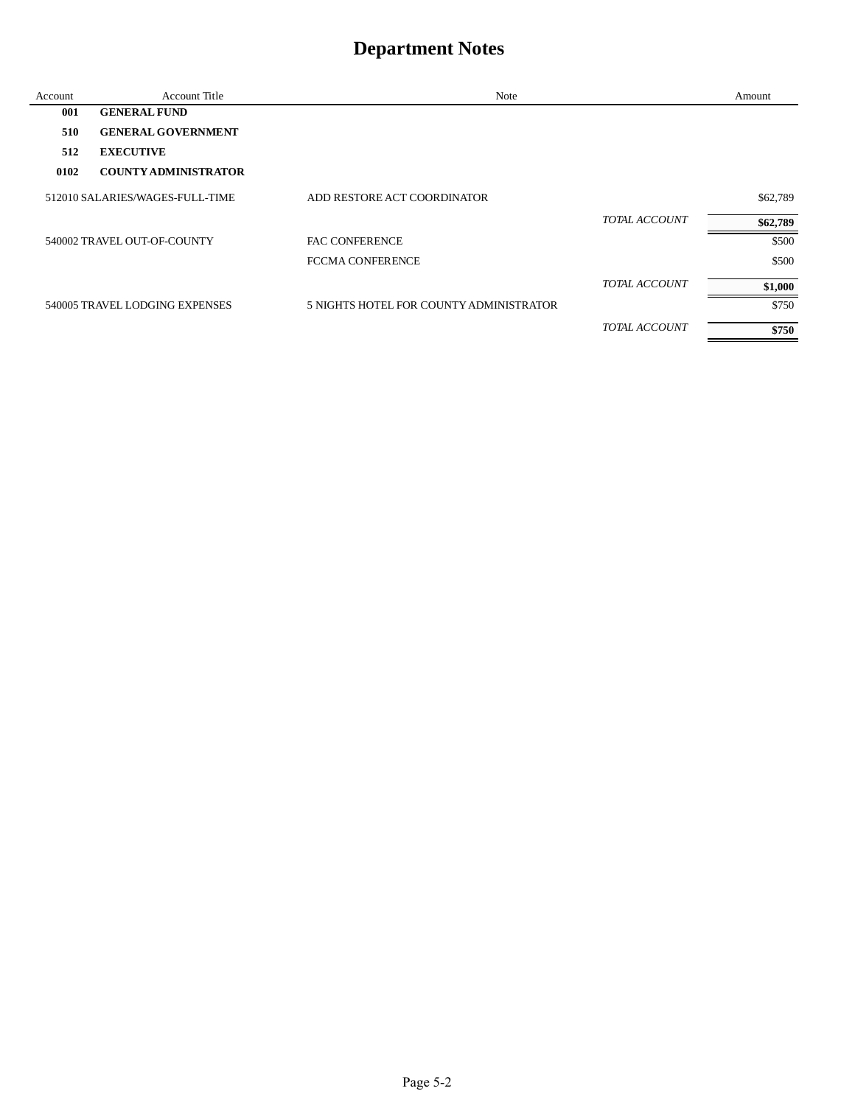| Account | <b>Account Title</b>            | Note                                    |                      | Amount   |
|---------|---------------------------------|-----------------------------------------|----------------------|----------|
| 001     | <b>GENERAL FUND</b>             |                                         |                      |          |
| 510     | <b>GENERAL GOVERNMENT</b>       |                                         |                      |          |
| 512     | <b>EXECUTIVE</b>                |                                         |                      |          |
| 0102    | <b>COUNTY ADMINISTRATOR</b>     |                                         |                      |          |
|         | 512010 SALARIES/WAGES-FULL-TIME | ADD RESTORE ACT COORDINATOR             |                      | \$62,789 |
|         |                                 |                                         | <b>TOTAL ACCOUNT</b> | \$62,789 |
|         | 540002 TRAVEL OUT-OF-COUNTY     | <b>FAC CONFERENCE</b>                   |                      | \$500    |
|         |                                 | <b>FCCMA CONFERENCE</b>                 |                      | \$500    |
|         |                                 |                                         | TOTAL ACCOUNT        | \$1,000  |
|         | 540005 TRAVEL LODGING EXPENSES  | 5 NIGHTS HOTEL FOR COUNTY ADMINISTRATOR |                      | \$750    |
|         |                                 |                                         | <b>TOTAL ACCOUNT</b> | \$750    |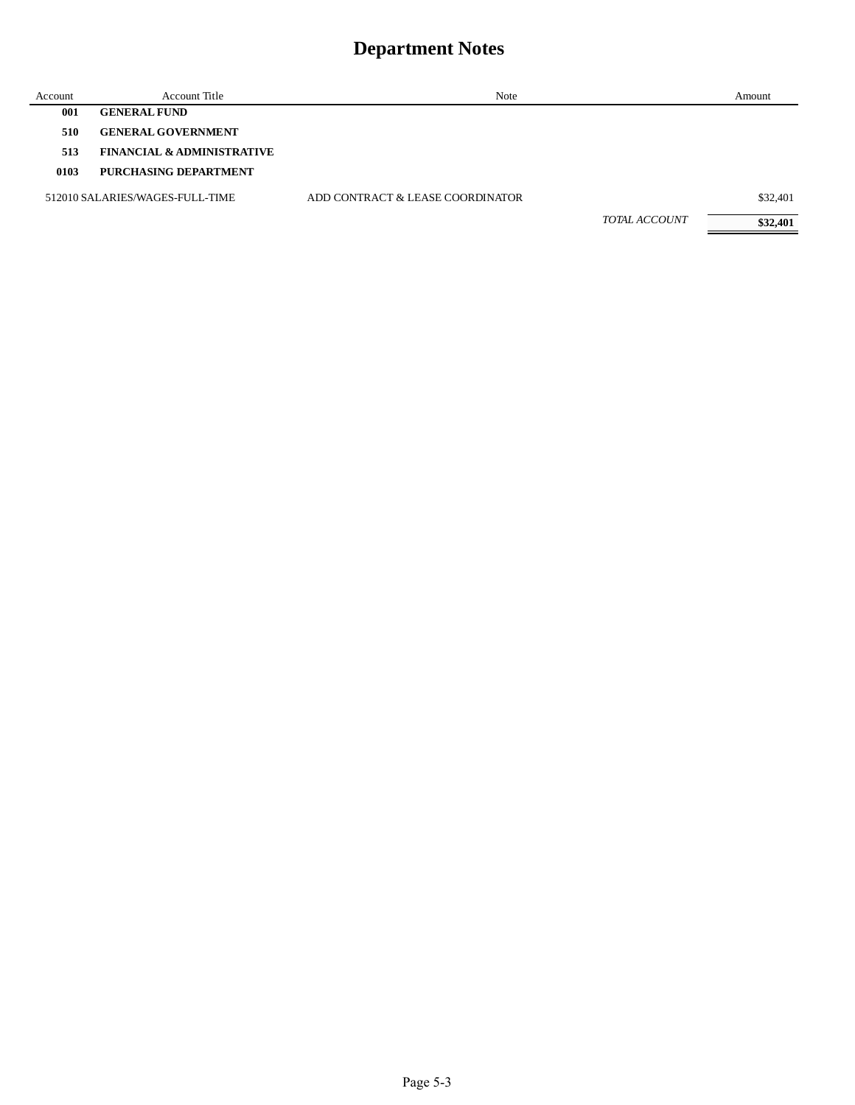| Account | Account Title                         | Note                             |                      | Amount   |
|---------|---------------------------------------|----------------------------------|----------------------|----------|
| 001     | <b>GENERAL FUND</b>                   |                                  |                      |          |
| 510     | <b>GENERAL GOVERNMENT</b>             |                                  |                      |          |
| 513     | <b>FINANCIAL &amp; ADMINISTRATIVE</b> |                                  |                      |          |
| 0103    | PURCHASING DEPARTMENT                 |                                  |                      |          |
|         | 512010 SALARIES/WAGES-FULL-TIME       | ADD CONTRACT & LEASE COORDINATOR |                      | \$32,401 |
|         |                                       |                                  | <b>TOTAL ACCOUNT</b> | \$32,401 |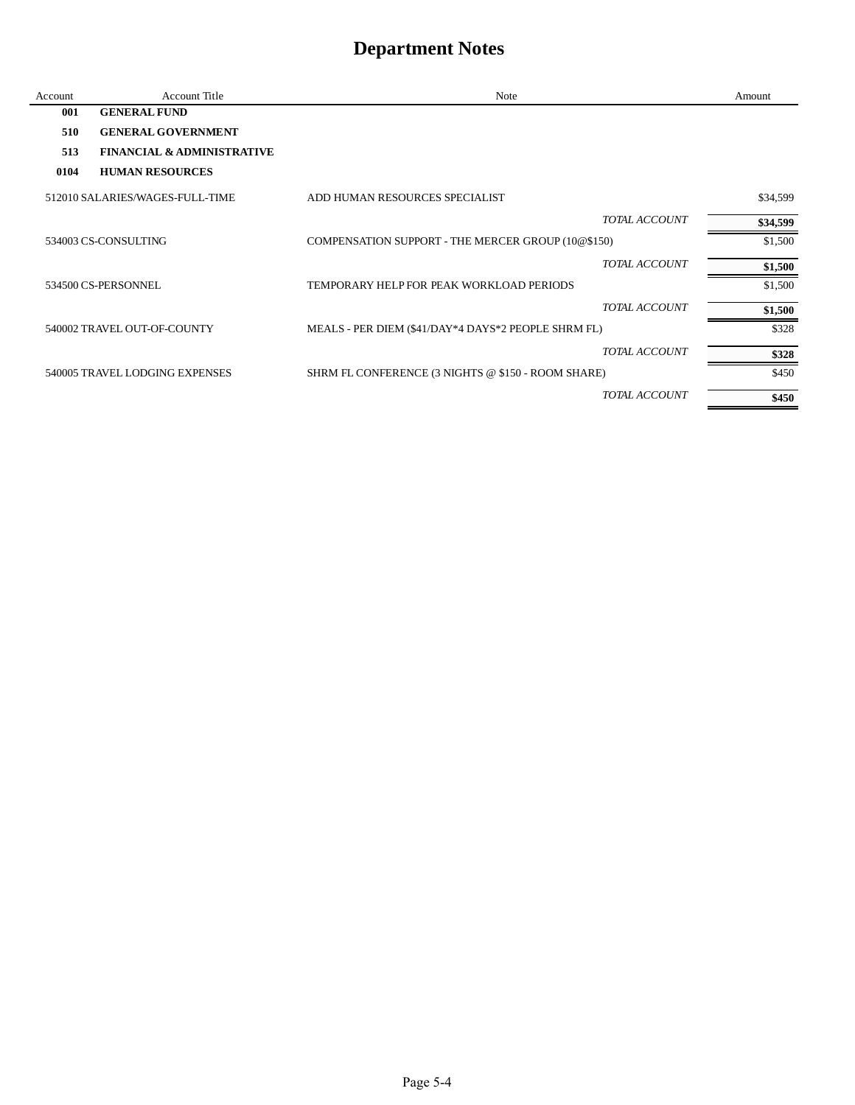| Account | <b>Account Title</b>                  | Note                                                | Amount   |
|---------|---------------------------------------|-----------------------------------------------------|----------|
| 001     | <b>GENERAL FUND</b>                   |                                                     |          |
| 510     | <b>GENERAL GOVERNMENT</b>             |                                                     |          |
| 513     | <b>FINANCIAL &amp; ADMINISTRATIVE</b> |                                                     |          |
| 0104    | <b>HUMAN RESOURCES</b>                |                                                     |          |
|         | 512010 SALARIES/WAGES-FULL-TIME       | ADD HUMAN RESOURCES SPECIALIST                      | \$34,599 |
|         |                                       | <b>TOTAL ACCOUNT</b>                                | \$34,599 |
|         | 534003 CS-CONSULTING                  | COMPENSATION SUPPORT - THE MERCER GROUP (10@\$150)  | \$1,500  |
|         |                                       | <b>TOTAL ACCOUNT</b>                                | \$1,500  |
|         | 534500 CS-PERSONNEL                   | TEMPORARY HELP FOR PEAK WORKLOAD PERIODS            | \$1,500  |
|         |                                       | <b>TOTAL ACCOUNT</b>                                | \$1,500  |
|         | 540002 TRAVEL OUT-OF-COUNTY           | MEALS - PER DIEM (\$41/DAY*4 DAYS*2 PEOPLE SHRM FL) | \$328    |
|         |                                       | TOTAL ACCOUNT                                       | \$328    |
|         | 540005 TRAVEL LODGING EXPENSES        | SHRM FL CONFERENCE (3 NIGHTS @ \$150 - ROOM SHARE)  | \$450    |
|         |                                       | TOTAL ACCOUNT                                       | \$450    |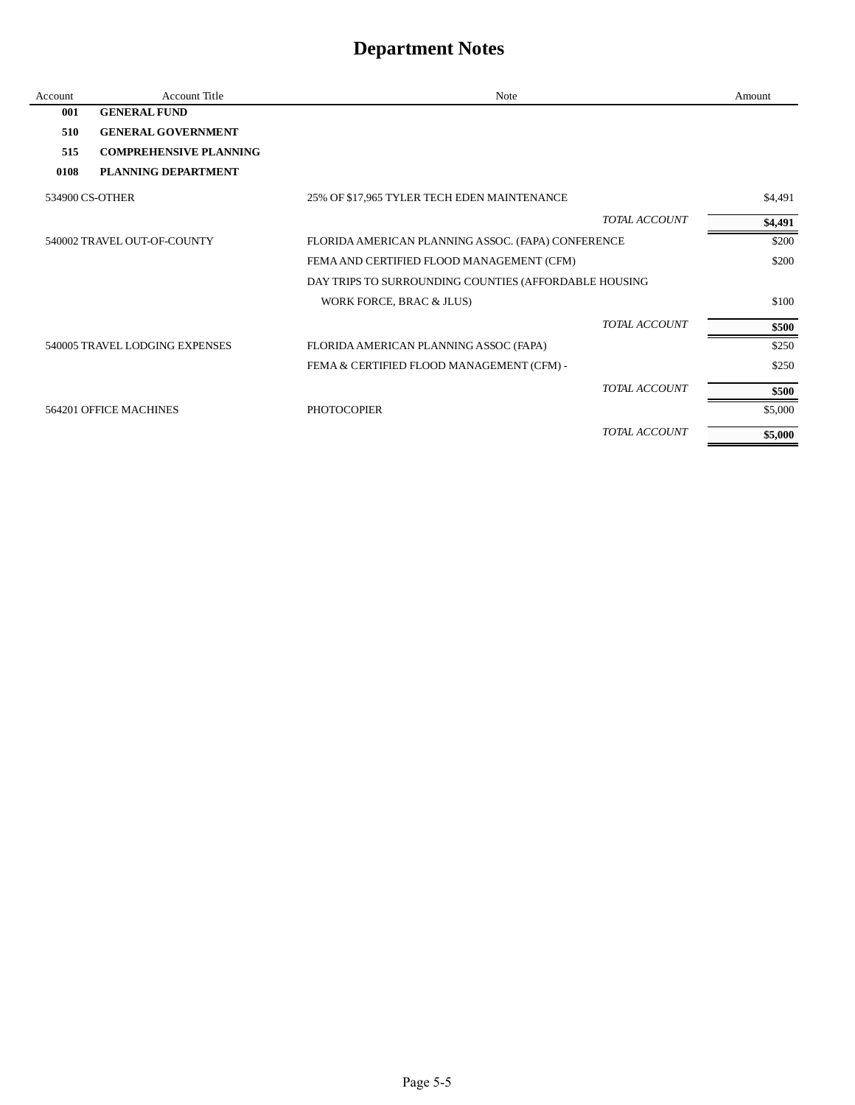| Account | <b>Account Title</b>           | Note                                                  | Amount  |
|---------|--------------------------------|-------------------------------------------------------|---------|
| 001     | <b>GENERAL FUND</b>            |                                                       |         |
| 510     | <b>GENERAL GOVERNMENT</b>      |                                                       |         |
| 515     | <b>COMPREHENSIVE PLANNING</b>  |                                                       |         |
| 0108    | PLANNING DEPARTMENT            |                                                       |         |
|         | 534900 CS-OTHER                | 25% OF \$17,965 TYLER TECH EDEN MAINTENANCE           | \$4,491 |
|         |                                | <b>TOTAL ACCOUNT</b>                                  | \$4,491 |
|         | 540002 TRAVEL OUT-OF-COUNTY    | FLORIDA AMERICAN PLANNING ASSOC. (FAPA) CONFERENCE    | \$200   |
|         |                                | FEMA AND CERTIFIED FLOOD MANAGEMENT (CFM)             | \$200   |
|         |                                | DAY TRIPS TO SURROUNDING COUNTIES (AFFORDABLE HOUSING |         |
|         |                                | WORK FORCE, BRAC & JLUS)                              | \$100   |
|         |                                | <b>TOTAL ACCOUNT</b>                                  | \$500   |
|         | 540005 TRAVEL LODGING EXPENSES | FLORIDA AMERICAN PLANNING ASSOC (FAPA)                | \$250   |
|         |                                | FEMA & CERTIFIED FLOOD MANAGEMENT (CFM) -             | \$250   |
|         |                                | <b>TOTAL ACCOUNT</b>                                  | \$500   |
|         | 564201 OFFICE MACHINES         | <b>PHOTOCOPIER</b>                                    | \$5,000 |
|         |                                | <b>TOTAL ACCOUNT</b>                                  | \$5,000 |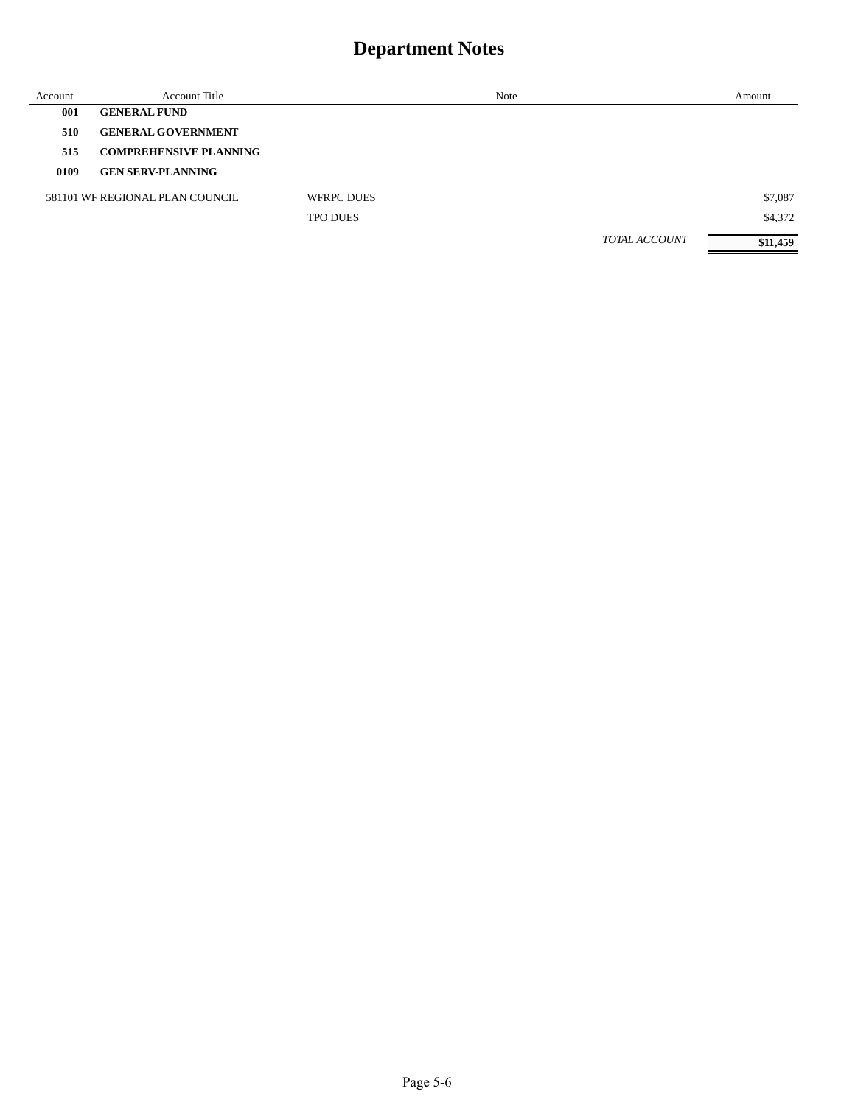| Account | <b>Account Title</b>            |                   | Note |                      | Amount   |
|---------|---------------------------------|-------------------|------|----------------------|----------|
| 001     | <b>GENERAL FUND</b>             |                   |      |                      |          |
| 510     | <b>GENERAL GOVERNMENT</b>       |                   |      |                      |          |
| 515     | <b>COMPREHENSIVE PLANNING</b>   |                   |      |                      |          |
| 0109    | <b>GEN SERV-PLANNING</b>        |                   |      |                      |          |
|         | 581101 WF REGIONAL PLAN COUNCIL | <b>WFRPC DUES</b> |      |                      | \$7,087  |
|         |                                 | <b>TPO DUES</b>   |      |                      | \$4,372  |
|         |                                 |                   |      | <b>TOTAL ACCOUNT</b> | \$11,459 |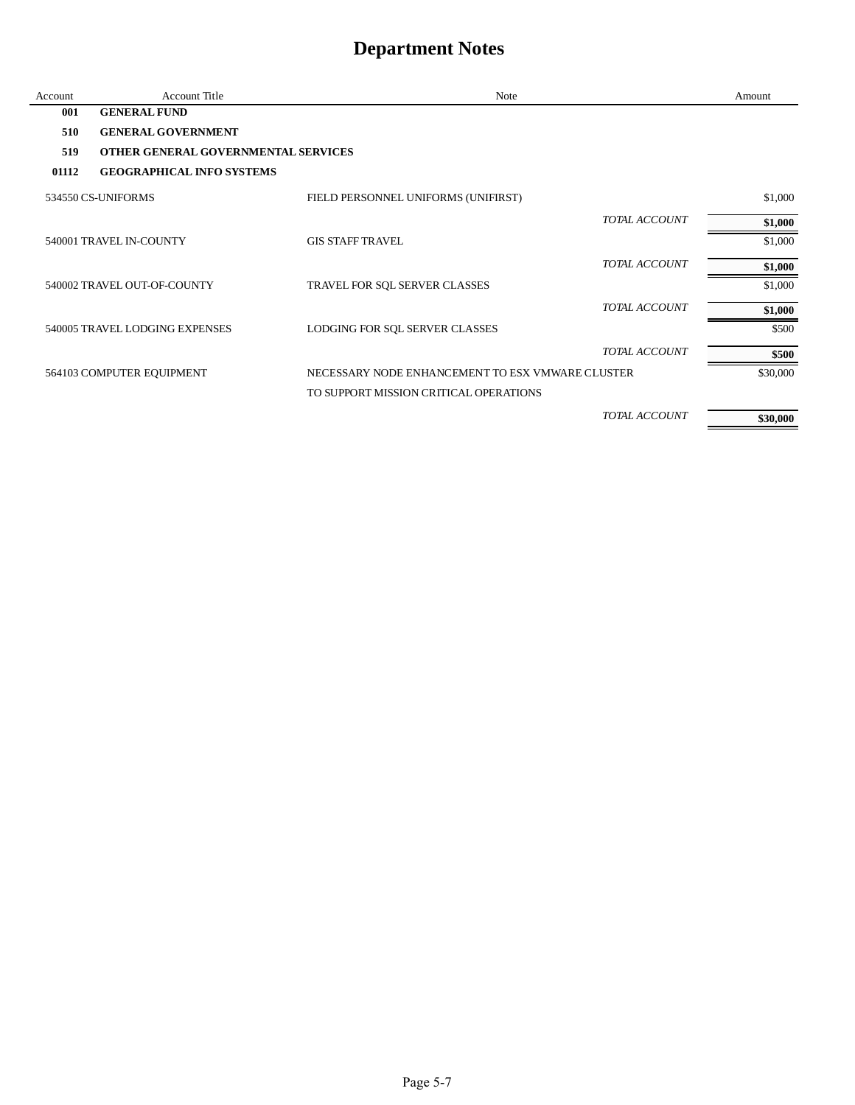| Account | Account Title                       | <b>Note</b>                                      |               | Amount   |
|---------|-------------------------------------|--------------------------------------------------|---------------|----------|
| 001     | <b>GENERAL FUND</b>                 |                                                  |               |          |
| 510     | <b>GENERAL GOVERNMENT</b>           |                                                  |               |          |
| 519     | OTHER GENERAL GOVERNMENTAL SERVICES |                                                  |               |          |
| 01112   | <b>GEOGRAPHICAL INFO SYSTEMS</b>    |                                                  |               |          |
|         | 534550 CS-UNIFORMS                  | FIELD PERSONNEL UNIFORMS (UNIFIRST)              |               | \$1,000  |
|         |                                     |                                                  | TOTAL ACCOUNT | \$1,000  |
|         | 540001 TRAVEL IN-COUNTY             | <b>GIS STAFF TRAVEL</b>                          |               | \$1,000  |
|         |                                     |                                                  | TOTAL ACCOUNT | \$1,000  |
|         | 540002 TRAVEL OUT-OF-COUNTY         | TRAVEL FOR SQL SERVER CLASSES                    |               | \$1,000  |
|         |                                     |                                                  | TOTAL ACCOUNT | \$1,000  |
|         | 540005 TRAVEL LODGING EXPENSES      | LODGING FOR SQL SERVER CLASSES                   |               | \$500    |
|         |                                     |                                                  | TOTAL ACCOUNT | \$500    |
|         | 564103 COMPUTER EQUIPMENT           | NECESSARY NODE ENHANCEMENT TO ESX VMWARE CLUSTER |               | \$30,000 |
|         |                                     | TO SUPPORT MISSION CRITICAL OPERATIONS           |               |          |
|         |                                     |                                                  | TOTAL ACCOUNT | \$30,000 |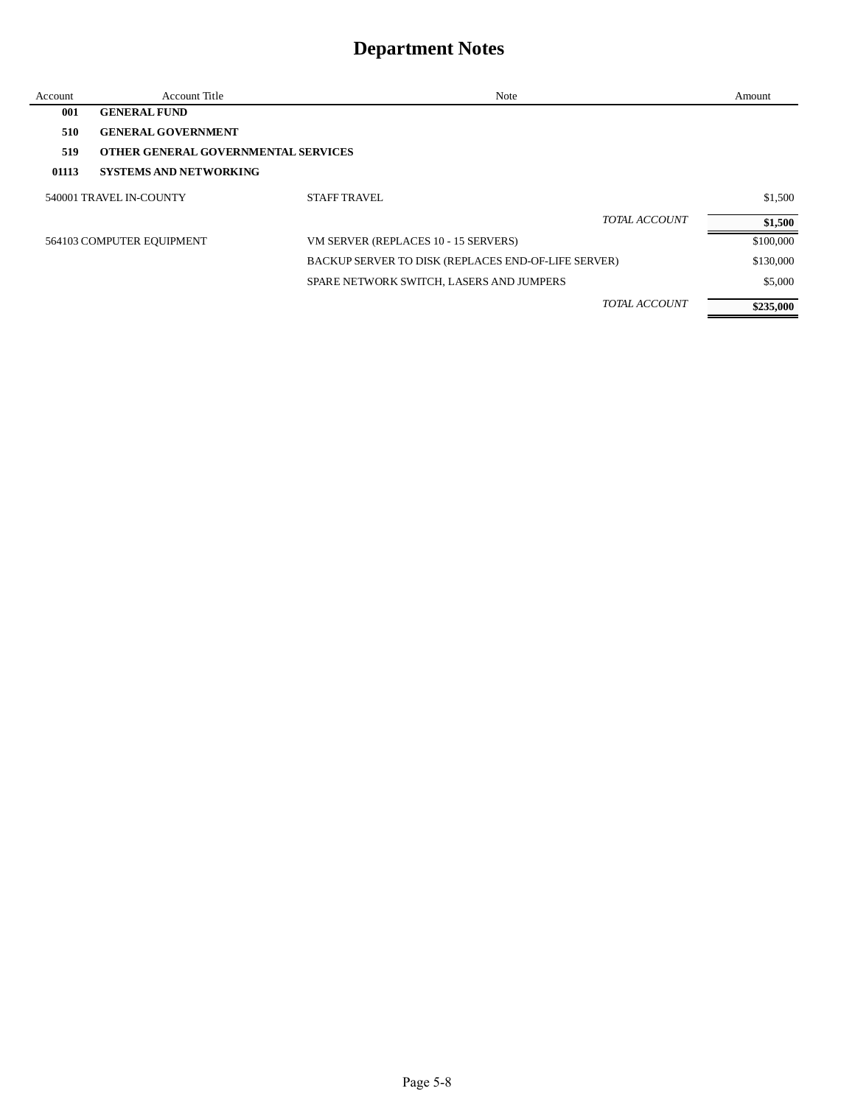| Account | <b>Account Title</b>                | Note                                                |                      | Amount    |
|---------|-------------------------------------|-----------------------------------------------------|----------------------|-----------|
| 001     | <b>GENERAL FUND</b>                 |                                                     |                      |           |
| 510     | <b>GENERAL GOVERNMENT</b>           |                                                     |                      |           |
| 519     | OTHER GENERAL GOVERNMENTAL SERVICES |                                                     |                      |           |
| 01113   | <b>SYSTEMS AND NETWORKING</b>       |                                                     |                      |           |
|         | 540001 TRAVEL IN-COUNTY             | <b>STAFF TRAVEL</b>                                 |                      | \$1,500   |
|         |                                     |                                                     | <b>TOTAL ACCOUNT</b> | \$1,500   |
|         | 564103 COMPUTER EQUIPMENT           | VM SERVER (REPLACES 10 - 15 SERVERS)                |                      | \$100,000 |
|         |                                     | BACKUP SERVER TO DISK (REPLACES END-OF-LIFE SERVER) |                      | \$130,000 |
|         |                                     | SPARE NETWORK SWITCH, LASERS AND JUMPERS            |                      | \$5,000   |
|         |                                     |                                                     | TOTAL ACCOUNT        | \$235,000 |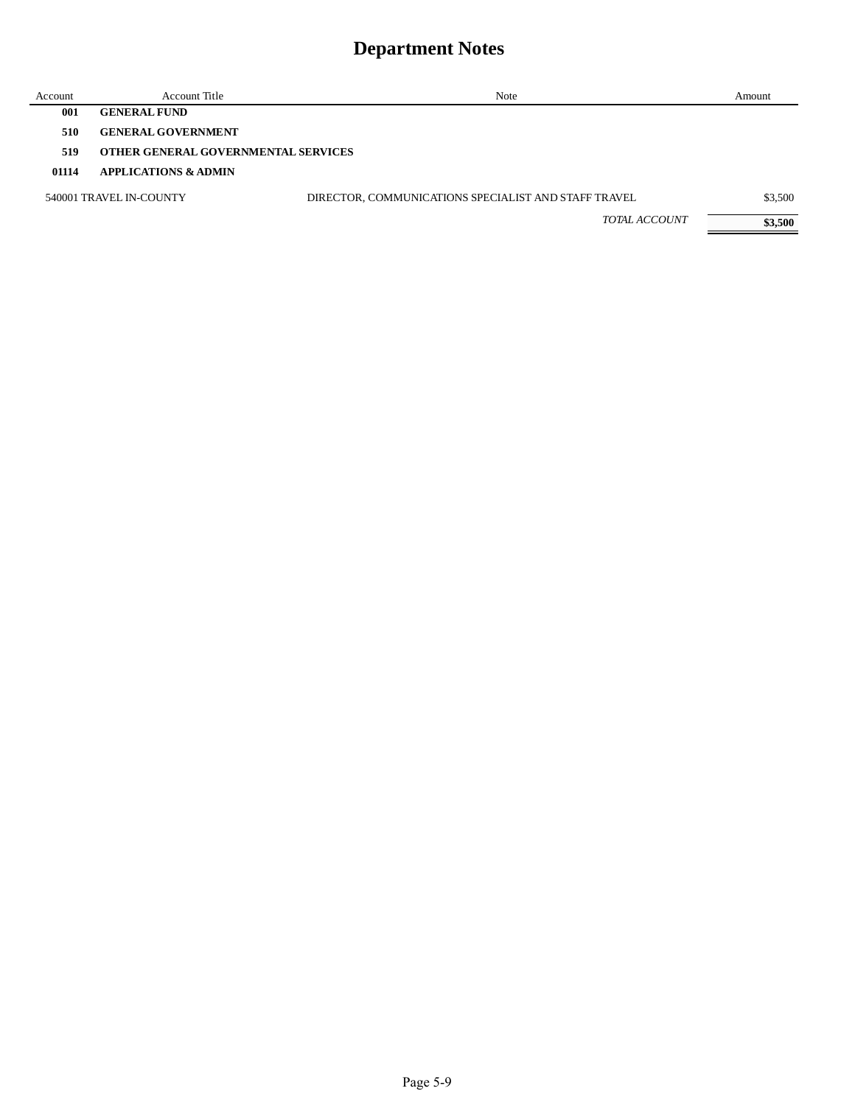| Account | Account Title                       | Note                                                 | Amount  |
|---------|-------------------------------------|------------------------------------------------------|---------|
| 001     | <b>GENERAL FUND</b>                 |                                                      |         |
| 510     | <b>GENERAL GOVERNMENT</b>           |                                                      |         |
| 519     | OTHER GENERAL GOVERNMENTAL SERVICES |                                                      |         |
| 01114   | <b>APPLICATIONS &amp; ADMIN</b>     |                                                      |         |
|         | 540001 TRAVEL IN-COUNTY             | DIRECTOR, COMMUNICATIONS SPECIALIST AND STAFF TRAVEL | \$3,500 |
|         |                                     | TOTAL ACCOUNT                                        | \$3,500 |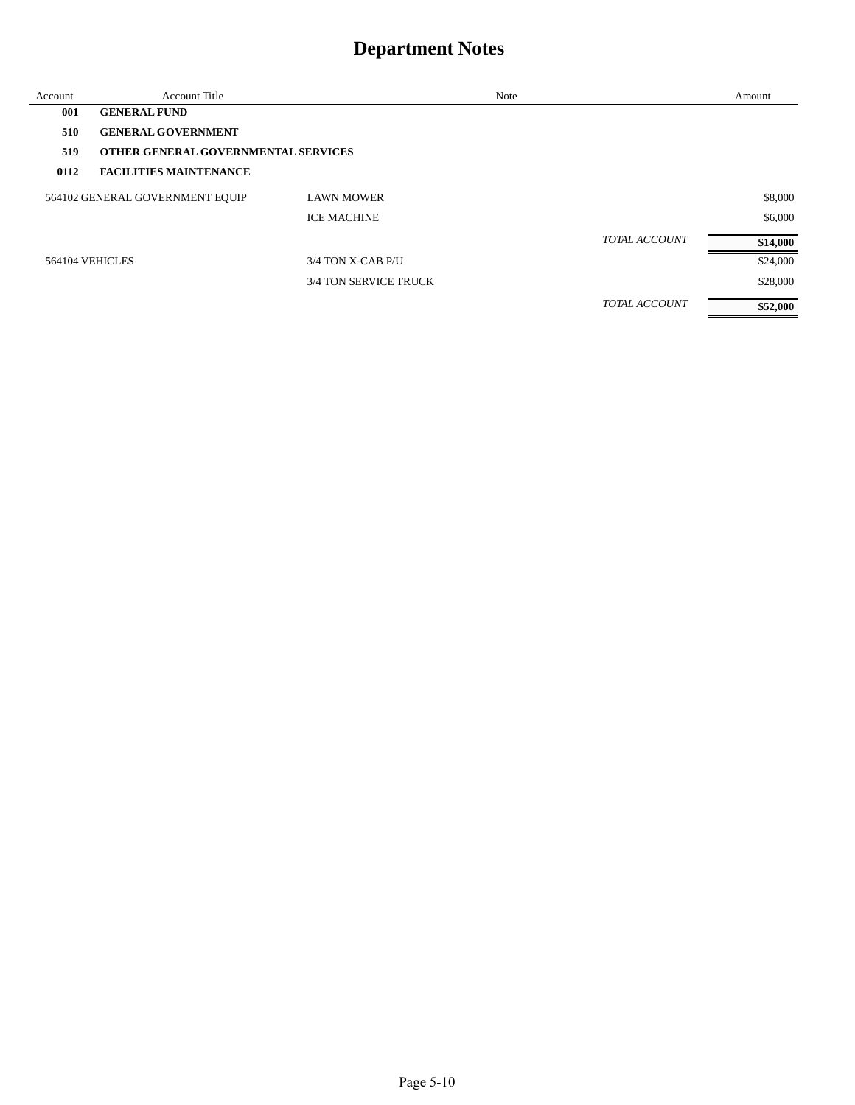| Account | <b>Account Title</b>                |                       | Note |                      | Amount   |
|---------|-------------------------------------|-----------------------|------|----------------------|----------|
| 001     | <b>GENERAL FUND</b>                 |                       |      |                      |          |
| 510     | <b>GENERAL GOVERNMENT</b>           |                       |      |                      |          |
| 519     | OTHER GENERAL GOVERNMENTAL SERVICES |                       |      |                      |          |
| 0112    | <b>FACILITIES MAINTENANCE</b>       |                       |      |                      |          |
|         | 564102 GENERAL GOVERNMENT EQUIP     | <b>LAWN MOWER</b>     |      |                      | \$8,000  |
|         |                                     | <b>ICE MACHINE</b>    |      |                      | \$6,000  |
|         |                                     |                       |      | <b>TOTAL ACCOUNT</b> | \$14,000 |
|         | 564104 VEHICLES                     | 3/4 TON X-CAB P/U     |      |                      | \$24,000 |
|         |                                     | 3/4 TON SERVICE TRUCK |      |                      | \$28,000 |
|         |                                     |                       |      | <b>TOTAL ACCOUNT</b> | \$52,000 |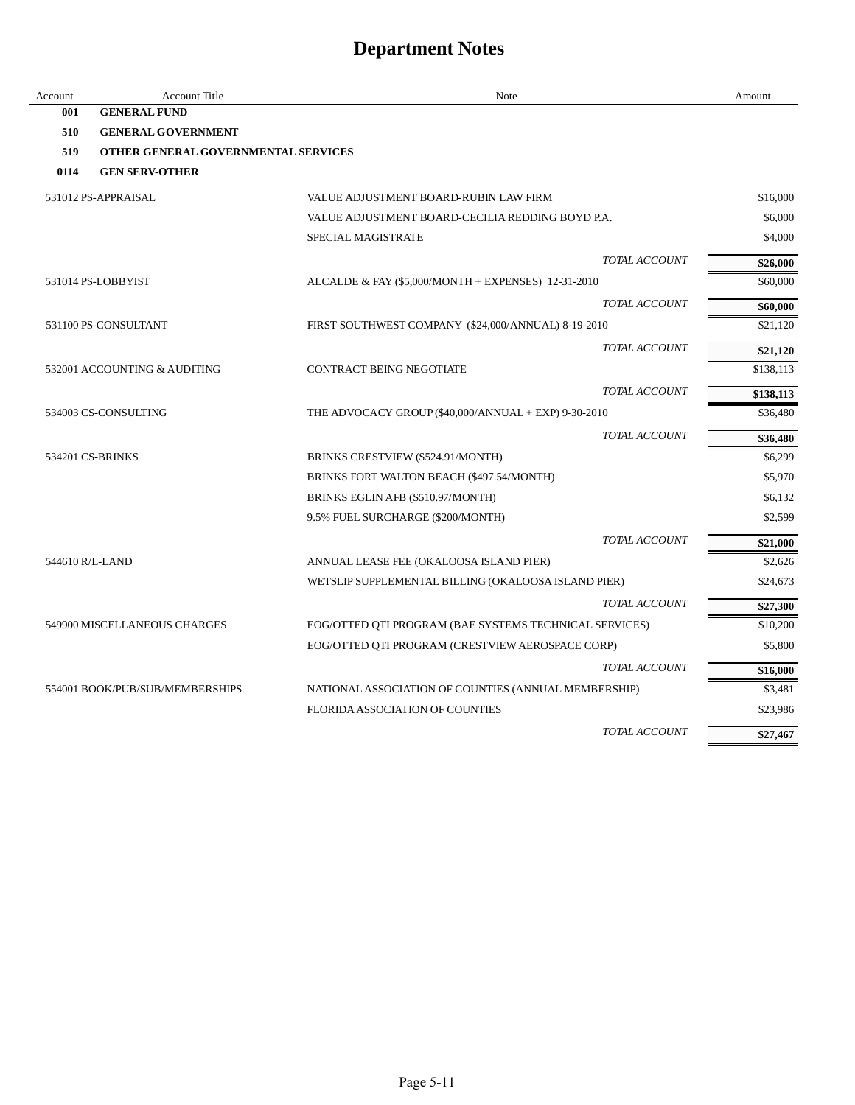| Account         | <b>Account Title</b>                | Note                                                   | Amount    |
|-----------------|-------------------------------------|--------------------------------------------------------|-----------|
| 001             | <b>GENERAL FUND</b>                 |                                                        |           |
| 510             | <b>GENERAL GOVERNMENT</b>           |                                                        |           |
| 519             | OTHER GENERAL GOVERNMENTAL SERVICES |                                                        |           |
| 0114            | <b>GEN SERV-OTHER</b>               |                                                        |           |
|                 | 531012 PS-APPRAISAL                 | VALUE ADJUSTMENT BOARD-RUBIN LAW FIRM                  | \$16,000  |
|                 |                                     | VALUE ADJUSTMENT BOARD-CECILIA REDDING BOYD P.A.       | \$6,000   |
|                 |                                     | SPECIAL MAGISTRATE                                     | \$4,000   |
|                 |                                     | TOTAL ACCOUNT                                          | \$26,000  |
|                 | 531014 PS-LOBBYIST                  | ALCALDE & FAY $(\$5,000/MONTH + EXPENSES)$ 12-31-2010  | \$60,000  |
|                 |                                     | TOTAL ACCOUNT                                          | \$60,000  |
|                 | 531100 PS-CONSULTANT                | FIRST SOUTHWEST COMPANY (\$24,000/ANNUAL) 8-19-2010    | \$21,120  |
|                 |                                     | TOTAL ACCOUNT                                          | \$21,120  |
|                 | 532001 ACCOUNTING & AUDITING        | CONTRACT BEING NEGOTIATE                               | \$138,113 |
|                 |                                     | TOTAL ACCOUNT                                          | \$138,113 |
|                 | 534003 CS-CONSULTING                | THE ADVOCACY GROUP $(\$40,000/ANNUAL + EXP)$ 9-30-2010 | \$36,480  |
|                 |                                     | TOTAL ACCOUNT                                          | \$36,480  |
|                 | 534201 CS-BRINKS                    | BRINKS CRESTVIEW (\$524.91/MONTH)                      | \$6,299   |
|                 |                                     | BRINKS FORT WALTON BEACH (\$497.54/MONTH)              | \$5,970   |
|                 |                                     | BRINKS EGLIN AFB (\$510.97/MONTH)                      | \$6,132   |
|                 |                                     | 9.5% FUEL SURCHARGE (\$200/MONTH)                      | \$2,599   |
|                 |                                     | TOTAL ACCOUNT                                          | \$21,000  |
| 544610 R/L-LAND |                                     | ANNUAL LEASE FEE (OKALOOSA ISLAND PIER)                | \$2,626   |
|                 |                                     | WETSLIP SUPPLEMENTAL BILLING (OKALOOSA ISLAND PIER)    | \$24,673  |
|                 |                                     | TOTAL ACCOUNT                                          | \$27,300  |
|                 | 549900 MISCELLANEOUS CHARGES        | EOG/OTTED QTI PROGRAM (BAE SYSTEMS TECHNICAL SERVICES) | \$10,200  |
|                 |                                     | EOG/OTTED QTI PROGRAM (CRESTVIEW AEROSPACE CORP)       | \$5,800   |
|                 |                                     | TOTAL ACCOUNT                                          | \$16,000  |
|                 | 554001 BOOK/PUB/SUB/MEMBERSHIPS     | NATIONAL ASSOCIATION OF COUNTIES (ANNUAL MEMBERSHIP)   | \$3,481   |
|                 |                                     | FLORIDA ASSOCIATION OF COUNTIES                        | \$23,986  |
|                 |                                     | TOTAL ACCOUNT                                          | \$27,467  |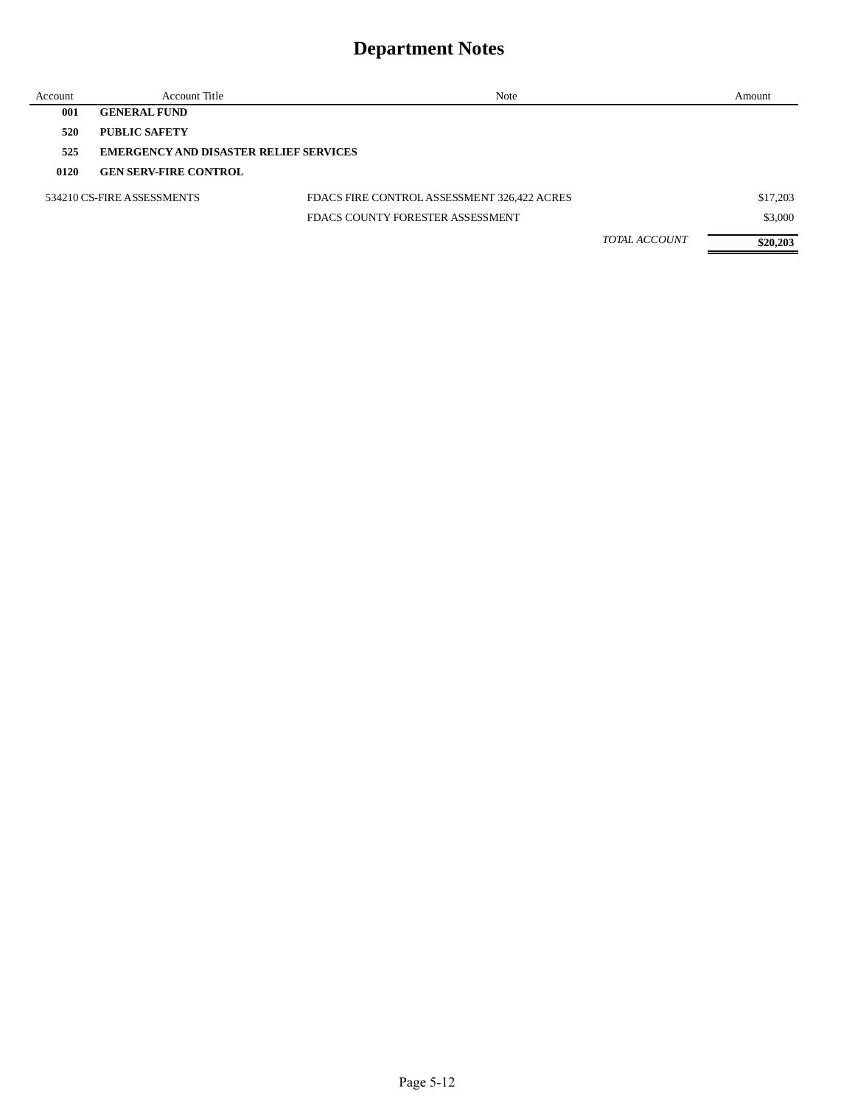| Account | Account Title                                 | Note                                        |                      | Amount   |
|---------|-----------------------------------------------|---------------------------------------------|----------------------|----------|
| 001     | <b>GENERAL FUND</b>                           |                                             |                      |          |
| 520     | <b>PUBLIC SAFETY</b>                          |                                             |                      |          |
| 525     | <b>EMERGENCY AND DISASTER RELIEF SERVICES</b> |                                             |                      |          |
| 0120    | <b>GEN SERV-FIRE CONTROL</b>                  |                                             |                      |          |
|         | 534210 CS-FIRE ASSESSMENTS                    | FDACS FIRE CONTROL ASSESSMENT 326,422 ACRES |                      | \$17,203 |
|         |                                               | FDACS COUNTY FORESTER ASSESSMENT            |                      | \$3,000  |
|         |                                               |                                             | <b>TOTAL ACCOUNT</b> | \$20,203 |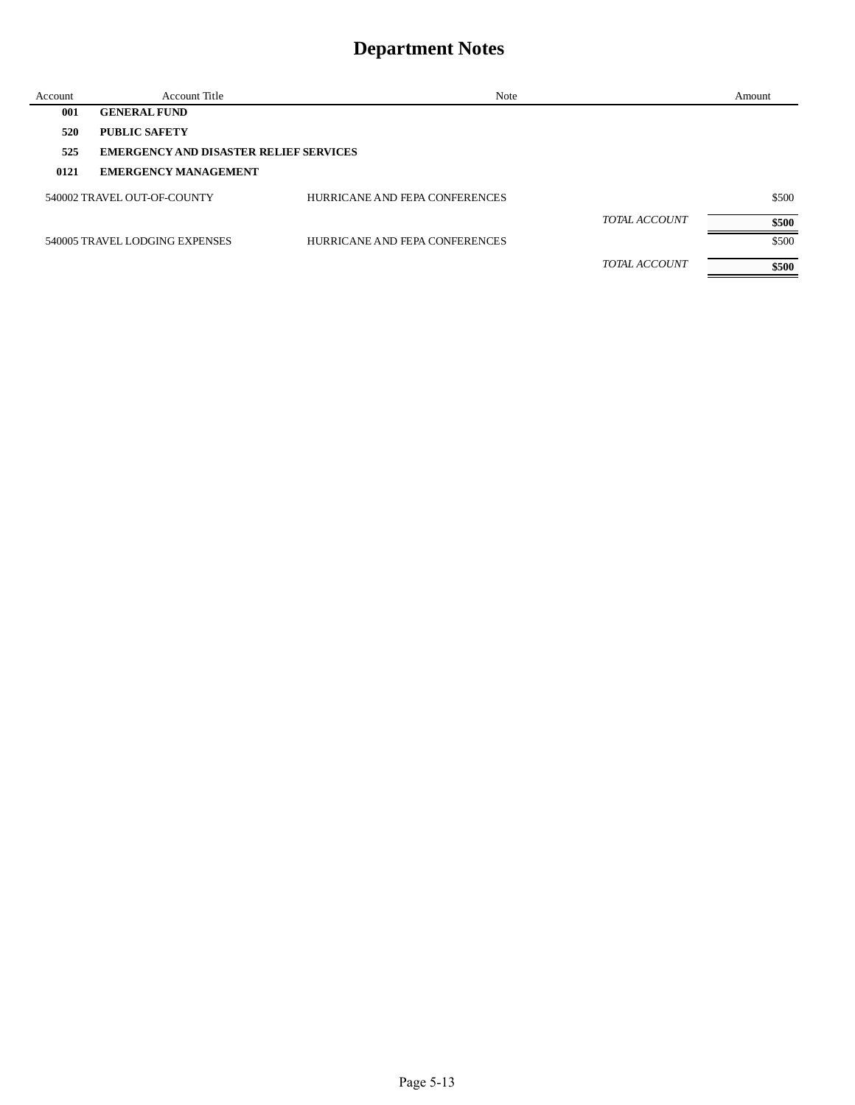| Account | Account Title                                 | Note                           |                      | Amount |
|---------|-----------------------------------------------|--------------------------------|----------------------|--------|
| 001     | <b>GENERAL FUND</b>                           |                                |                      |        |
| 520     | <b>PUBLIC SAFETY</b>                          |                                |                      |        |
| 525     | <b>EMERGENCY AND DISASTER RELIEF SERVICES</b> |                                |                      |        |
| 0121    | <b>EMERGENCY MANAGEMENT</b>                   |                                |                      |        |
|         | 540002 TRAVEL OUT-OF-COUNTY                   | HURRICANE AND FEPA CONFERENCES |                      | \$500  |
|         |                                               |                                | <b>TOTAL ACCOUNT</b> | \$500  |
|         | 540005 TRAVEL LODGING EXPENSES                | HURRICANE AND FEPA CONFERENCES |                      | \$500  |
|         |                                               |                                | <b>TOTAL ACCOUNT</b> | \$500  |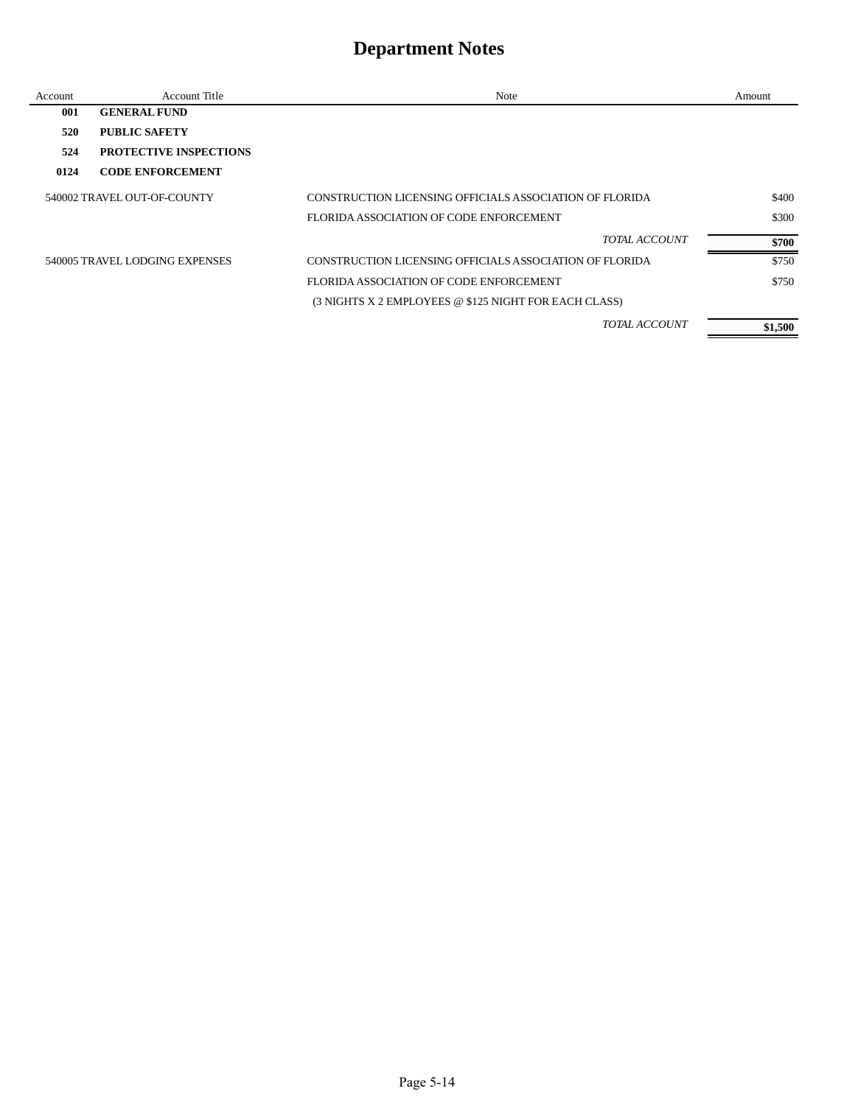| Account | Account Title                  | Note                                                    | Amount  |
|---------|--------------------------------|---------------------------------------------------------|---------|
| 001     | <b>GENERAL FUND</b>            |                                                         |         |
| 520     | PUBLIC SAFETY                  |                                                         |         |
| 524     | <b>PROTECTIVE INSPECTIONS</b>  |                                                         |         |
| 0124    | <b>CODE ENFORCEMENT</b>        |                                                         |         |
|         | 540002 TRAVEL OUT-OF-COUNTY    | CONSTRUCTION LICENSING OFFICIALS ASSOCIATION OF FLORIDA | \$400   |
|         |                                | FLORIDA ASSOCIATION OF CODE ENFORCEMENT                 | \$300   |
|         |                                | <b>TOTAL ACCOUNT</b>                                    | \$700   |
|         | 540005 TRAVEL LODGING EXPENSES | CONSTRUCTION LICENSING OFFICIALS ASSOCIATION OF FLORIDA | \$750   |
|         |                                | FLORIDA ASSOCIATION OF CODE ENFORCEMENT                 | \$750   |
|         |                                | (3 NIGHTS X 2 EMPLOYEES @ \$125 NIGHT FOR EACH CLASS)   |         |
|         |                                | TOTAL ACCOUNT                                           | \$1,500 |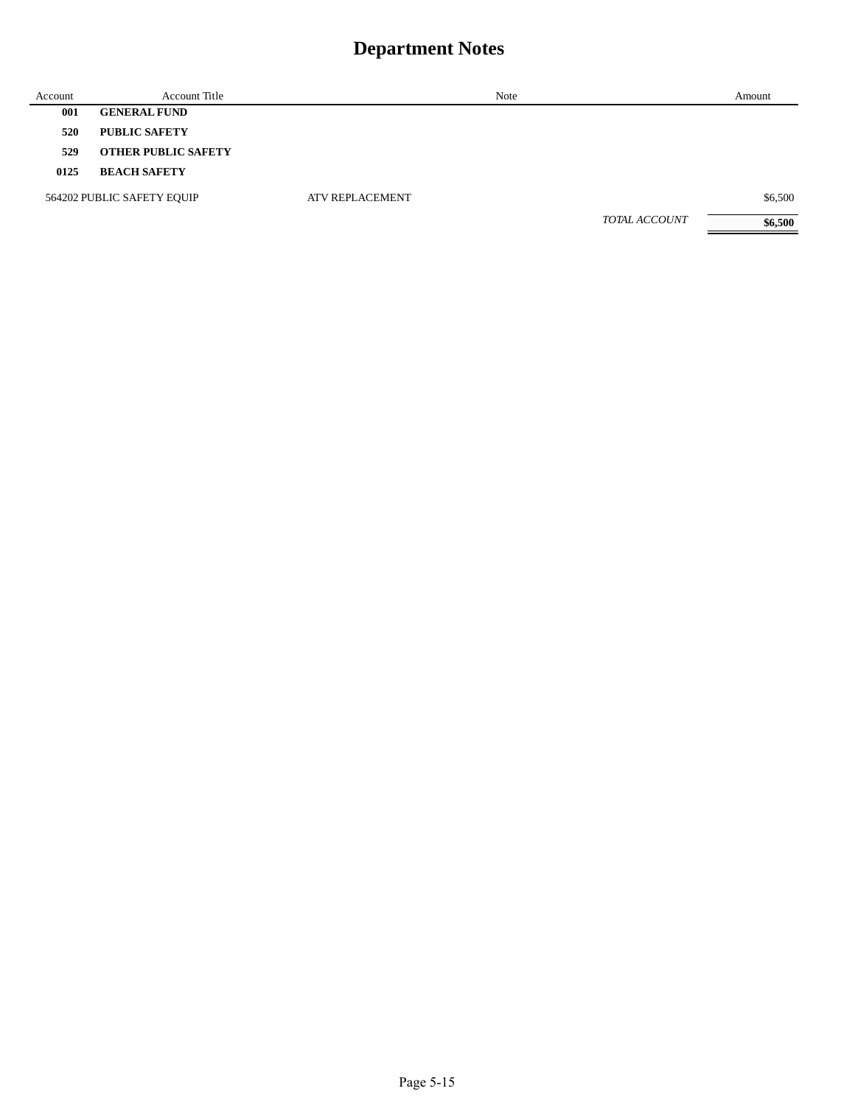| Account | <b>Account Title</b>       |                        | Note          | Amount  |
|---------|----------------------------|------------------------|---------------|---------|
| 001     | <b>GENERAL FUND</b>        |                        |               |         |
| 520     | <b>PUBLIC SAFETY</b>       |                        |               |         |
| 529     | <b>OTHER PUBLIC SAFETY</b> |                        |               |         |
| 0125    | <b>BEACH SAFETY</b>        |                        |               |         |
|         | 564202 PUBLIC SAFETY EQUIP | <b>ATV REPLACEMENT</b> |               | \$6,500 |
|         |                            |                        | TOTAL ACCOUNT | \$6,500 |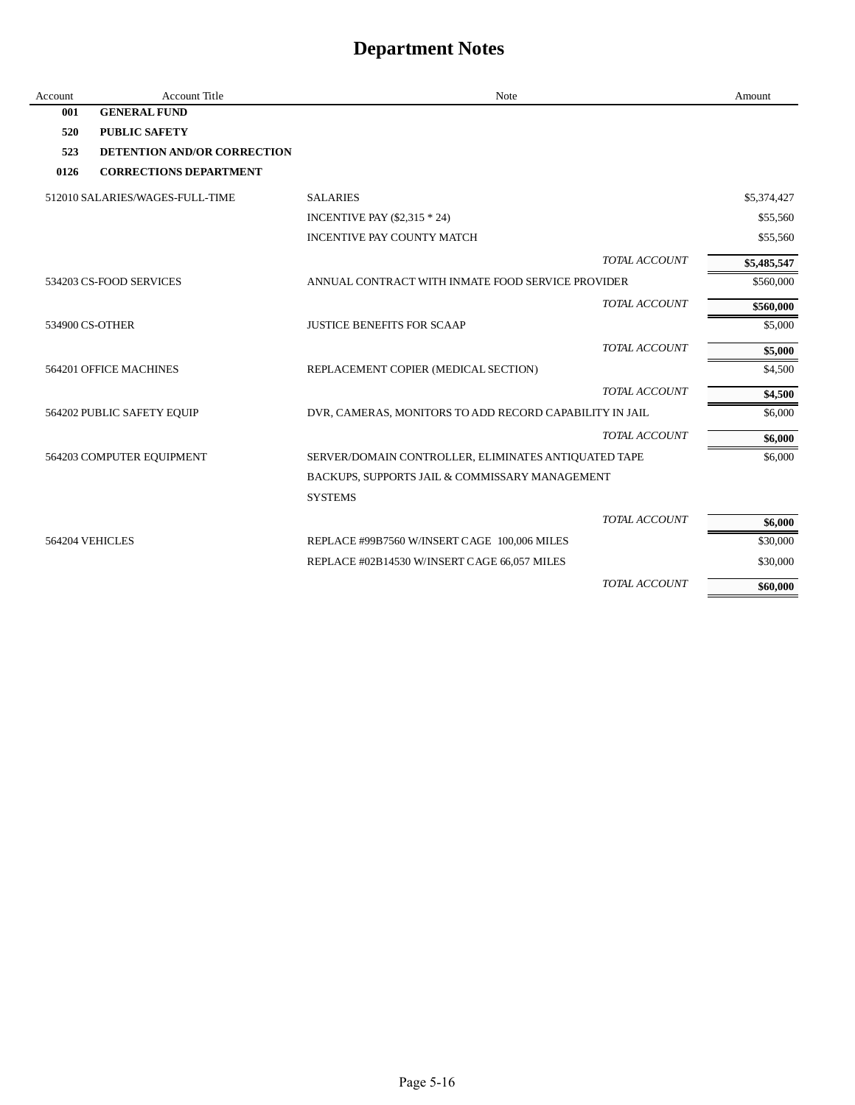| Account | <b>Account Title</b>               | Note                                                    |                      | Amount      |
|---------|------------------------------------|---------------------------------------------------------|----------------------|-------------|
| 001     | <b>GENERAL FUND</b>                |                                                         |                      |             |
| 520     | <b>PUBLIC SAFETY</b>               |                                                         |                      |             |
| 523     | <b>DETENTION AND/OR CORRECTION</b> |                                                         |                      |             |
| 0126    | <b>CORRECTIONS DEPARTMENT</b>      |                                                         |                      |             |
|         | 512010 SALARIES/WAGES-FULL-TIME    | <b>SALARIES</b>                                         |                      | \$5,374,427 |
|         |                                    | <b>INCENTIVE PAY (\$2,315 * 24)</b>                     |                      | \$55,560    |
|         |                                    | <b>INCENTIVE PAY COUNTY MATCH</b>                       |                      | \$55,560    |
|         |                                    |                                                         | TOTAL ACCOUNT        | \$5,485,547 |
|         | 534203 CS-FOOD SERVICES            | ANNUAL CONTRACT WITH INMATE FOOD SERVICE PROVIDER       |                      | \$560,000   |
|         |                                    |                                                         | TOTAL ACCOUNT        | \$560,000   |
|         | 534900 CS-OTHER                    | <b>JUSTICE BENEFITS FOR SCAAP</b>                       |                      | \$5,000     |
|         |                                    |                                                         | TOTAL ACCOUNT        | \$5,000     |
|         | 564201 OFFICE MACHINES             | REPLACEMENT COPIER (MEDICAL SECTION)                    |                      | \$4,500     |
|         |                                    |                                                         | TOTAL ACCOUNT        | \$4,500     |
|         | 564202 PUBLIC SAFETY EQUIP         | DVR, CAMERAS, MONITORS TO ADD RECORD CAPABILITY IN JAIL |                      | \$6,000     |
|         |                                    |                                                         | TOTAL ACCOUNT        | \$6,000     |
|         | 564203 COMPUTER EQUIPMENT          | SERVER/DOMAIN CONTROLLER, ELIMINATES ANTIQUATED TAPE    |                      | \$6,000     |
|         |                                    | BACKUPS, SUPPORTS JAIL & COMMISSARY MANAGEMENT          |                      |             |
|         |                                    | <b>SYSTEMS</b>                                          |                      |             |
|         |                                    |                                                         | <b>TOTAL ACCOUNT</b> | \$6,000     |
|         | 564204 VEHICLES                    | REPLACE #99B7560 W/INSERT CAGE 100,006 MILES            |                      | \$30,000    |
|         |                                    | REPLACE #02B14530 W/INSERT CAGE 66,057 MILES            |                      | \$30,000    |
|         |                                    |                                                         | TOTAL ACCOUNT        | \$60,000    |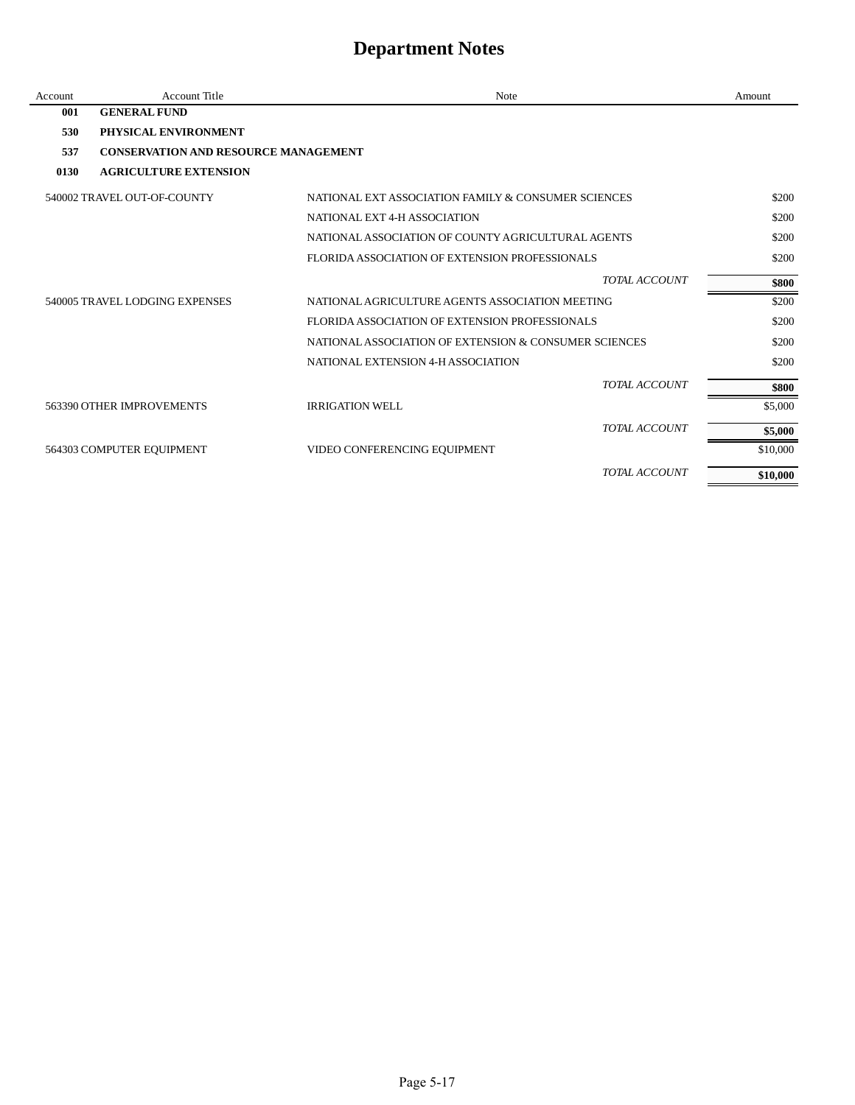| Account | <b>Account Title</b>                        | Note                                                  | Amount   |
|---------|---------------------------------------------|-------------------------------------------------------|----------|
| 001     | <b>GENERAL FUND</b>                         |                                                       |          |
| 530     | PHYSICAL ENVIRONMENT                        |                                                       |          |
| 537     | <b>CONSERVATION AND RESOURCE MANAGEMENT</b> |                                                       |          |
| 0130    | <b>AGRICULTURE EXTENSION</b>                |                                                       |          |
|         | 540002 TRAVEL OUT-OF-COUNTY                 | NATIONAL EXT ASSOCIATION FAMILY & CONSUMER SCIENCES   | \$200    |
|         |                                             | NATIONAL EXT 4-H ASSOCIATION                          | \$200    |
|         |                                             | NATIONAL ASSOCIATION OF COUNTY AGRICULTURAL AGENTS    | \$200    |
|         |                                             | FLORIDA ASSOCIATION OF EXTENSION PROFESSIONALS        | \$200    |
|         |                                             | TOTAL ACCOUNT                                         | \$800    |
|         | 540005 TRAVEL LODGING EXPENSES              | NATIONAL AGRICULTURE AGENTS ASSOCIATION MEETING       | \$200    |
|         |                                             | FLORIDA ASSOCIATION OF EXTENSION PROFESSIONALS        | \$200    |
|         |                                             | NATIONAL ASSOCIATION OF EXTENSION & CONSUMER SCIENCES | \$200    |
|         |                                             | NATIONAL EXTENSION 4-H ASSOCIATION                    | \$200    |
|         |                                             | TOTAL ACCOUNT                                         | \$800    |
|         | 563390 OTHER IMPROVEMENTS                   | <b>IRRIGATION WELL</b>                                | \$5,000  |
|         |                                             | TOTAL ACCOUNT                                         | \$5,000  |
|         | 564303 COMPUTER EQUIPMENT                   | VIDEO CONFERENCING EQUIPMENT                          | \$10,000 |
|         |                                             | TOTAL ACCOUNT                                         | \$10,000 |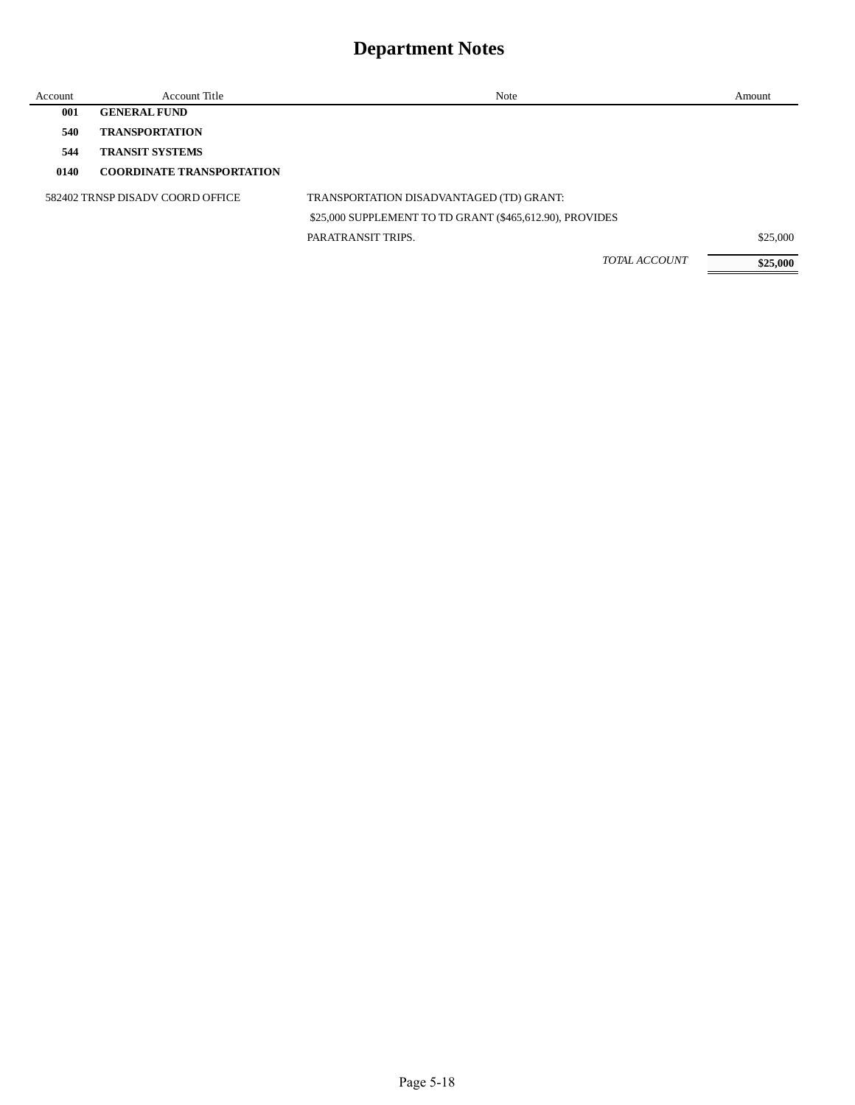| Account | <b>Account Title</b>             | Note                                                     | Amount   |
|---------|----------------------------------|----------------------------------------------------------|----------|
| 001     | <b>GENERAL FUND</b>              |                                                          |          |
| 540     | <b>TRANSPORTATION</b>            |                                                          |          |
| 544     | <b>TRANSIT SYSTEMS</b>           |                                                          |          |
| 0140    | <b>COORDINATE TRANSPORTATION</b> |                                                          |          |
|         | 582402 TRNSP DISADV COORD OFFICE | TRANSPORTATION DISADVANTAGED (TD) GRANT:                 |          |
|         |                                  | \$25,000 SUPPLEMENT TO TD GRANT (\$465,612.90), PROVIDES |          |
|         |                                  | PARATRANSIT TRIPS.                                       | \$25,000 |
|         |                                  | <b>TOTAL ACCOUNT</b>                                     | \$25,000 |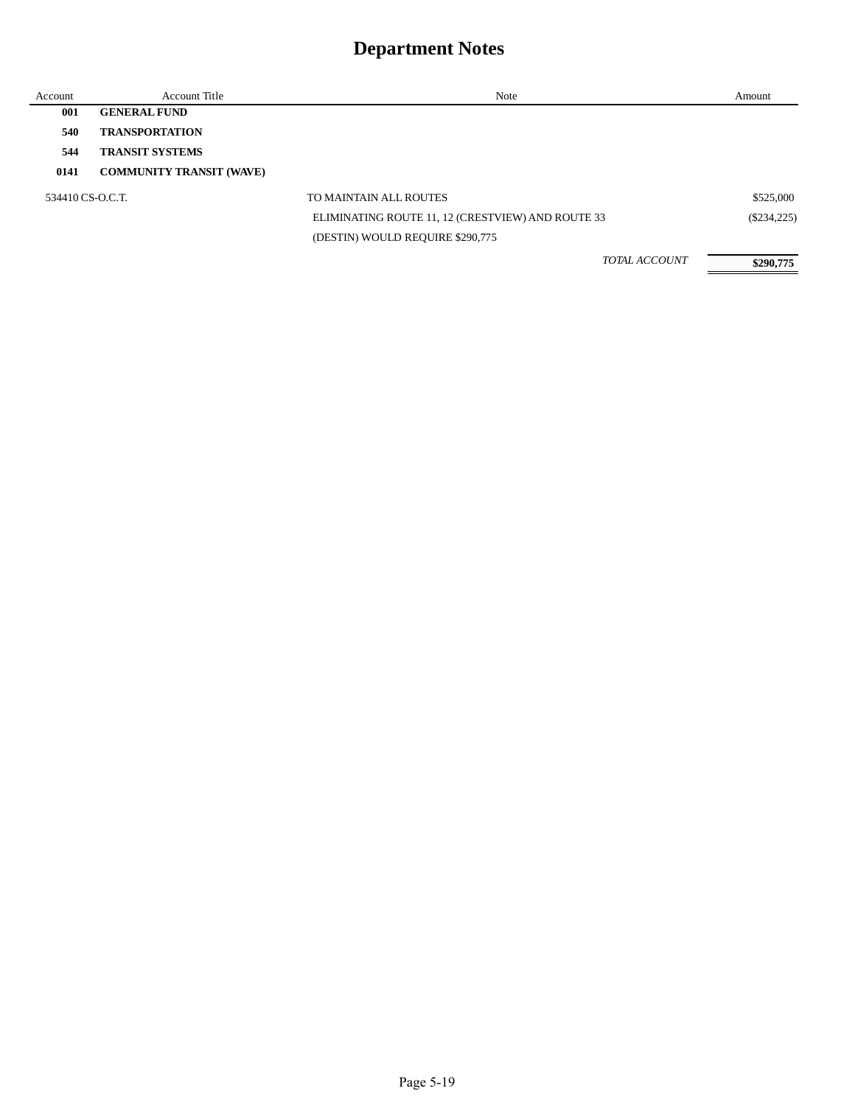| Account          | <b>Account Title</b>            | Note                                              | Amount        |
|------------------|---------------------------------|---------------------------------------------------|---------------|
| 001              | <b>GENERAL FUND</b>             |                                                   |               |
| 540              | <b>TRANSPORTATION</b>           |                                                   |               |
| 544              | <b>TRANSIT SYSTEMS</b>          |                                                   |               |
| 0141             | <b>COMMUNITY TRANSIT (WAVE)</b> |                                                   |               |
| 534410 CS-O.C.T. |                                 | TO MAINTAIN ALL ROUTES                            | \$525,000     |
|                  |                                 | ELIMINATING ROUTE 11, 12 (CRESTVIEW) AND ROUTE 33 | $(\$234,225)$ |
|                  |                                 | (DESTIN) WOULD REQUIRE \$290,775                  |               |
|                  |                                 | <b>TOTAL ACCOUNT</b>                              | \$290,775     |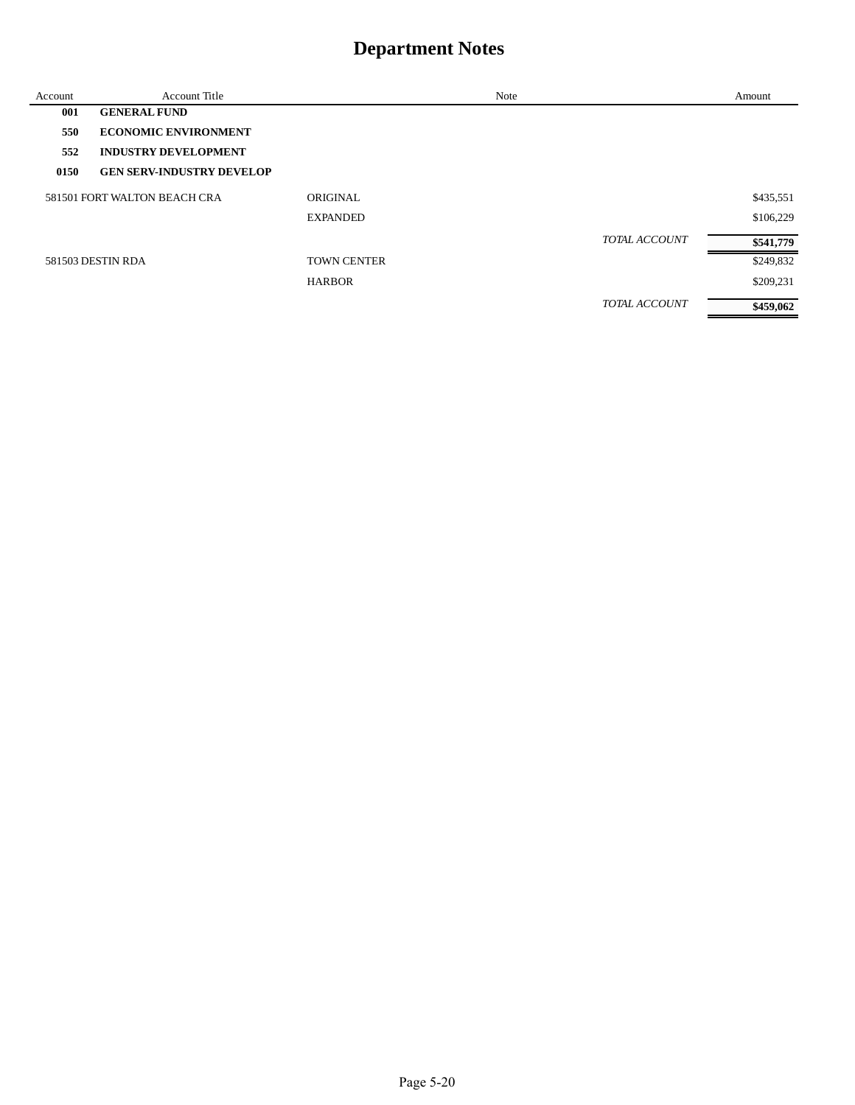| Account | <b>Account Title</b>             |                    | Note |                      | Amount    |
|---------|----------------------------------|--------------------|------|----------------------|-----------|
| 001     | <b>GENERAL FUND</b>              |                    |      |                      |           |
| 550     | <b>ECONOMIC ENVIRONMENT</b>      |                    |      |                      |           |
| 552     | <b>INDUSTRY DEVELOPMENT</b>      |                    |      |                      |           |
| 0150    | <b>GEN SERV-INDUSTRY DEVELOP</b> |                    |      |                      |           |
|         | 581501 FORT WALTON BEACH CRA     | ORIGINAL           |      |                      | \$435,551 |
|         |                                  | <b>EXPANDED</b>    |      |                      | \$106,229 |
|         |                                  |                    |      | <b>TOTAL ACCOUNT</b> | \$541,779 |
|         | 581503 DESTIN RDA                | <b>TOWN CENTER</b> |      |                      | \$249,832 |
|         |                                  | <b>HARBOR</b>      |      |                      | \$209,231 |
|         |                                  |                    |      | <b>TOTAL ACCOUNT</b> | \$459,062 |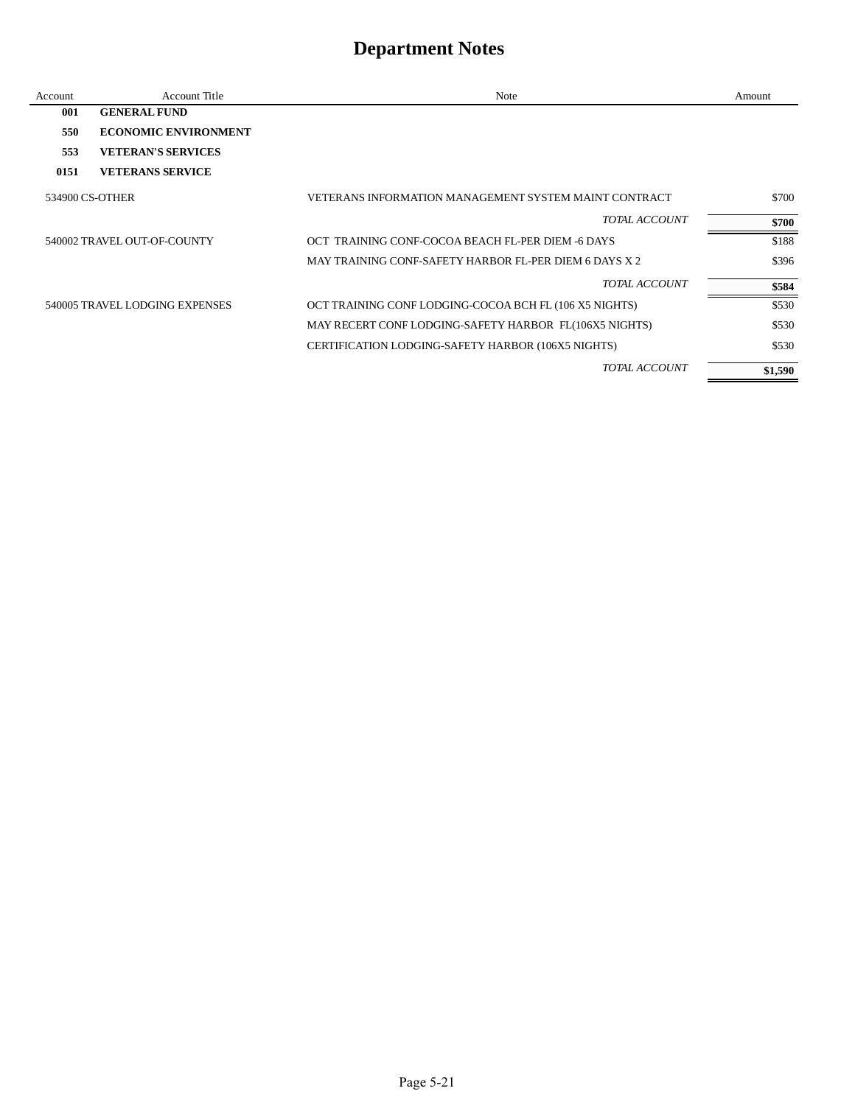| Account         | <b>Account Title</b>           | Note                                                   | Amount  |
|-----------------|--------------------------------|--------------------------------------------------------|---------|
| 001             | <b>GENERAL FUND</b>            |                                                        |         |
| 550             | <b>ECONOMIC ENVIRONMENT</b>    |                                                        |         |
| 553             | <b>VETERAN'S SERVICES</b>      |                                                        |         |
| 0151            | <b>VETERANS SERVICE</b>        |                                                        |         |
| 534900 CS-OTHER |                                | VETERANS INFORMATION MANAGEMENT SYSTEM MAINT CONTRACT  | \$700   |
|                 |                                | TOTAL ACCOUNT                                          | \$700   |
|                 | 540002 TRAVEL OUT-OF-COUNTY    | OCT TRAINING CONF-COCOA BEACH FL-PER DIEM -6 DAYS      | \$188   |
|                 |                                | MAY TRAINING CONF-SAFETY HARBOR FL-PER DIEM 6 DAYS X 2 | \$396   |
|                 |                                | TOTAL ACCOUNT                                          | \$584   |
|                 | 540005 TRAVEL LODGING EXPENSES | OCT TRAINING CONF LODGING-COCOA BCH FL (106 X5 NIGHTS) | \$530   |
|                 |                                | MAY RECERT CONF LODGING-SAFETY HARBOR FL(106X5 NIGHTS) | \$530   |
|                 |                                | CERTIFICATION LODGING-SAFETY HARBOR (106X5 NIGHTS)     | \$530   |
|                 |                                | <b>TOTAL ACCOUNT</b>                                   | \$1,590 |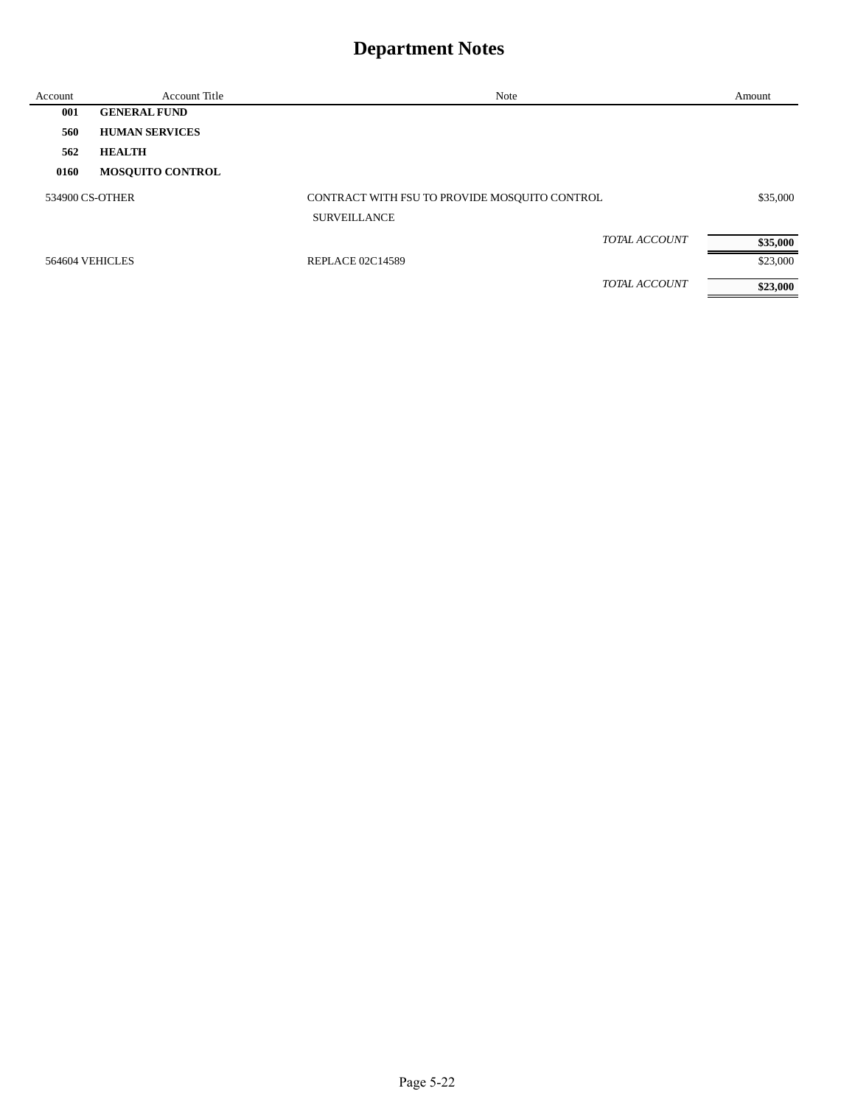| Account         | <b>Account Title</b>    | Note                                          | Amount   |
|-----------------|-------------------------|-----------------------------------------------|----------|
| 001             | <b>GENERAL FUND</b>     |                                               |          |
| 560             | <b>HUMAN SERVICES</b>   |                                               |          |
| 562             | <b>HEALTH</b>           |                                               |          |
| 0160            | <b>MOSQUITO CONTROL</b> |                                               |          |
| 534900 CS-OTHER |                         | CONTRACT WITH FSU TO PROVIDE MOSQUITO CONTROL | \$35,000 |
|                 |                         | <b>SURVEILLANCE</b>                           |          |
|                 |                         | <b>TOTAL ACCOUNT</b>                          | \$35,000 |
| 564604 VEHICLES |                         | <b>REPLACE 02C14589</b>                       | \$23,000 |
|                 |                         | <b>TOTAL ACCOUNT</b>                          | \$23,000 |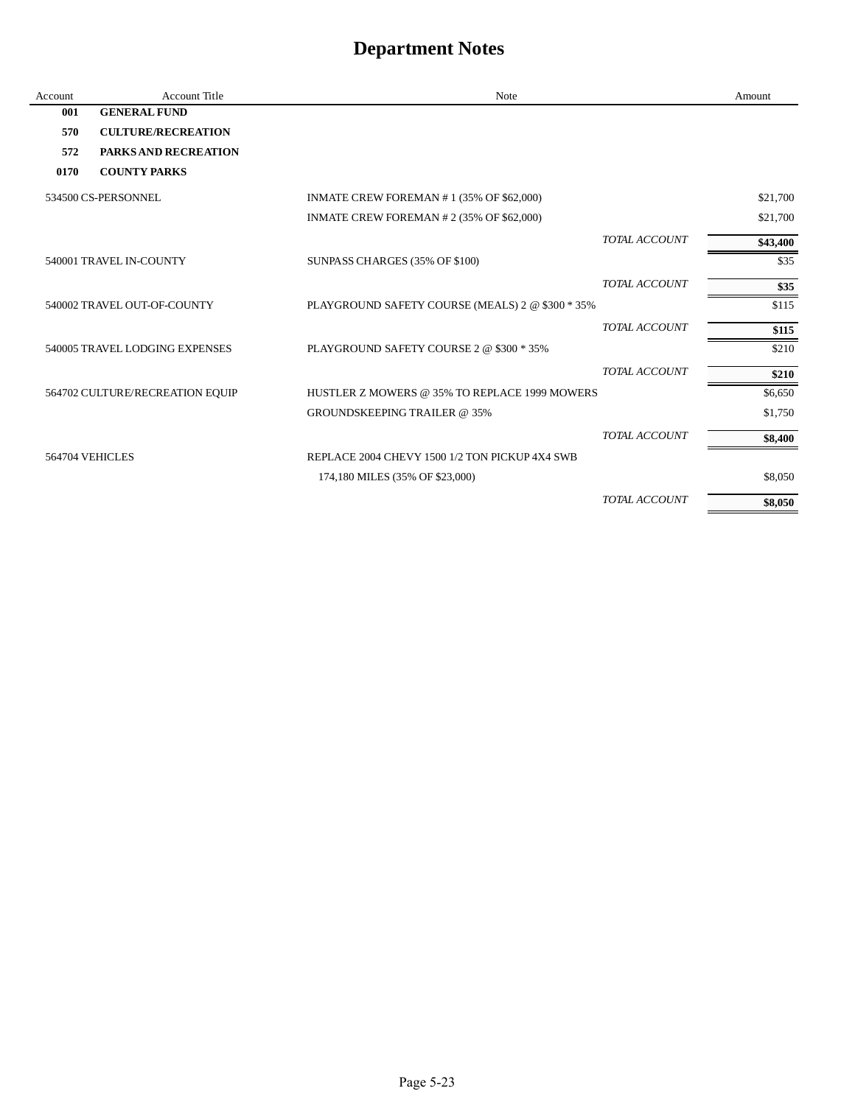| Account         | <b>Account Title</b>            | Note                                             |                      | Amount   |
|-----------------|---------------------------------|--------------------------------------------------|----------------------|----------|
| 001             | <b>GENERAL FUND</b>             |                                                  |                      |          |
| 570             | <b>CULTURE/RECREATION</b>       |                                                  |                      |          |
| 572             | <b>PARKS AND RECREATION</b>     |                                                  |                      |          |
| 0170            | <b>COUNTY PARKS</b>             |                                                  |                      |          |
|                 | 534500 CS-PERSONNEL             | INMATE CREW FOREMAN #1 (35% OF \$62,000)         |                      | \$21,700 |
|                 |                                 | INMATE CREW FOREMAN # 2 (35% OF \$62,000)        |                      | \$21,700 |
|                 |                                 |                                                  | TOTAL ACCOUNT        | \$43,400 |
|                 | 540001 TRAVEL IN-COUNTY         | SUNPASS CHARGES (35% OF \$100)                   |                      | \$35     |
|                 |                                 |                                                  | TOTAL ACCOUNT        | \$35     |
|                 | 540002 TRAVEL OUT-OF-COUNTY     | PLAYGROUND SAFETY COURSE (MEALS) 2 @ \$300 * 35% |                      | \$115    |
|                 |                                 |                                                  | TOTAL ACCOUNT        | \$115    |
|                 | 540005 TRAVEL LODGING EXPENSES  | PLAYGROUND SAFETY COURSE 2 @ \$300 * 35%         |                      | \$210    |
|                 |                                 |                                                  | TOTAL ACCOUNT        | \$210    |
|                 | 564702 CULTURE/RECREATION EQUIP | HUSTLER Z MOWERS @ 35% TO REPLACE 1999 MOWERS    |                      | \$6,650  |
|                 |                                 | <b>GROUNDSKEEPING TRAILER @ 35%</b>              |                      | \$1,750  |
|                 |                                 |                                                  | TOTAL ACCOUNT        | \$8,400  |
| 564704 VEHICLES |                                 | REPLACE 2004 CHEVY 1500 1/2 TON PICKUP 4X4 SWB   |                      |          |
|                 |                                 | 174,180 MILES (35% OF \$23,000)                  |                      | \$8,050  |
|                 |                                 |                                                  | <b>TOTAL ACCOUNT</b> | \$8,050  |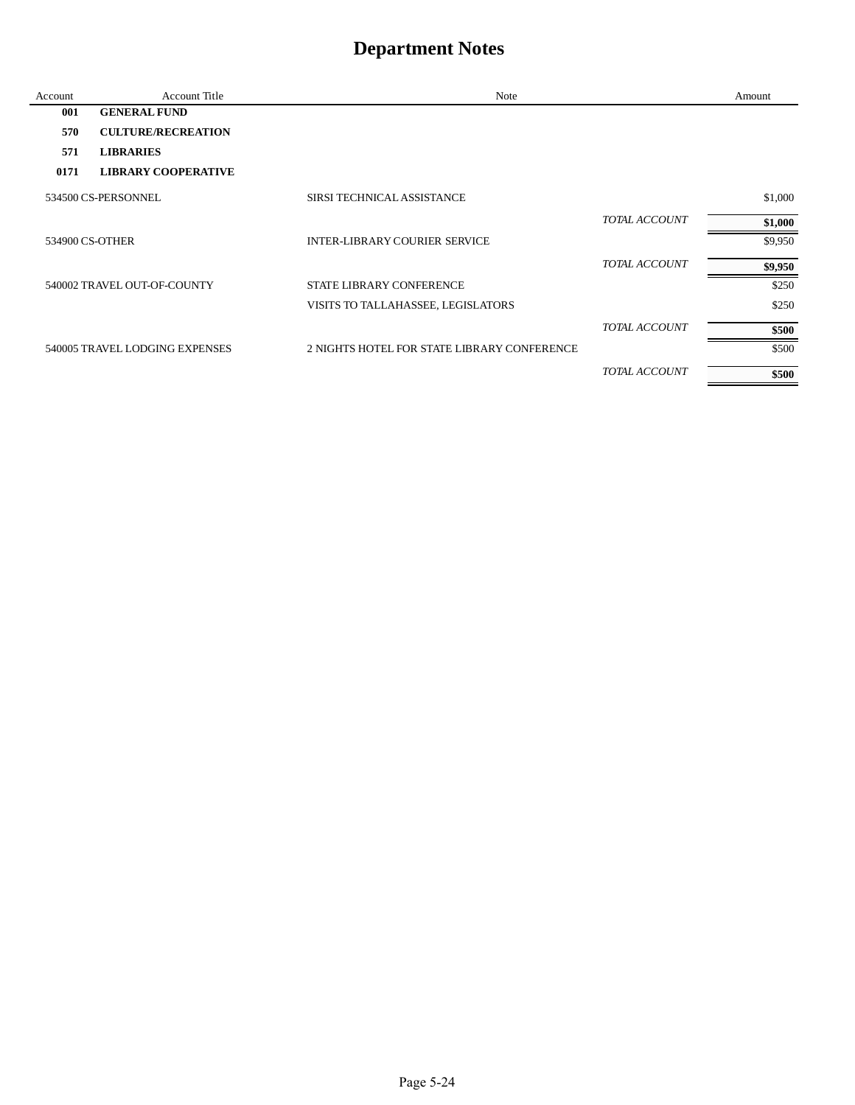| Account | <b>Account Title</b>           | Note                                        |                      | Amount  |
|---------|--------------------------------|---------------------------------------------|----------------------|---------|
| 001     | <b>GENERAL FUND</b>            |                                             |                      |         |
| 570     | <b>CULTURE/RECREATION</b>      |                                             |                      |         |
| 571     | <b>LIBRARIES</b>               |                                             |                      |         |
| 0171    | <b>LIBRARY COOPERATIVE</b>     |                                             |                      |         |
|         | 534500 CS-PERSONNEL            | SIRSI TECHNICAL ASSISTANCE                  |                      | \$1,000 |
|         |                                |                                             | <b>TOTAL ACCOUNT</b> | \$1,000 |
|         | 534900 CS-OTHER                | <b>INTER-LIBRARY COURIER SERVICE</b>        |                      | \$9,950 |
|         |                                |                                             | <b>TOTAL ACCOUNT</b> | \$9,950 |
|         | 540002 TRAVEL OUT-OF-COUNTY    | <b>STATE LIBRARY CONFERENCE</b>             |                      | \$250   |
|         |                                | VISITS TO TALLAHASSEE, LEGISLATORS          |                      | \$250   |
|         |                                |                                             | <b>TOTAL ACCOUNT</b> | \$500   |
|         | 540005 TRAVEL LODGING EXPENSES | 2 NIGHTS HOTEL FOR STATE LIBRARY CONFERENCE |                      | \$500   |
|         |                                |                                             | TOTAL ACCOUNT        | \$500   |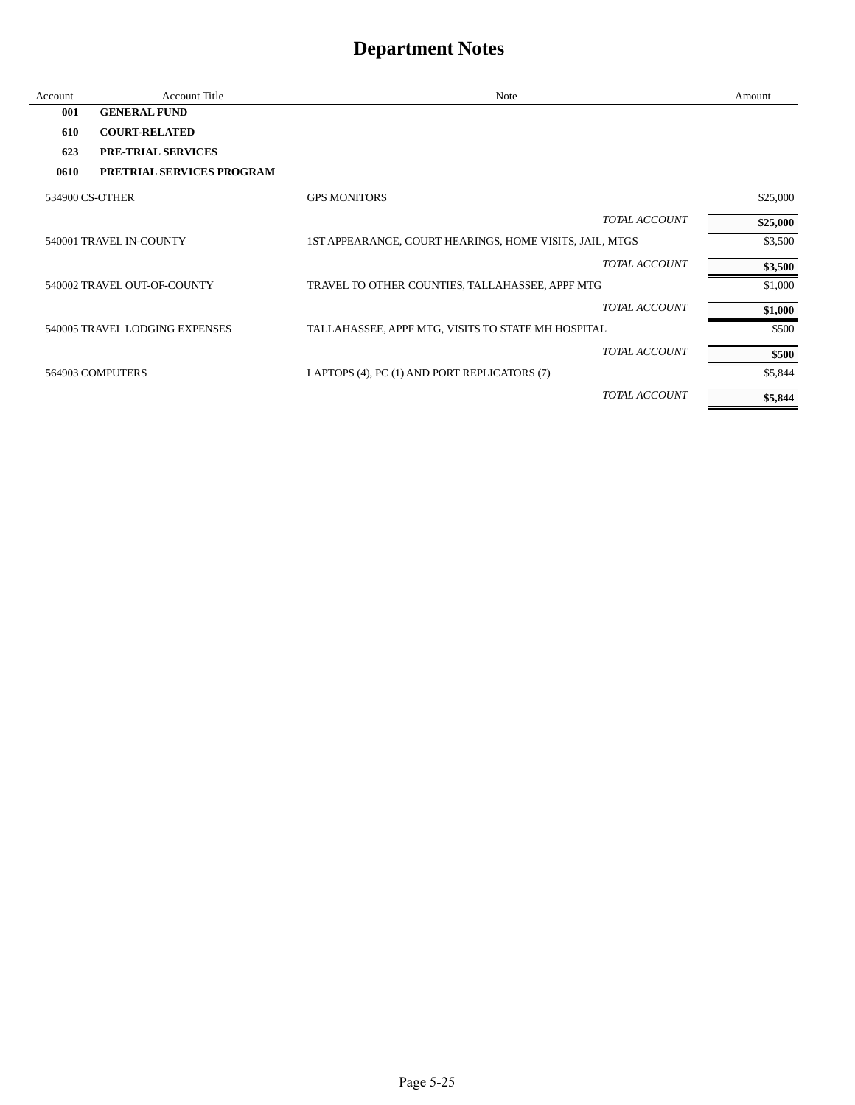| Account         | <b>Account Title</b>           | Note                                                    |                      | Amount   |
|-----------------|--------------------------------|---------------------------------------------------------|----------------------|----------|
| 001             | <b>GENERAL FUND</b>            |                                                         |                      |          |
| 610             | <b>COURT-RELATED</b>           |                                                         |                      |          |
| 623             | <b>PRE-TRIAL SERVICES</b>      |                                                         |                      |          |
| 0610            | PRETRIAL SERVICES PROGRAM      |                                                         |                      |          |
| 534900 CS-OTHER |                                | <b>GPS MONITORS</b>                                     |                      | \$25,000 |
|                 |                                |                                                         | TOTAL ACCOUNT        | \$25,000 |
|                 | 540001 TRAVEL IN-COUNTY        | 1ST APPEARANCE, COURT HEARINGS, HOME VISITS, JAIL, MTGS |                      | \$3,500  |
|                 |                                |                                                         | <b>TOTAL ACCOUNT</b> | \$3,500  |
|                 | 540002 TRAVEL OUT-OF-COUNTY    | TRAVEL TO OTHER COUNTIES, TALLAHASSEE, APPF MTG         |                      | \$1,000  |
|                 |                                |                                                         | <b>TOTAL ACCOUNT</b> | \$1,000  |
|                 | 540005 TRAVEL LODGING EXPENSES | TALLAHASSEE, APPF MTG, VISITS TO STATE MH HOSPITAL      |                      | \$500    |
|                 |                                |                                                         | <b>TOTAL ACCOUNT</b> | \$500    |
|                 | 564903 COMPUTERS               | LAPTOPS (4), PC (1) AND PORT REPLICATORS (7)            |                      | \$5,844  |
|                 |                                |                                                         | TOTAL ACCOUNT        | \$5,844  |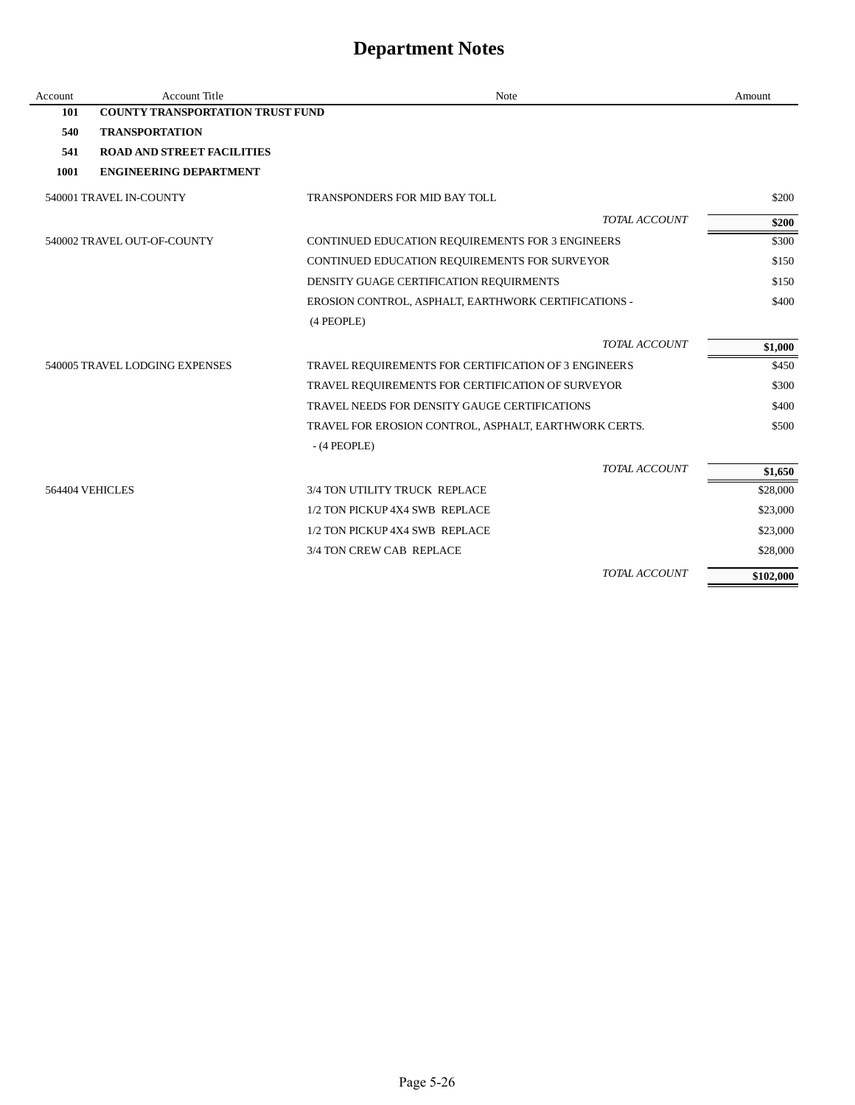| Account | <b>Account Title</b>                    | <b>Note</b>                                           | Amount    |
|---------|-----------------------------------------|-------------------------------------------------------|-----------|
| 101     | <b>COUNTY TRANSPORTATION TRUST FUND</b> |                                                       |           |
| 540     | <b>TRANSPORTATION</b>                   |                                                       |           |
| 541     | <b>ROAD AND STREET FACILITIES</b>       |                                                       |           |
| 1001    | <b>ENGINEERING DEPARTMENT</b>           |                                                       |           |
|         | 540001 TRAVEL IN-COUNTY                 | TRANSPONDERS FOR MID BAY TOLL                         | \$200     |
|         |                                         | <b>TOTAL ACCOUNT</b>                                  | \$200     |
|         | 540002 TRAVEL OUT-OF-COUNTY             | CONTINUED EDUCATION REQUIREMENTS FOR 3 ENGINEERS      | \$300     |
|         |                                         | CONTINUED EDUCATION REQUIREMENTS FOR SURVEYOR         | \$150     |
|         |                                         | DENSITY GUAGE CERTIFICATION REQUIRMENTS               | \$150     |
|         |                                         | EROSION CONTROL, ASPHALT, EARTHWORK CERTIFICATIONS -  | \$400     |
|         |                                         | (4 PEOPLE)                                            |           |
|         |                                         | TOTAL ACCOUNT                                         | \$1,000   |
|         | 540005 TRAVEL LODGING EXPENSES          | TRAVEL REQUIREMENTS FOR CERTIFICATION OF 3 ENGINEERS  | \$450     |
|         |                                         | TRAVEL REQUIREMENTS FOR CERTIFICATION OF SURVEYOR     | \$300     |
|         |                                         | TRAVEL NEEDS FOR DENSITY GAUGE CERTIFICATIONS         | \$400     |
|         |                                         | TRAVEL FOR EROSION CONTROL, ASPHALT, EARTHWORK CERTS. | \$500     |
|         |                                         | $-$ (4 PEOPLE)                                        |           |
|         |                                         | TOTAL ACCOUNT                                         | \$1,650   |
|         | 564404 VEHICLES                         | 3/4 TON UTILITY TRUCK REPLACE                         | \$28,000  |
|         |                                         | 1/2 TON PICKUP 4X4 SWB REPLACE                        | \$23,000  |
|         |                                         | 1/2 TON PICKUP 4X4 SWB REPLACE                        | \$23,000  |
|         |                                         | 3/4 TON CREW CAB REPLACE                              | \$28,000  |
|         |                                         | TOTAL ACCOUNT                                         | \$102,000 |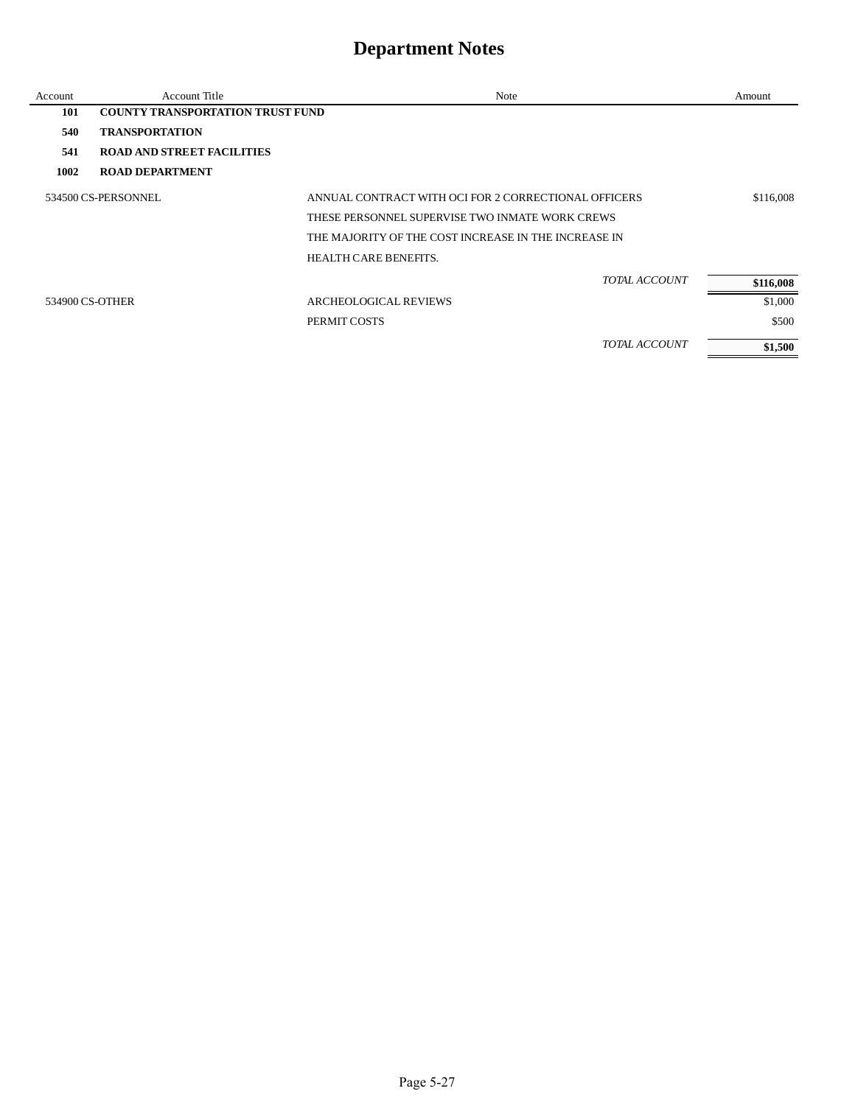| Account         | <b>Account Title</b>                    | Note                                                 | Amount    |
|-----------------|-----------------------------------------|------------------------------------------------------|-----------|
| 101             | <b>COUNTY TRANSPORTATION TRUST FUND</b> |                                                      |           |
| 540             | <b>TRANSPORTATION</b>                   |                                                      |           |
| 541             | <b>ROAD AND STREET FACILITIES</b>       |                                                      |           |
| 1002            | <b>ROAD DEPARTMENT</b>                  |                                                      |           |
|                 | 534500 CS-PERSONNEL                     | ANNUAL CONTRACT WITH OCI FOR 2 CORRECTIONAL OFFICERS | \$116,008 |
|                 |                                         | THESE PERSONNEL SUPERVISE TWO INMATE WORK CREWS      |           |
|                 |                                         | THE MAJORITY OF THE COST INCREASE IN THE INCREASE IN |           |
|                 |                                         | <b>HEALTH CARE BENEFITS.</b>                         |           |
|                 |                                         | TOTAL ACCOUNT                                        | \$116,008 |
| 534900 CS-OTHER |                                         | <b>ARCHEOLOGICAL REVIEWS</b>                         | \$1,000   |
|                 |                                         | PERMIT COSTS                                         | \$500     |
|                 |                                         | <b>TOTAL ACCOUNT</b>                                 | \$1,500   |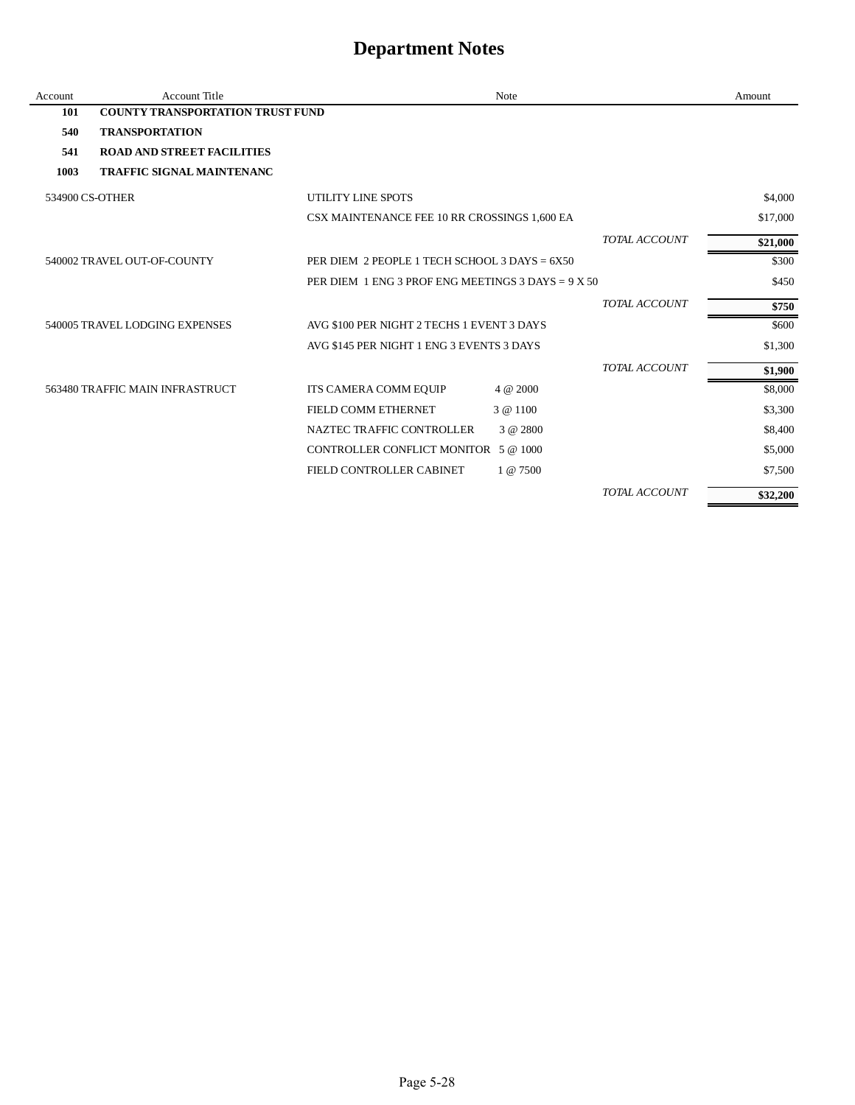| Account         | <b>Account Title</b>                    |                                                      | Note        |                      | Amount   |
|-----------------|-----------------------------------------|------------------------------------------------------|-------------|----------------------|----------|
| 101             | <b>COUNTY TRANSPORTATION TRUST FUND</b> |                                                      |             |                      |          |
| 540             | <b>TRANSPORTATION</b>                   |                                                      |             |                      |          |
| 541             | <b>ROAD AND STREET FACILITIES</b>       |                                                      |             |                      |          |
| 1003            | <b>TRAFFIC SIGNAL MAINTENANC</b>        |                                                      |             |                      |          |
| 534900 CS-OTHER |                                         | UTILITY LINE SPOTS                                   |             |                      | \$4,000  |
|                 |                                         | CSX MAINTENANCE FEE 10 RR CROSSINGS 1,600 EA         |             |                      | \$17,000 |
|                 |                                         |                                                      |             | TOTAL ACCOUNT        | \$21,000 |
|                 | 540002 TRAVEL OUT-OF-COUNTY             | PER DIEM 2 PEOPLE 1 TECH SCHOOL 3 DAYS = 6X50        |             |                      | \$300    |
|                 |                                         | PER DIEM 1 ENG 3 PROF ENG MEETINGS 3 DAYS = $9 X 50$ |             |                      | \$450    |
|                 |                                         |                                                      |             | <b>TOTAL ACCOUNT</b> | \$750    |
|                 | 540005 TRAVEL LODGING EXPENSES          | AVG \$100 PER NIGHT 2 TECHS 1 EVENT 3 DAYS           |             |                      | \$600    |
|                 |                                         | AVG \$145 PER NIGHT 1 ENG 3 EVENTS 3 DAYS            |             |                      | \$1,300  |
|                 |                                         |                                                      |             | TOTAL ACCOUNT        | \$1,900  |
|                 | 563480 TRAFFIC MAIN INFRASTRUCT         | ITS CAMERA COMM EQUIP                                | 4 @ 2000    |                      | \$8,000  |
|                 |                                         | FIELD COMM ETHERNET                                  | 3 @ 1100    |                      | \$3,300  |
|                 |                                         | NAZTEC TRAFFIC CONTROLLER                            | 3 @ 2800    |                      | \$8,400  |
|                 |                                         | CONTROLLER CONFLICT MONITOR 5 @ 1000                 |             |                      | \$5,000  |
|                 |                                         | FIELD CONTROLLER CABINET                             | $1 \& 7500$ |                      | \$7,500  |
|                 |                                         |                                                      |             | TOTAL ACCOUNT        | \$32,200 |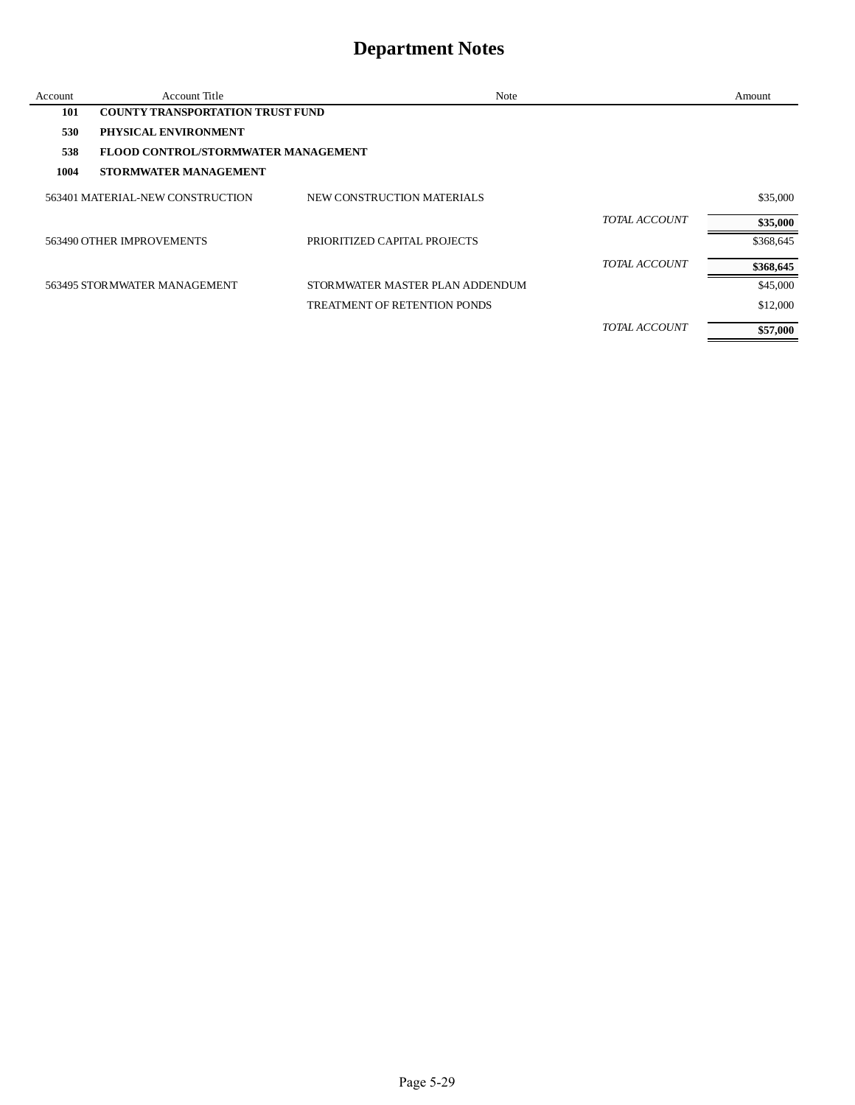| Account | Account Title                           | Note                                |                      | Amount    |
|---------|-----------------------------------------|-------------------------------------|----------------------|-----------|
| 101     | <b>COUNTY TRANSPORTATION TRUST FUND</b> |                                     |                      |           |
| 530     | PHYSICAL ENVIRONMENT                    |                                     |                      |           |
| 538     | FLOOD CONTROL/STORMWATER MANAGEMENT     |                                     |                      |           |
| 1004    | <b>STORMWATER MANAGEMENT</b>            |                                     |                      |           |
|         | 563401 MATERIAL-NEW CONSTRUCTION        | NEW CONSTRUCTION MATERIALS          |                      | \$35,000  |
|         |                                         |                                     | TOTAL ACCOUNT        | \$35,000  |
|         | 563490 OTHER IMPROVEMENTS               | PRIORITIZED CAPITAL PROJECTS        |                      | \$368,645 |
|         |                                         |                                     | <b>TOTAL ACCOUNT</b> | \$368,645 |
|         | 563495 STORMWATER MANAGEMENT            | STORMWATER MASTER PLAN ADDENDUM     |                      | \$45,000  |
|         |                                         | <b>TREATMENT OF RETENTION PONDS</b> |                      | \$12,000  |
|         |                                         |                                     | <b>TOTAL ACCOUNT</b> | \$57,000  |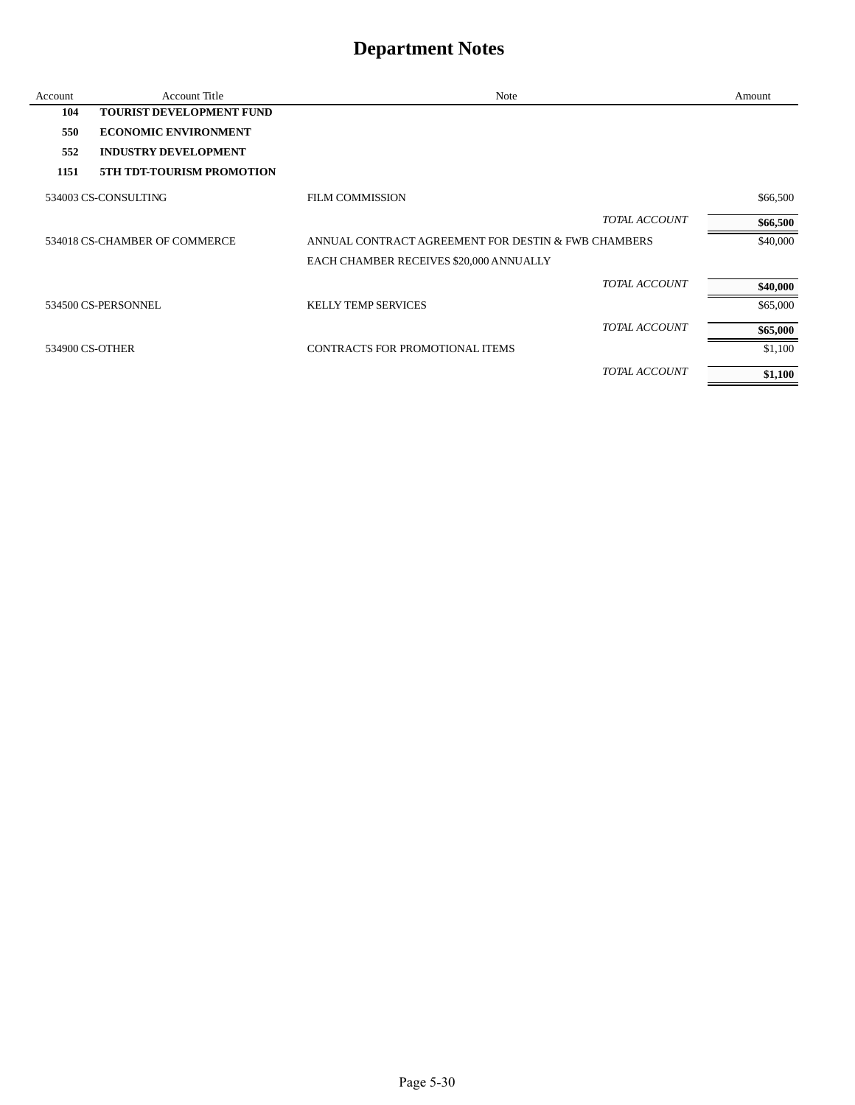| Account | <b>Account Title</b>             | Note                                                | Amount   |
|---------|----------------------------------|-----------------------------------------------------|----------|
| 104     | <b>TOURIST DEVELOPMENT FUND</b>  |                                                     |          |
| 550     | <b>ECONOMIC ENVIRONMENT</b>      |                                                     |          |
| 552     | <b>INDUSTRY DEVELOPMENT</b>      |                                                     |          |
| 1151    | <b>5TH TDT-TOURISM PROMOTION</b> |                                                     |          |
|         | 534003 CS-CONSULTING             | <b>FILM COMMISSION</b>                              | \$66,500 |
|         |                                  | <b>TOTAL ACCOUNT</b>                                | \$66,500 |
|         | 534018 CS-CHAMBER OF COMMERCE    | ANNUAL CONTRACT AGREEMENT FOR DESTIN & FWB CHAMBERS | \$40,000 |
|         |                                  | EACH CHAMBER RECEIVES \$20,000 ANNUALLY             |          |
|         |                                  | <b>TOTAL ACCOUNT</b>                                | \$40,000 |
|         | 534500 CS-PERSONNEL              | <b>KELLY TEMP SERVICES</b>                          | \$65,000 |
|         |                                  | TOTAL ACCOUNT                                       | \$65,000 |
|         | 534900 CS-OTHER                  | CONTRACTS FOR PROMOTIONAL ITEMS                     | \$1,100  |
|         |                                  | TOTAL ACCOUNT                                       | \$1,100  |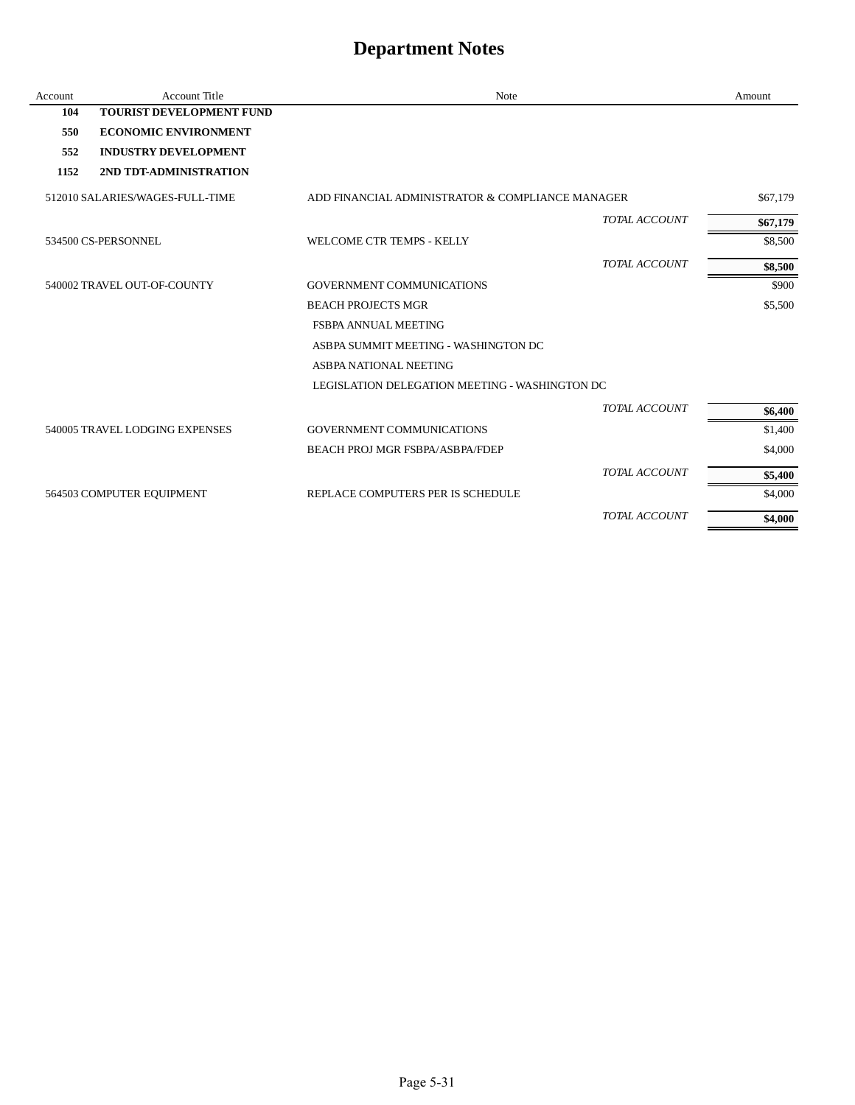| Account | <b>Account Title</b>            | Note                                             |                      | Amount   |
|---------|---------------------------------|--------------------------------------------------|----------------------|----------|
| 104     | <b>TOURIST DEVELOPMENT FUND</b> |                                                  |                      |          |
| 550     | <b>ECONOMIC ENVIRONMENT</b>     |                                                  |                      |          |
| 552     | <b>INDUSTRY DEVELOPMENT</b>     |                                                  |                      |          |
| 1152    | 2ND TDT-ADMINISTRATION          |                                                  |                      |          |
|         | 512010 SALARIES/WAGES-FULL-TIME | ADD FINANCIAL ADMINISTRATOR & COMPLIANCE MANAGER |                      | \$67,179 |
|         |                                 |                                                  | <b>TOTAL ACCOUNT</b> | \$67,179 |
|         | 534500 CS-PERSONNEL             | WELCOME CTR TEMPS - KELLY                        |                      | \$8,500  |
|         |                                 |                                                  | <b>TOTAL ACCOUNT</b> | \$8,500  |
|         | 540002 TRAVEL OUT-OF-COUNTY     | <b>GOVERNMENT COMMUNICATIONS</b>                 |                      | \$900    |
|         |                                 | <b>BEACH PROJECTS MGR</b>                        |                      | \$5,500  |
|         |                                 | <b>FSBPA ANNUAL MEETING</b>                      |                      |          |
|         |                                 | ASBPA SUMMIT MEETING - WASHINGTON DC             |                      |          |
|         |                                 | ASBPA NATIONAL NEETING                           |                      |          |
|         |                                 | LEGISLATION DELEGATION MEETING - WASHINGTON DC   |                      |          |
|         |                                 |                                                  | <b>TOTAL ACCOUNT</b> | \$6,400  |
|         | 540005 TRAVEL LODGING EXPENSES  | <b>GOVERNMENT COMMUNICATIONS</b>                 |                      | \$1,400  |
|         |                                 | BEACH PROJ MGR FSBPA/ASBPA/FDEP                  |                      | \$4,000  |
|         |                                 |                                                  | <b>TOTAL ACCOUNT</b> | \$5,400  |
|         | 564503 COMPUTER EQUIPMENT       | REPLACE COMPUTERS PER IS SCHEDULE                |                      | \$4,000  |
|         |                                 |                                                  | <b>TOTAL ACCOUNT</b> | \$4,000  |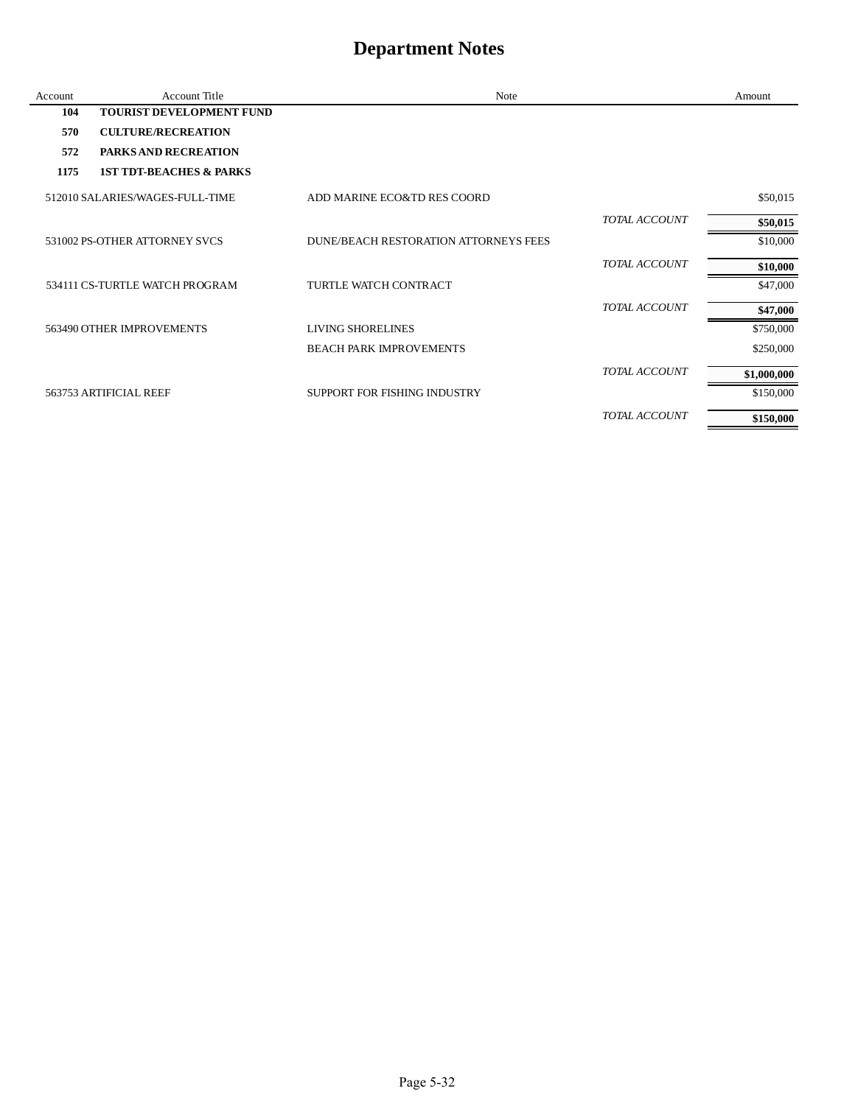| Account | Account Title                      | Note                                  |                      | Amount      |
|---------|------------------------------------|---------------------------------------|----------------------|-------------|
| 104     | <b>TOURIST DEVELOPMENT FUND</b>    |                                       |                      |             |
| 570     | <b>CULTURE/RECREATION</b>          |                                       |                      |             |
| 572     | <b>PARKS AND RECREATION</b>        |                                       |                      |             |
| 1175    | <b>1ST TDT-BEACHES &amp; PARKS</b> |                                       |                      |             |
|         | 512010 SALARIES/WAGES-FULL-TIME    | ADD MARINE ECO&TD RES COORD           |                      | \$50,015    |
|         |                                    |                                       | <b>TOTAL ACCOUNT</b> | \$50,015    |
|         | 531002 PS-OTHER ATTORNEY SVCS      | DUNE/BEACH RESTORATION ATTORNEYS FEES |                      | \$10,000    |
|         |                                    |                                       | <b>TOTAL ACCOUNT</b> | \$10,000    |
|         | 534111 CS-TURTLE WATCH PROGRAM     | TURTLE WATCH CONTRACT                 |                      | \$47,000    |
|         |                                    |                                       | <b>TOTAL ACCOUNT</b> | \$47,000    |
|         | 563490 OTHER IMPROVEMENTS          | <b>LIVING SHORELINES</b>              |                      | \$750,000   |
|         |                                    | <b>BEACH PARK IMPROVEMENTS</b>        |                      | \$250,000   |
|         |                                    |                                       | TOTAL ACCOUNT        | \$1,000,000 |
|         | 563753 ARTIFICIAL REEF             | SUPPORT FOR FISHING INDUSTRY          |                      | \$150,000   |
|         |                                    |                                       | TOTAL ACCOUNT        | \$150,000   |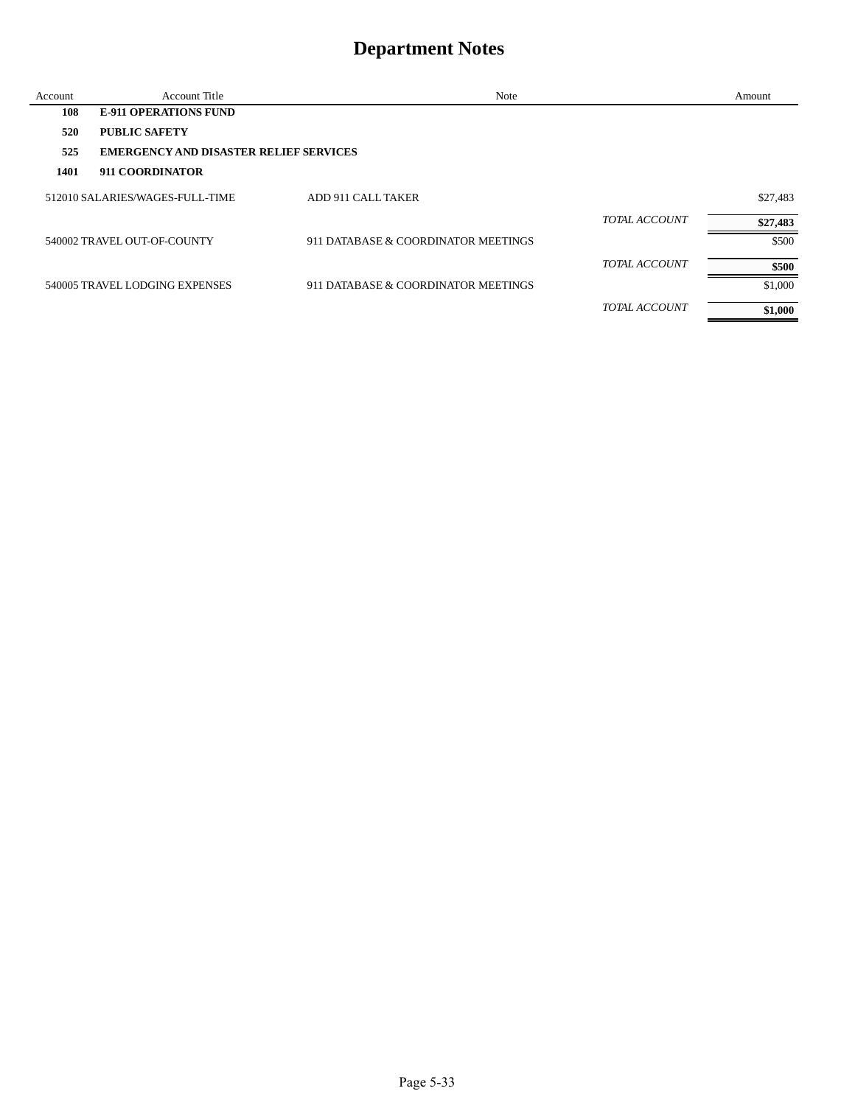| Account | Account Title                                 | Note                                |               | Amount   |
|---------|-----------------------------------------------|-------------------------------------|---------------|----------|
| 108     | <b>E-911 OPERATIONS FUND</b>                  |                                     |               |          |
| 520     | <b>PUBLIC SAFETY</b>                          |                                     |               |          |
| 525     | <b>EMERGENCY AND DISASTER RELIEF SERVICES</b> |                                     |               |          |
| 1401    | 911 COORDINATOR                               |                                     |               |          |
|         | 512010 SALARIES/WAGES-FULL-TIME               | ADD 911 CALL TAKER                  |               | \$27,483 |
|         |                                               |                                     | TOTAL ACCOUNT | \$27,483 |
|         | 540002 TRAVEL OUT-OF-COUNTY                   | 911 DATABASE & COORDINATOR MEETINGS |               | \$500    |
|         |                                               |                                     | TOTAL ACCOUNT | \$500    |
|         | 540005 TRAVEL LODGING EXPENSES                | 911 DATABASE & COORDINATOR MEETINGS |               | \$1,000  |
|         |                                               |                                     | TOTAL ACCOUNT | \$1,000  |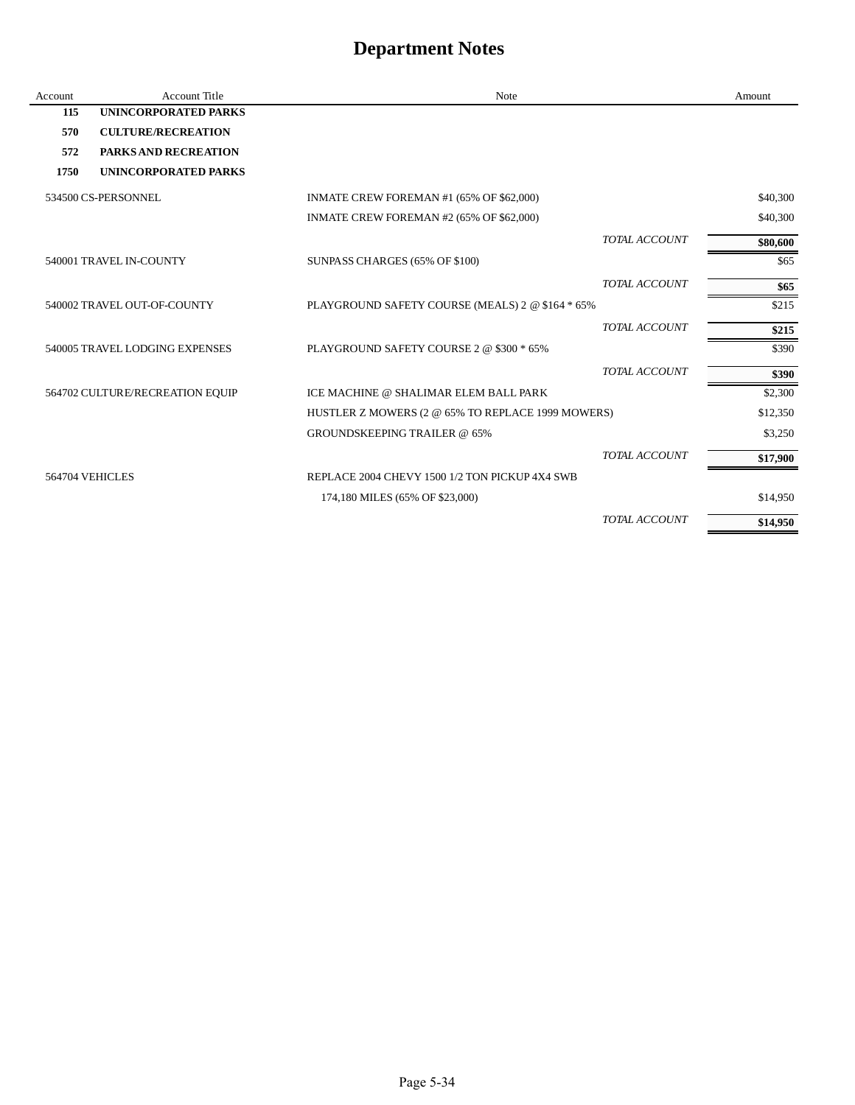| Account         | <b>Account Title</b>            | <b>Note</b>                                       |                      | Amount   |
|-----------------|---------------------------------|---------------------------------------------------|----------------------|----------|
| 115             | <b>UNINCORPORATED PARKS</b>     |                                                   |                      |          |
| 570             | <b>CULTURE/RECREATION</b>       |                                                   |                      |          |
| 572             | <b>PARKS AND RECREATION</b>     |                                                   |                      |          |
| 1750            | UNINCORPORATED PARKS            |                                                   |                      |          |
|                 | 534500 CS-PERSONNEL             | INMATE CREW FOREMAN #1 (65% OF \$62,000)          |                      | \$40,300 |
|                 |                                 | INMATE CREW FOREMAN #2 (65% OF \$62,000)          |                      | \$40,300 |
|                 |                                 |                                                   | <b>TOTAL ACCOUNT</b> | \$80,600 |
|                 | 540001 TRAVEL IN-COUNTY         | SUNPASS CHARGES (65% OF \$100)                    |                      | \$65     |
|                 |                                 |                                                   | <b>TOTAL ACCOUNT</b> | \$65     |
|                 | 540002 TRAVEL OUT-OF-COUNTY     | PLAYGROUND SAFETY COURSE (MEALS) 2 @ \$164 * 65%  |                      | \$215    |
|                 |                                 |                                                   | <b>TOTAL ACCOUNT</b> | \$215    |
|                 | 540005 TRAVEL LODGING EXPENSES  | PLAYGROUND SAFETY COURSE 2 @ \$300 * 65%          |                      | \$390    |
|                 |                                 |                                                   | TOTAL ACCOUNT        | \$390    |
|                 | 564702 CULTURE/RECREATION EQUIP | ICE MACHINE @ SHALIMAR ELEM BALL PARK             |                      | \$2,300  |
|                 |                                 | HUSTLER Z MOWERS (2 @ 65% TO REPLACE 1999 MOWERS) |                      | \$12,350 |
|                 |                                 | <b>GROUNDSKEEPING TRAILER @ 65%</b>               |                      | \$3,250  |
|                 |                                 |                                                   | TOTAL ACCOUNT        | \$17,900 |
| 564704 VEHICLES |                                 | REPLACE 2004 CHEVY 1500 1/2 TON PICKUP 4X4 SWB    |                      |          |
|                 |                                 | 174,180 MILES (65% OF \$23,000)                   |                      | \$14,950 |
|                 |                                 |                                                   | <b>TOTAL ACCOUNT</b> | \$14,950 |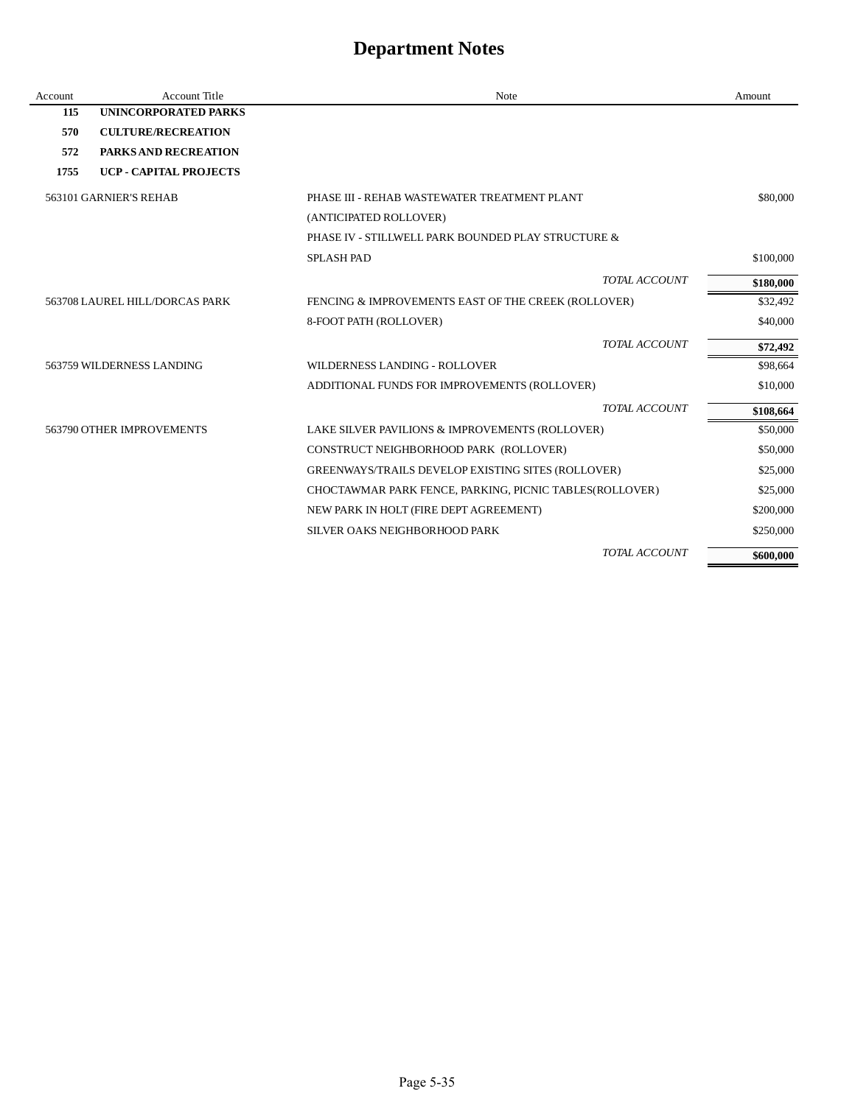| Account | <b>Account Title</b>           | Note                                                    | Amount    |
|---------|--------------------------------|---------------------------------------------------------|-----------|
| 115     | <b>UNINCORPORATED PARKS</b>    |                                                         |           |
| 570     | <b>CULTURE/RECREATION</b>      |                                                         |           |
| 572     | <b>PARKS AND RECREATION</b>    |                                                         |           |
| 1755    | <b>UCP - CAPITAL PROJECTS</b>  |                                                         |           |
|         | 563101 GARNIER'S REHAB         | PHASE III - REHAB WASTEWATER TREATMENT PLANT            | \$80,000  |
|         |                                | (ANTICIPATED ROLLOVER)                                  |           |
|         |                                | PHASE IV - STILLWELL PARK BOUNDED PLAY STRUCTURE &      |           |
|         |                                | <b>SPLASH PAD</b>                                       | \$100,000 |
|         |                                | TOTAL ACCOUNT                                           | \$180,000 |
|         | 563708 LAUREL HILL/DORCAS PARK | FENCING & IMPROVEMENTS EAST OF THE CREEK (ROLLOVER)     | \$32,492  |
|         |                                | 8-FOOT PATH (ROLLOVER)                                  | \$40,000  |
|         |                                | TOTAL ACCOUNT                                           | \$72,492  |
|         | 563759 WILDERNESS LANDING      | <b>WILDERNESS LANDING - ROLLOVER</b>                    | \$98,664  |
|         |                                | ADDITIONAL FUNDS FOR IMPROVEMENTS (ROLLOVER)            | \$10,000  |
|         |                                | TOTAL ACCOUNT                                           | \$108,664 |
|         | 563790 OTHER IMPROVEMENTS      | LAKE SILVER PAVILIONS & IMPROVEMENTS (ROLLOVER)         | \$50,000  |
|         |                                | CONSTRUCT NEIGHBORHOOD PARK (ROLLOVER)                  | \$50,000  |
|         |                                | GREENWAYS/TRAILS DEVELOP EXISTING SITES (ROLLOVER)      | \$25,000  |
|         |                                | CHOCTAWMAR PARK FENCE, PARKING, PICNIC TABLES(ROLLOVER) | \$25,000  |
|         |                                | NEW PARK IN HOLT (FIRE DEPT AGREEMENT)                  | \$200,000 |
|         |                                | SILVER OAKS NEIGHBORHOOD PARK                           | \$250,000 |
|         |                                | TOTAL ACCOUNT                                           | \$600,000 |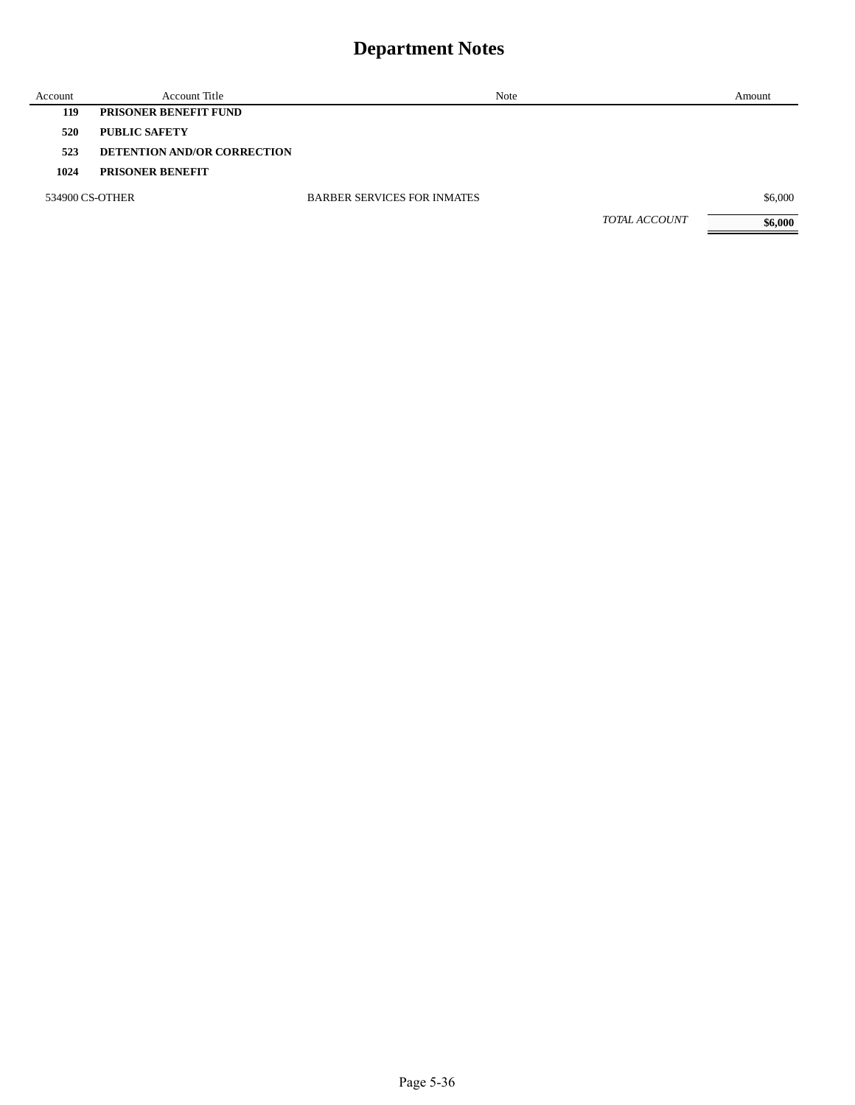| Account         | Account Title                      | Note                               | Amount  |
|-----------------|------------------------------------|------------------------------------|---------|
| 119             | <b>PRISONER BENEFIT FUND</b>       |                                    |         |
| 520             | <b>PUBLIC SAFETY</b>               |                                    |         |
| 523             | <b>DETENTION AND/OR CORRECTION</b> |                                    |         |
| 1024            | <b>PRISONER BENEFIT</b>            |                                    |         |
| 534900 CS-OTHER |                                    | <b>BARBER SERVICES FOR INMATES</b> | \$6,000 |
|                 |                                    | <b>TOTAL ACCOUNT</b>               | \$6,000 |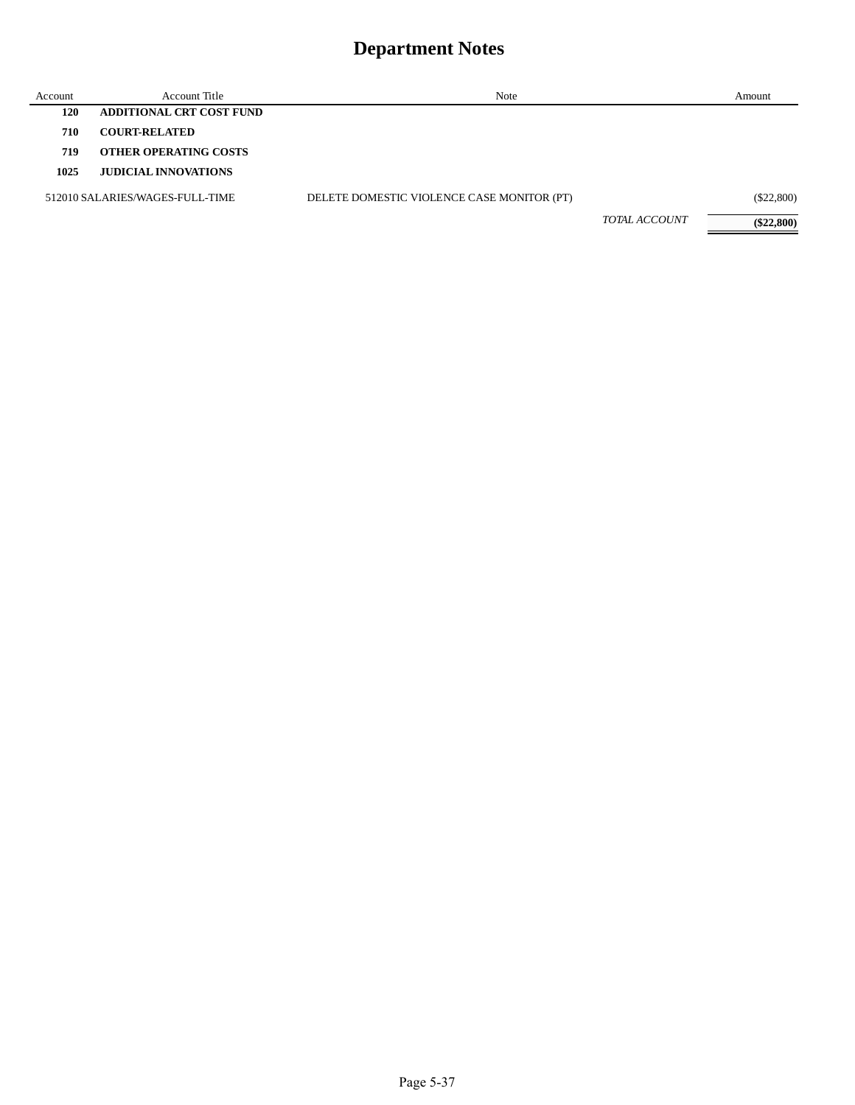| Account | Account Title                   | Note                                       |                      | Amount       |
|---------|---------------------------------|--------------------------------------------|----------------------|--------------|
| 120     | <b>ADDITIONAL CRT COST FUND</b> |                                            |                      |              |
| 710     | <b>COURT-RELATED</b>            |                                            |                      |              |
| 719     | <b>OTHER OPERATING COSTS</b>    |                                            |                      |              |
| 1025    | <b>JUDICIAL INNOVATIONS</b>     |                                            |                      |              |
|         | 512010 SALARIES/WAGES-FULL-TIME | DELETE DOMESTIC VIOLENCE CASE MONITOR (PT) |                      | $(\$22,800)$ |
|         |                                 |                                            | <i>TOTAL ACCOUNT</i> | $(\$22,800)$ |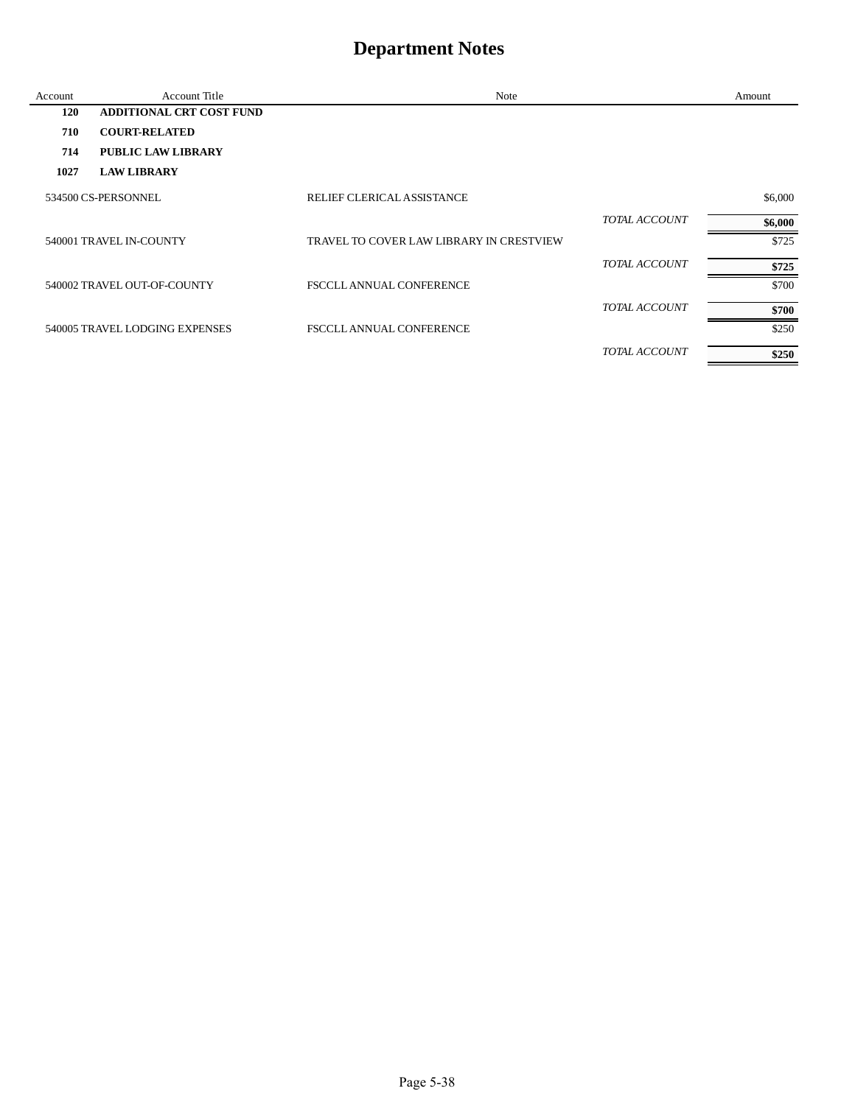| Account | Account Title                   | Note                                     |                      | Amount  |
|---------|---------------------------------|------------------------------------------|----------------------|---------|
| 120     | <b>ADDITIONAL CRT COST FUND</b> |                                          |                      |         |
| 710     | <b>COURT-RELATED</b>            |                                          |                      |         |
| 714     | <b>PUBLIC LAW LIBRARY</b>       |                                          |                      |         |
| 1027    | <b>LAW LIBRARY</b>              |                                          |                      |         |
|         | 534500 CS-PERSONNEL             | RELIEF CLERICAL ASSISTANCE               |                      | \$6,000 |
|         |                                 |                                          | <b>TOTAL ACCOUNT</b> | \$6,000 |
|         | 540001 TRAVEL IN-COUNTY         | TRAVEL TO COVER LAW LIBRARY IN CRESTVIEW |                      | \$725   |
|         |                                 |                                          | <b>TOTAL ACCOUNT</b> | \$725   |
|         | 540002 TRAVEL OUT-OF-COUNTY     | <b>FSCCLL ANNUAL CONFERENCE</b>          |                      | \$700   |
|         |                                 |                                          | TOTAL ACCOUNT        | \$700   |
|         | 540005 TRAVEL LODGING EXPENSES  | <b>FSCCLL ANNUAL CONFERENCE</b>          |                      | \$250   |
|         |                                 |                                          | <b>TOTAL ACCOUNT</b> | \$250   |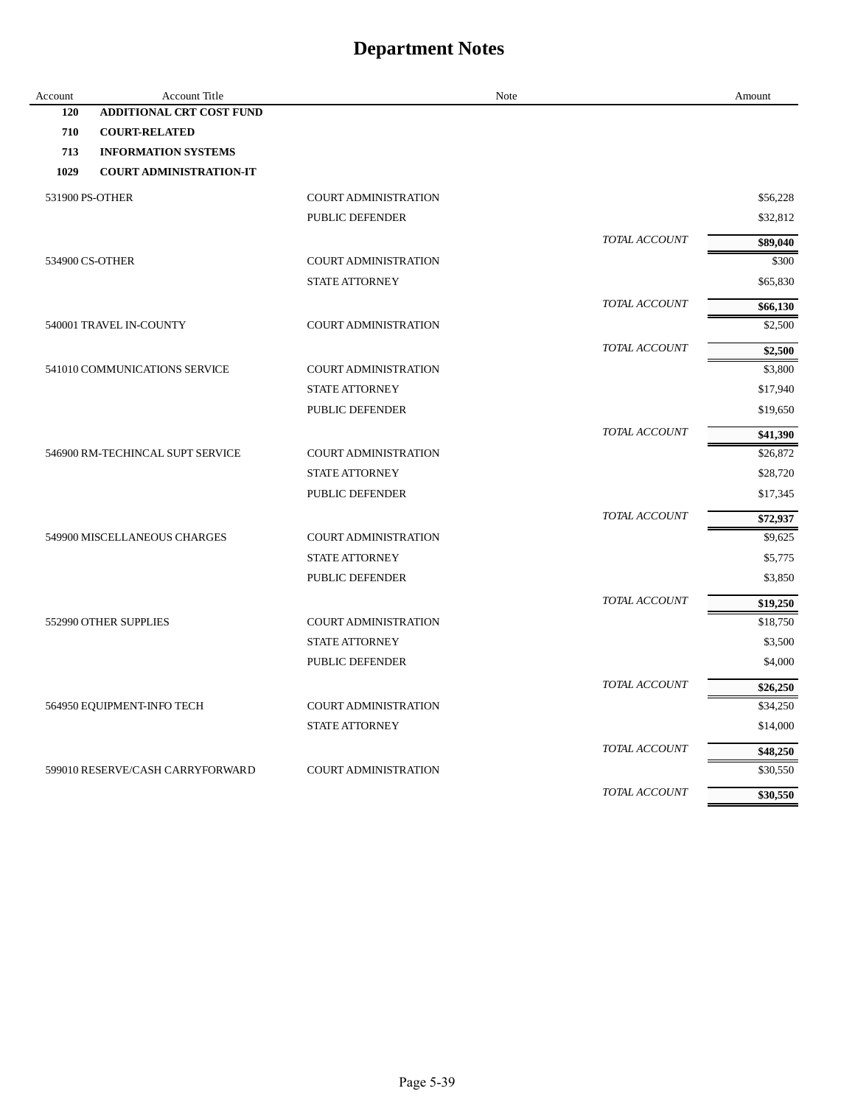| Account | Account Title                    |                             | Note          | Amount   |
|---------|----------------------------------|-----------------------------|---------------|----------|
| 120     | <b>ADDITIONAL CRT COST FUND</b>  |                             |               |          |
| 710     | <b>COURT-RELATED</b>             |                             |               |          |
| 713     | <b>INFORMATION SYSTEMS</b>       |                             |               |          |
| 1029    | <b>COURT ADMINISTRATION-IT</b>   |                             |               |          |
|         | 531900 PS-OTHER                  | <b>COURT ADMINISTRATION</b> |               | \$56,228 |
|         |                                  | PUBLIC DEFENDER             |               | \$32,812 |
|         |                                  |                             | TOTAL ACCOUNT | \$89,040 |
|         | 534900 CS-OTHER                  | <b>COURT ADMINISTRATION</b> |               | \$300    |
|         |                                  | <b>STATE ATTORNEY</b>       |               | \$65,830 |
|         |                                  |                             | TOTAL ACCOUNT | \$66,130 |
|         | 540001 TRAVEL IN-COUNTY          | <b>COURT ADMINISTRATION</b> |               | \$2,500  |
|         |                                  |                             | TOTAL ACCOUNT | \$2,500  |
|         | 541010 COMMUNICATIONS SERVICE    | <b>COURT ADMINISTRATION</b> |               | \$3,800  |
|         |                                  | <b>STATE ATTORNEY</b>       |               | \$17,940 |
|         |                                  | PUBLIC DEFENDER             |               | \$19,650 |
|         |                                  |                             | TOTAL ACCOUNT | \$41,390 |
|         | 546900 RM-TECHINCAL SUPT SERVICE | <b>COURT ADMINISTRATION</b> |               | \$26,872 |
|         |                                  | <b>STATE ATTORNEY</b>       |               | \$28,720 |
|         |                                  | PUBLIC DEFENDER             |               | \$17,345 |
|         |                                  |                             | TOTAL ACCOUNT | \$72,937 |
|         | 549900 MISCELLANEOUS CHARGES     | <b>COURT ADMINISTRATION</b> |               | \$9,625  |
|         |                                  | <b>STATE ATTORNEY</b>       |               | \$5,775  |
|         |                                  | PUBLIC DEFENDER             |               | \$3,850  |
|         |                                  |                             | TOTAL ACCOUNT | \$19,250 |
|         | 552990 OTHER SUPPLIES            | <b>COURT ADMINISTRATION</b> |               | \$18,750 |
|         |                                  | <b>STATE ATTORNEY</b>       |               | \$3,500  |
|         |                                  | PUBLIC DEFENDER             |               | \$4,000  |
|         |                                  |                             | TOTAL ACCOUNT | \$26,250 |
|         | 564950 EQUIPMENT-INFO TECH       | COURT ADMINISTRATION        |               | \$34,250 |
|         |                                  | <b>STATE ATTORNEY</b>       |               | \$14,000 |
|         |                                  |                             | TOTAL ACCOUNT | \$48,250 |
|         | 599010 RESERVE/CASH CARRYFORWARD | <b>COURT ADMINISTRATION</b> |               | \$30,550 |
|         |                                  |                             | TOTAL ACCOUNT | \$30,550 |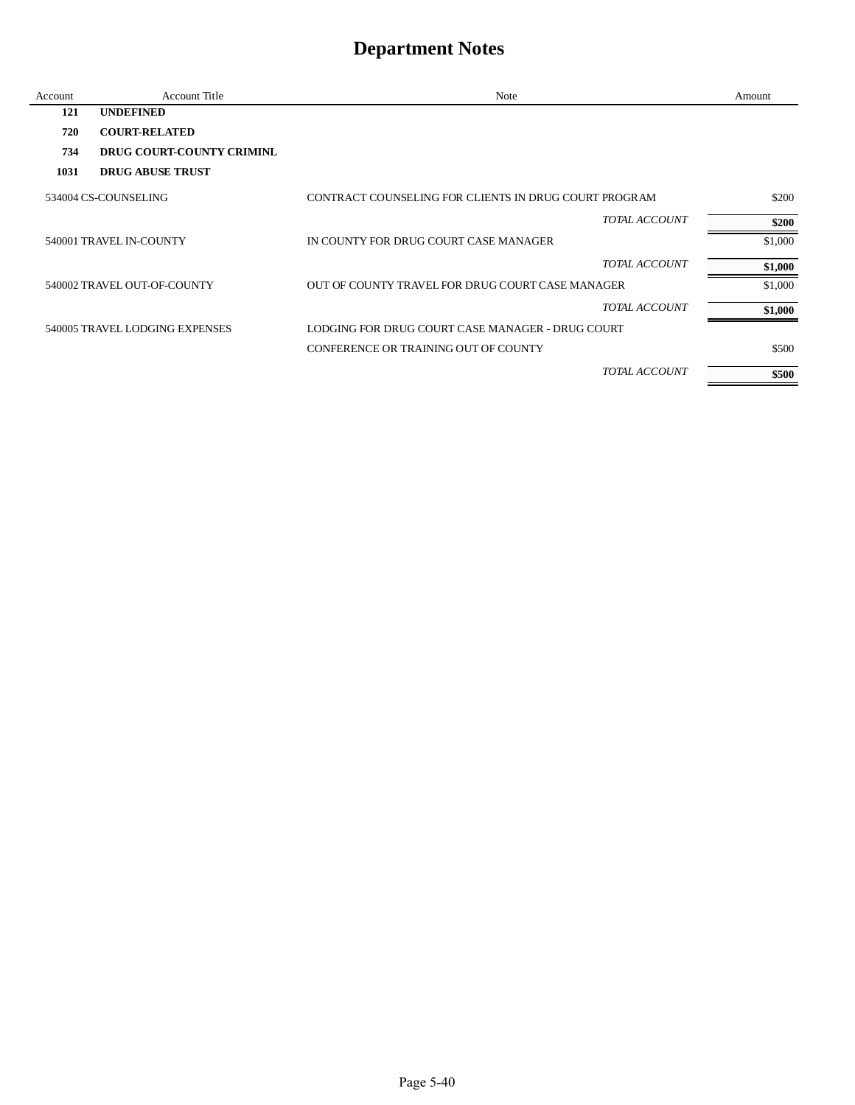| Account | <b>Account Title</b>             | Note                                                  | Amount  |
|---------|----------------------------------|-------------------------------------------------------|---------|
| 121     | <b>UNDEFINED</b>                 |                                                       |         |
| 720     | <b>COURT-RELATED</b>             |                                                       |         |
| 734     | <b>DRUG COURT-COUNTY CRIMINL</b> |                                                       |         |
| 1031    | <b>DRUG ABUSE TRUST</b>          |                                                       |         |
|         | 534004 CS-COUNSELING             | CONTRACT COUNSELING FOR CLIENTS IN DRUG COURT PROGRAM | \$200   |
|         |                                  | TOTAL ACCOUNT                                         | \$200   |
|         | 540001 TRAVEL IN-COUNTY          | IN COUNTY FOR DRUG COURT CASE MANAGER                 | \$1,000 |
|         |                                  | TOTAL ACCOUNT                                         | \$1,000 |
|         | 540002 TRAVEL OUT-OF-COUNTY      | OUT OF COUNTY TRAVEL FOR DRUG COURT CASE MANAGER      | \$1,000 |
|         |                                  | TOTAL ACCOUNT                                         | \$1,000 |
|         | 540005 TRAVEL LODGING EXPENSES   | LODGING FOR DRUG COURT CASE MANAGER - DRUG COURT      |         |
|         |                                  | CONFERENCE OR TRAINING OUT OF COUNTY                  | \$500   |
|         |                                  | <b>TOTAL ACCOUNT</b>                                  | \$500   |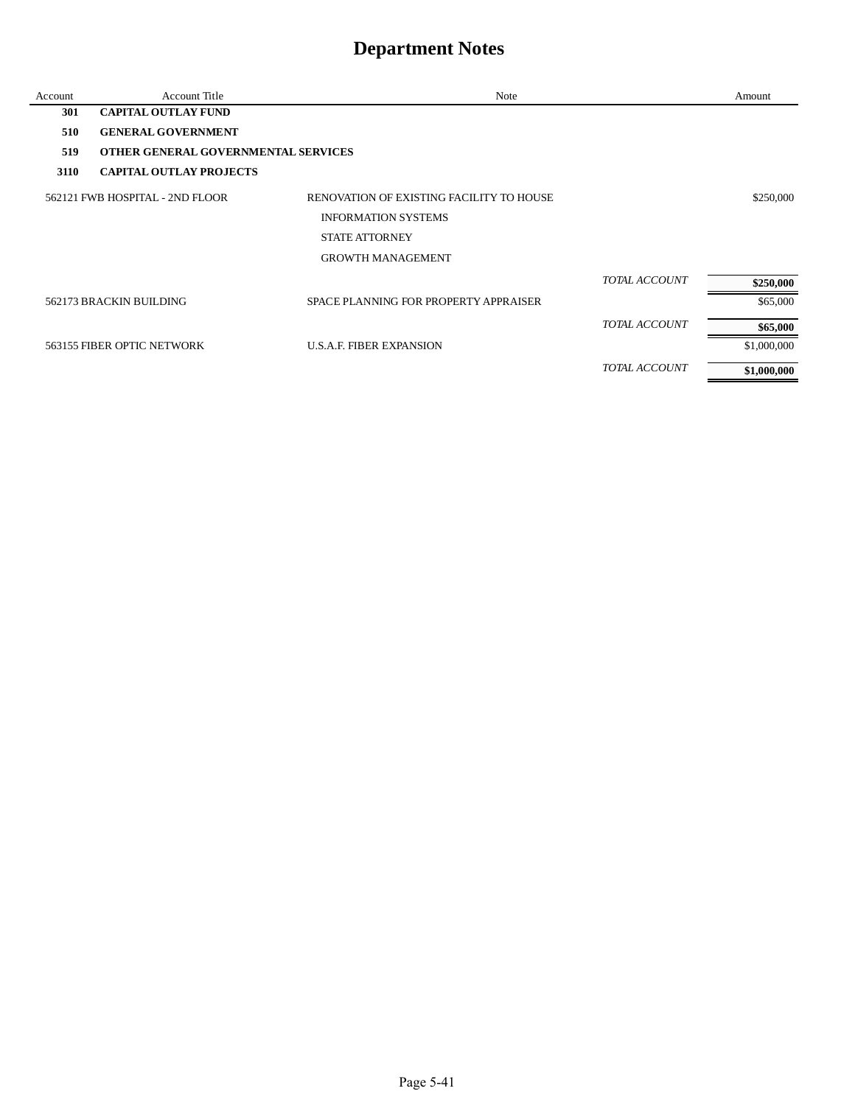| Account | <b>Account Title</b>                | Note                                     |                      | Amount      |
|---------|-------------------------------------|------------------------------------------|----------------------|-------------|
| 301     | <b>CAPITAL OUTLAY FUND</b>          |                                          |                      |             |
| 510     | <b>GENERAL GOVERNMENT</b>           |                                          |                      |             |
| 519     | OTHER GENERAL GOVERNMENTAL SERVICES |                                          |                      |             |
| 3110    | <b>CAPITAL OUTLAY PROJECTS</b>      |                                          |                      |             |
|         | 562121 FWB HOSPITAL - 2ND FLOOR     | RENOVATION OF EXISTING FACILITY TO HOUSE |                      | \$250,000   |
|         |                                     | <b>INFORMATION SYSTEMS</b>               |                      |             |
|         |                                     | <b>STATE ATTORNEY</b>                    |                      |             |
|         |                                     | <b>GROWTH MANAGEMENT</b>                 |                      |             |
|         |                                     |                                          | <b>TOTAL ACCOUNT</b> | \$250,000   |
|         | 562173 BRACKIN BUILDING             | SPACE PLANNING FOR PROPERTY APPRAISER    |                      | \$65,000    |
|         |                                     |                                          | <b>TOTAL ACCOUNT</b> | \$65,000    |
|         | 563155 FIBER OPTIC NETWORK          | <b>U.S.A.F. FIBER EXPANSION</b>          |                      | \$1,000,000 |
|         |                                     |                                          | TOTAL ACCOUNT        | \$1,000,000 |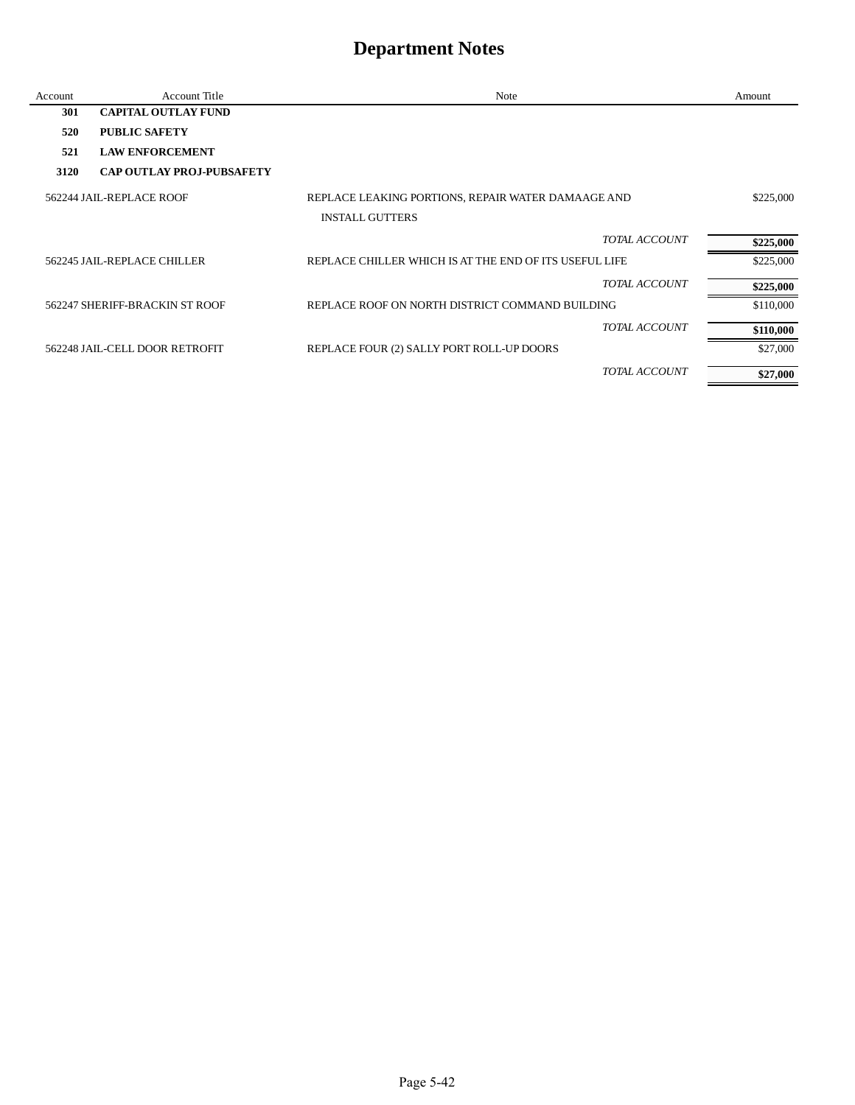| Account | <b>Account Title</b>             | Note                                                   |                      | Amount    |
|---------|----------------------------------|--------------------------------------------------------|----------------------|-----------|
| 301     | <b>CAPITAL OUTLAY FUND</b>       |                                                        |                      |           |
| 520     | <b>PUBLIC SAFETY</b>             |                                                        |                      |           |
| 521     | <b>LAW ENFORCEMENT</b>           |                                                        |                      |           |
| 3120    | <b>CAP OUTLAY PROJ-PUBSAFETY</b> |                                                        |                      |           |
|         | 562244 JAIL-REPLACE ROOF         | REPLACE LEAKING PORTIONS, REPAIR WATER DAMAAGE AND     |                      | \$225,000 |
|         |                                  | <b>INSTALL GUTTERS</b>                                 |                      |           |
|         |                                  |                                                        | <b>TOTAL ACCOUNT</b> | \$225,000 |
|         | 562245 JAIL-REPLACE CHILLER      | REPLACE CHILLER WHICH IS AT THE END OF ITS USEFUL LIFE |                      | \$225,000 |
|         |                                  |                                                        | TOTAL ACCOUNT        | \$225,000 |
|         | 562247 SHERIFF-BRACKIN ST ROOF   | REPLACE ROOF ON NORTH DISTRICT COMMAND BUILDING        |                      | \$110,000 |
|         |                                  |                                                        | TOTAL ACCOUNT        | \$110,000 |
|         | 562248 JAIL-CELL DOOR RETROFIT   | REPLACE FOUR (2) SALLY PORT ROLL-UP DOORS              |                      | \$27,000  |
|         |                                  |                                                        | <b>TOTAL ACCOUNT</b> | \$27,000  |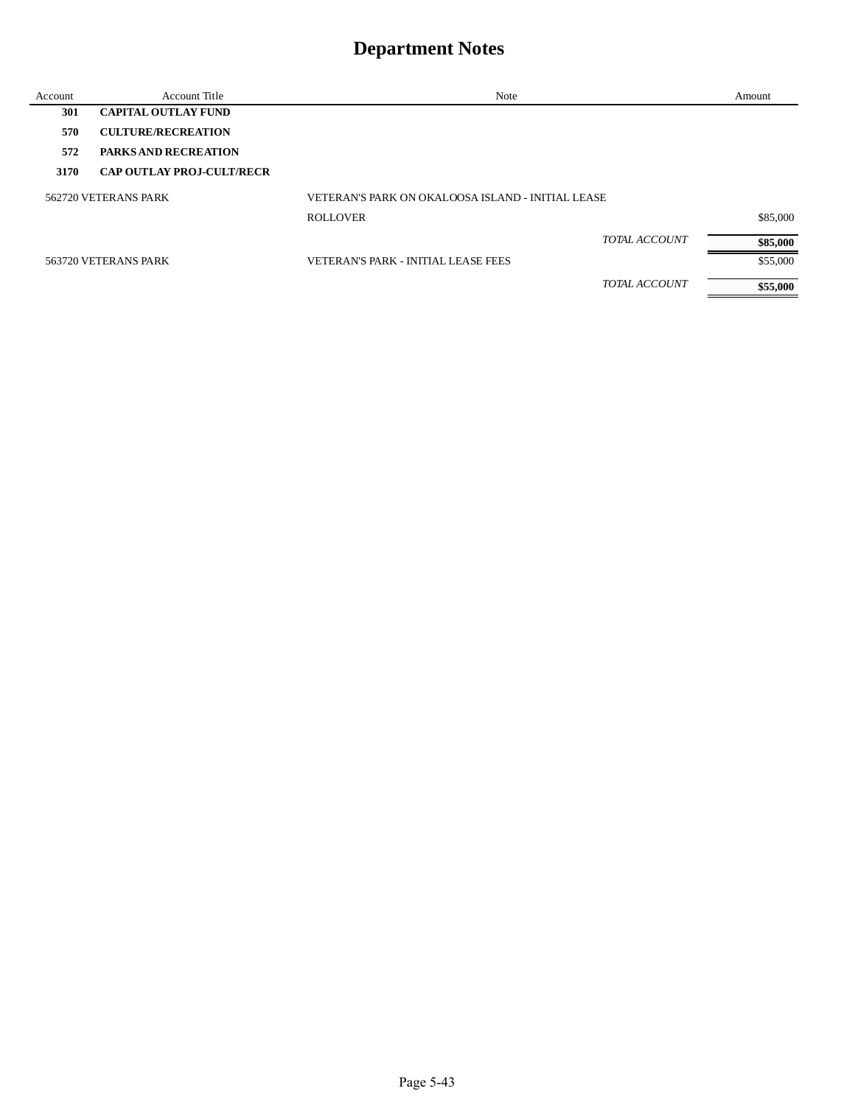| Account | Account Title                    | Note                                              | Amount   |
|---------|----------------------------------|---------------------------------------------------|----------|
| 301     | <b>CAPITAL OUTLAY FUND</b>       |                                                   |          |
| 570     | <b>CULTURE/RECREATION</b>        |                                                   |          |
| 572     | <b>PARKS AND RECREATION</b>      |                                                   |          |
| 3170    | <b>CAP OUTLAY PROJ-CULT/RECR</b> |                                                   |          |
|         | 562720 VETERANS PARK             | VETERAN'S PARK ON OKALOOSA ISLAND - INITIAL LEASE |          |
|         |                                  | <b>ROLLOVER</b>                                   | \$85,000 |
|         |                                  | <b>TOTAL ACCOUNT</b>                              | \$85,000 |
|         | 563720 VETERANS PARK             | <b>VETERAN'S PARK - INITIAL LEASE FEES</b>        | \$55,000 |
|         |                                  | <i>TOTAL ACCOUNT</i>                              | \$55,000 |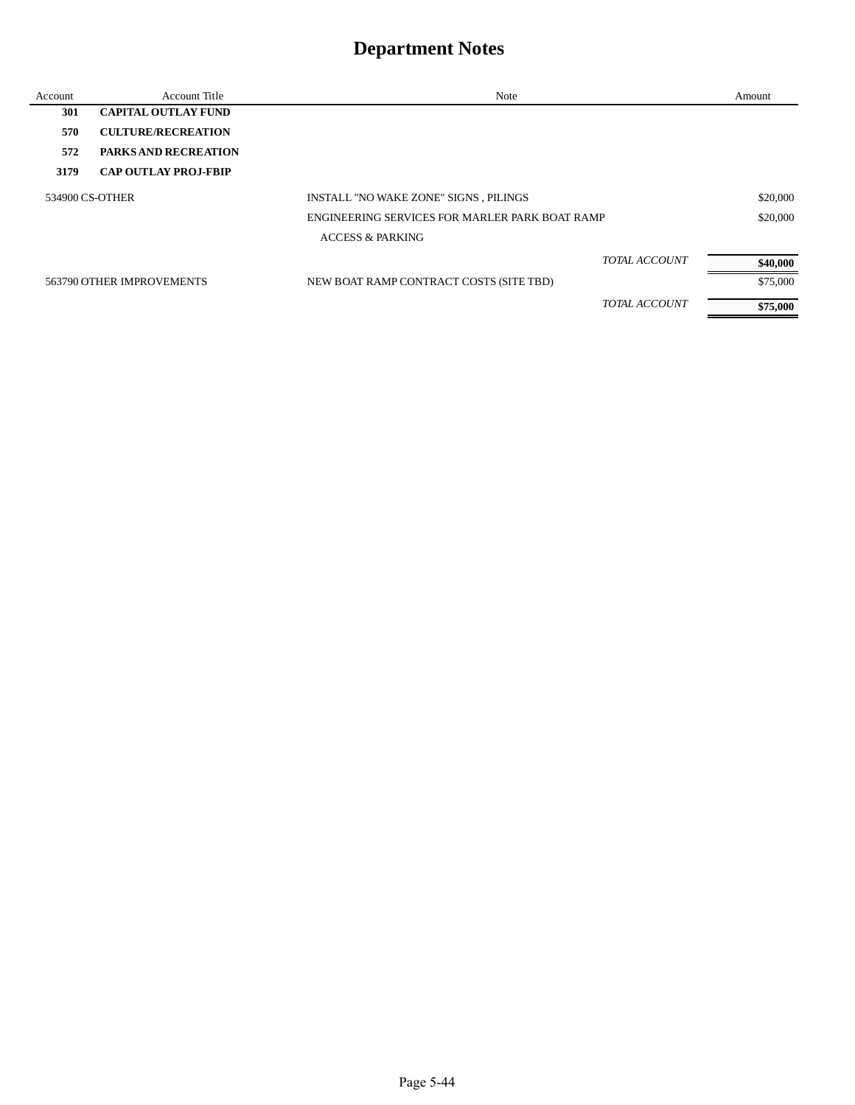| Account | Account Title               | Note                                           |                      | Amount   |
|---------|-----------------------------|------------------------------------------------|----------------------|----------|
| 301     | <b>CAPITAL OUTLAY FUND</b>  |                                                |                      |          |
| 570     | <b>CULTURE/RECREATION</b>   |                                                |                      |          |
| 572     | <b>PARKS AND RECREATION</b> |                                                |                      |          |
| 3179    | <b>CAP OUTLAY PROJ-FBIP</b> |                                                |                      |          |
|         | 534900 CS-OTHER             | INSTALL "NO WAKE ZONE" SIGNS, PILINGS          |                      | \$20,000 |
|         |                             | ENGINEERING SERVICES FOR MARLER PARK BOAT RAMP |                      | \$20,000 |
|         |                             | <b>ACCESS &amp; PARKING</b>                    |                      |          |
|         |                             |                                                | <b>TOTAL ACCOUNT</b> | \$40,000 |
|         | 563790 OTHER IMPROVEMENTS   | NEW BOAT RAMP CONTRACT COSTS (SITE TBD)        |                      | \$75,000 |
|         |                             |                                                | <b>TOTAL ACCOUNT</b> | \$75,000 |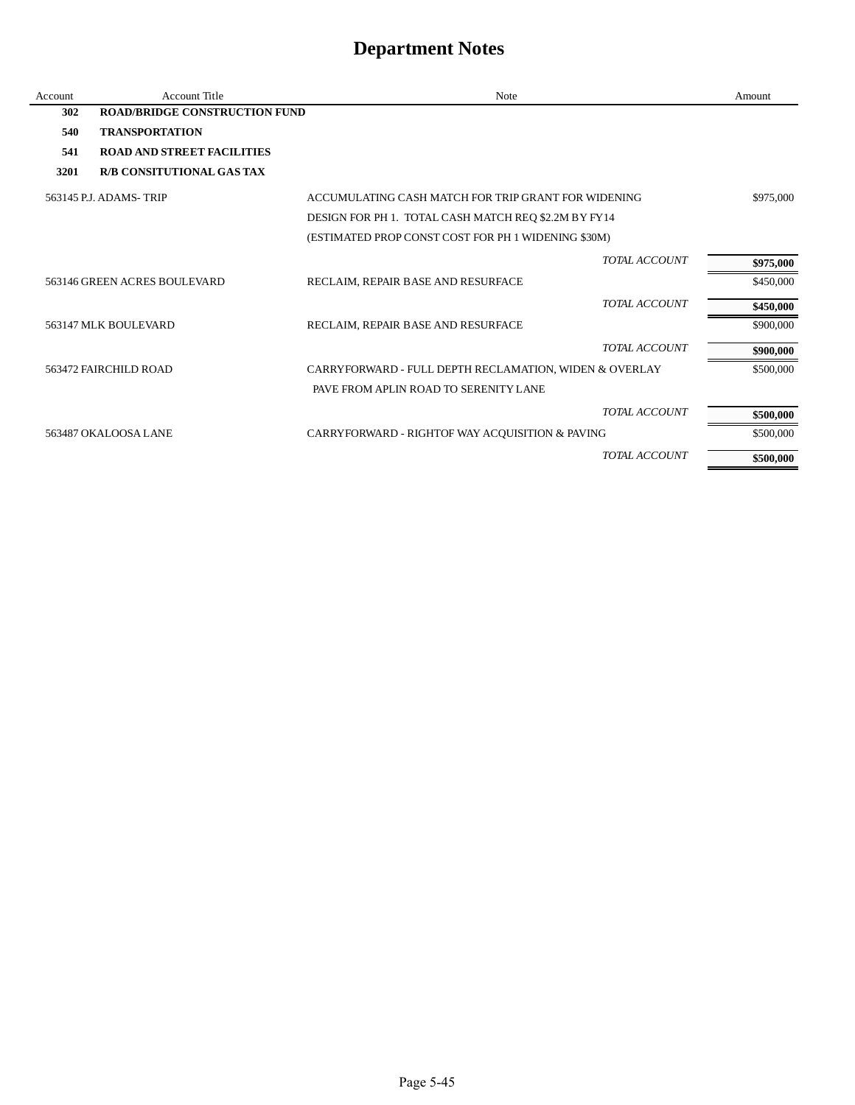| Account | Account Title                        | Note                                                   | Amount    |
|---------|--------------------------------------|--------------------------------------------------------|-----------|
| 302     | <b>ROAD/BRIDGE CONSTRUCTION FUND</b> |                                                        |           |
| 540     | <b>TRANSPORTATION</b>                |                                                        |           |
| 541     | <b>ROAD AND STREET FACILITIES</b>    |                                                        |           |
| 3201    | <b>R/B CONSITUTIONAL GAS TAX</b>     |                                                        |           |
|         | 563145 P.J. ADAMS-TRIP               | ACCUMULATING CASH MATCH FOR TRIP GRANT FOR WIDENING    | \$975,000 |
|         |                                      | DESIGN FOR PH 1. TOTAL CASH MATCH REQ \$2.2M BY FY14   |           |
|         |                                      | (ESTIMATED PROP CONST COST FOR PH 1 WIDENING \$30M)    |           |
|         |                                      | <b>TOTAL ACCOUNT</b>                                   | \$975,000 |
|         | 563146 GREEN ACRES BOULEVARD         | RECLAIM, REPAIR BASE AND RESURFACE                     | \$450,000 |
|         |                                      | <b>TOTAL ACCOUNT</b>                                   | \$450,000 |
|         | 563147 MLK BOULEVARD                 | RECLAIM, REPAIR BASE AND RESURFACE                     | \$900,000 |
|         |                                      | <b>TOTAL ACCOUNT</b>                                   | \$900,000 |
|         | 563472 FAIRCHILD ROAD                | CARRYFORWARD - FULL DEPTH RECLAMATION, WIDEN & OVERLAY | \$500,000 |
|         |                                      | PAVE FROM APLIN ROAD TO SERENITY LANE                  |           |
|         |                                      | <b>TOTAL ACCOUNT</b>                                   | \$500,000 |
|         | 563487 OKALOOSA LANE                 | CARRYFORWARD - RIGHTOF WAY ACQUISITION & PAVING        | \$500,000 |
|         |                                      | <b>TOTAL ACCOUNT</b>                                   | \$500,000 |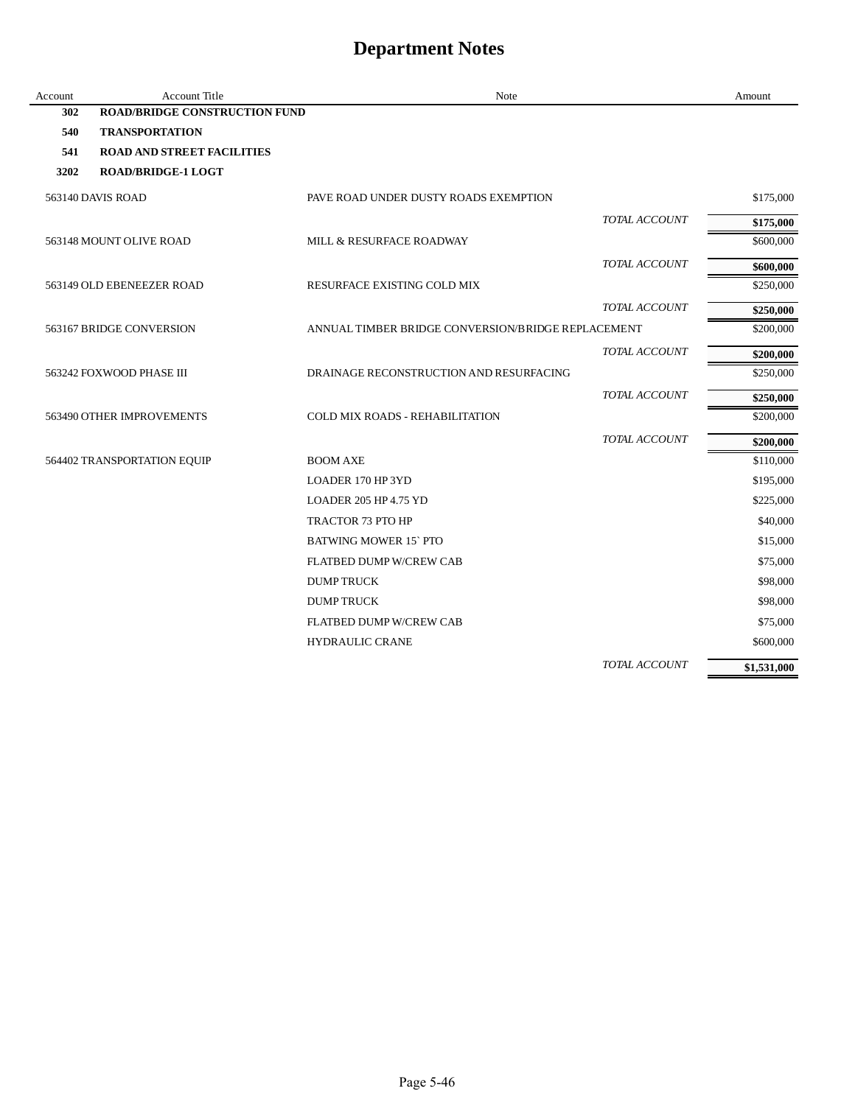| Account | Account Title                        | Note                                               |               | Amount      |
|---------|--------------------------------------|----------------------------------------------------|---------------|-------------|
| 302     | <b>ROAD/BRIDGE CONSTRUCTION FUND</b> |                                                    |               |             |
| 540     | <b>TRANSPORTATION</b>                |                                                    |               |             |
| 541     | <b>ROAD AND STREET FACILITIES</b>    |                                                    |               |             |
| 3202    | <b>ROAD/BRIDGE-1 LOGT</b>            |                                                    |               |             |
|         | 563140 DAVIS ROAD                    | PAVE ROAD UNDER DUSTY ROADS EXEMPTION              |               | \$175,000   |
|         |                                      |                                                    | TOTAL ACCOUNT | \$175,000   |
|         | 563148 MOUNT OLIVE ROAD              | MILL & RESURFACE ROADWAY                           |               | \$600,000   |
|         |                                      |                                                    | TOTAL ACCOUNT | \$600,000   |
|         | 563149 OLD EBENEEZER ROAD            | RESURFACE EXISTING COLD MIX                        |               | \$250,000   |
|         |                                      |                                                    | TOTAL ACCOUNT | \$250,000   |
|         | 563167 BRIDGE CONVERSION             | ANNUAL TIMBER BRIDGE CONVERSION/BRIDGE REPLACEMENT |               | \$200,000   |
|         |                                      |                                                    | TOTAL ACCOUNT | \$200,000   |
|         | 563242 FOXWOOD PHASE III             | DRAINAGE RECONSTRUCTION AND RESURFACING            |               | \$250,000   |
|         |                                      |                                                    | TOTAL ACCOUNT | \$250,000   |
|         | 563490 OTHER IMPROVEMENTS            | <b>COLD MIX ROADS - REHABILITATION</b>             |               | \$200,000   |
|         |                                      |                                                    | TOTAL ACCOUNT | \$200,000   |
|         | 564402 TRANSPORTATION EQUIP          | <b>BOOM AXE</b>                                    |               | \$110,000   |
|         |                                      | LOADER 170 HP 3YD                                  |               | \$195,000   |
|         |                                      | LOADER 205 HP 4.75 YD                              |               | \$225,000   |
|         |                                      | <b>TRACTOR 73 PTO HP</b>                           |               | \$40,000    |
|         |                                      | <b>BATWING MOWER 15' PTO</b>                       |               | \$15,000    |
|         |                                      | <b>FLATBED DUMP W/CREW CAB</b>                     |               | \$75,000    |
|         |                                      | <b>DUMP TRUCK</b>                                  |               | \$98,000    |
|         |                                      | <b>DUMPTRUCK</b>                                   |               | \$98,000    |
|         |                                      | FLATBED DUMP W/CREW CAB                            |               | \$75,000    |
|         |                                      | <b>HYDRAULIC CRANE</b>                             |               | \$600,000   |
|         |                                      |                                                    | TOTAL ACCOUNT | \$1,531,000 |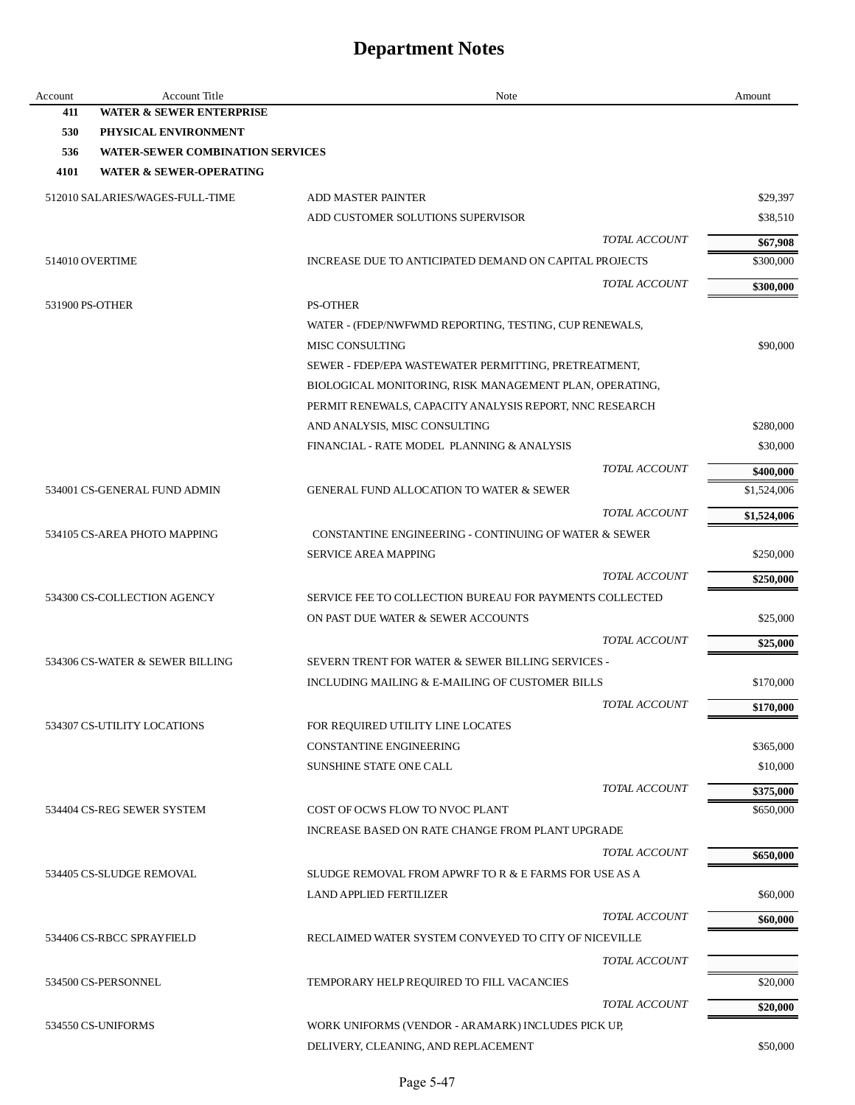| Account         | <b>Account Title</b>                    | Note                                                                                 | Amount      |
|-----------------|-----------------------------------------|--------------------------------------------------------------------------------------|-------------|
| 411             | <b>WATER &amp; SEWER ENTERPRISE</b>     |                                                                                      |             |
| 530             | PHYSICAL ENVIRONMENT                    |                                                                                      |             |
| 536             | <b>WATER-SEWER COMBINATION SERVICES</b> |                                                                                      |             |
| 4101            | <b>WATER &amp; SEWER-OPERATING</b>      |                                                                                      |             |
|                 | 512010 SALARIES/WAGES-FULL-TIME         | <b>ADD MASTER PAINTER</b>                                                            | \$29,397    |
|                 |                                         | ADD CUSTOMER SOLUTIONS SUPERVISOR                                                    | \$38,510    |
|                 |                                         | TOTAL ACCOUNT                                                                        | \$67,908    |
|                 | 514010 OVERTIME                         | INCREASE DUE TO ANTICIPATED DEMAND ON CAPITAL PROJECTS                               | \$300,000   |
|                 |                                         | <i>TOTAL ACCOUNT</i>                                                                 | \$300,000   |
| 531900 PS-OTHER |                                         | <b>PS-OTHER</b>                                                                      |             |
|                 |                                         | WATER - (FDEP/NWFWMD REPORTING, TESTING, CUP RENEWALS,                               |             |
|                 |                                         | MISC CONSULTING                                                                      | \$90,000    |
|                 |                                         | SEWER - FDEP/EPA WASTEWATER PERMITTING, PRETREATMENT,                                |             |
|                 |                                         | BIOLOGICAL MONITORING, RISK MANAGEMENT PLAN, OPERATING,                              |             |
|                 |                                         | PERMIT RENEWALS, CAPACITY ANALYSIS REPORT, NNC RESEARCH                              |             |
|                 |                                         | AND ANALYSIS, MISC CONSULTING                                                        | \$280,000   |
|                 |                                         | FINANCIAL - RATE MODEL PLANNING & ANALYSIS                                           | \$30,000    |
|                 |                                         | TOTAL ACCOUNT                                                                        | \$400,000   |
|                 | 534001 CS-GENERAL FUND ADMIN            | <b>GENERAL FUND ALLOCATION TO WATER &amp; SEWER</b>                                  | \$1,524,006 |
|                 |                                         | TOTAL ACCOUNT                                                                        |             |
|                 |                                         |                                                                                      | \$1,524,006 |
|                 | 534105 CS-AREA PHOTO MAPPING            | CONSTANTINE ENGINEERING - CONTINUING OF WATER & SEWER<br><b>SERVICE AREA MAPPING</b> | \$250,000   |
|                 |                                         |                                                                                      |             |
|                 |                                         | <i>TOTAL ACCOUNT</i>                                                                 | \$250,000   |
|                 | 534300 CS-COLLECTION AGENCY             | SERVICE FEE TO COLLECTION BUREAU FOR PAYMENTS COLLECTED                              |             |
|                 |                                         | ON PAST DUE WATER & SEWER ACCOUNTS                                                   | \$25,000    |
|                 |                                         | TOTAL ACCOUNT                                                                        | \$25,000    |
|                 | 534306 CS-WATER & SEWER BILLING         | SEVERN TRENT FOR WATER & SEWER BILLING SERVICES -                                    |             |
|                 |                                         | INCLUDING MAILING & E-MAILING OF CUSTOMER BILLS                                      | \$170,000   |
|                 |                                         | <b>TOTAL ACCOUNT</b>                                                                 | \$170,000   |
|                 | 534307 CS-UTILITY LOCATIONS             | FOR REQUIRED UTILITY LINE LOCATES                                                    |             |
|                 |                                         | <b>CONSTANTINE ENGINEERING</b>                                                       | \$365,000   |
|                 |                                         | <b>SUNSHINE STATE ONE CALL</b>                                                       | \$10,000    |
|                 |                                         | TOTAL ACCOUNT                                                                        | \$375,000   |
|                 | 534404 CS-REG SEWER SYSTEM              | COST OF OCWS FLOW TO NVOC PLANT                                                      | \$650,000   |
|                 |                                         | INCREASE BASED ON RATE CHANGE FROM PLANT UPGRADE                                     |             |
|                 |                                         | <b>TOTAL ACCOUNT</b>                                                                 | \$650,000   |
|                 | 534405 CS-SLUDGE REMOVAL                | SLUDGE REMOVAL FROM APWRF TO R & E FARMS FOR USE AS A                                |             |
|                 |                                         | <b>LAND APPLIED FERTILIZER</b>                                                       | \$60,000    |
|                 |                                         | TOTAL ACCOUNT                                                                        | \$60,000    |
|                 | 534406 CS-RBCC SPRAYFIELD               | RECLAIMED WATER SYSTEM CONVEYED TO CITY OF NICEVILLE                                 |             |
|                 |                                         |                                                                                      |             |
|                 |                                         | TOTAL ACCOUNT                                                                        |             |
|                 | 534500 CS-PERSONNEL                     | TEMPORARY HELP REQUIRED TO FILL VACANCIES                                            | \$20,000    |
|                 |                                         | TOTAL ACCOUNT                                                                        | \$20,000    |
|                 | 534550 CS-UNIFORMS                      | WORK UNIFORMS (VENDOR - ARAMARK) INCLUDES PICK UP,                                   |             |
|                 |                                         | DELIVERY, CLEANING, AND REPLACEMENT                                                  | \$50,000    |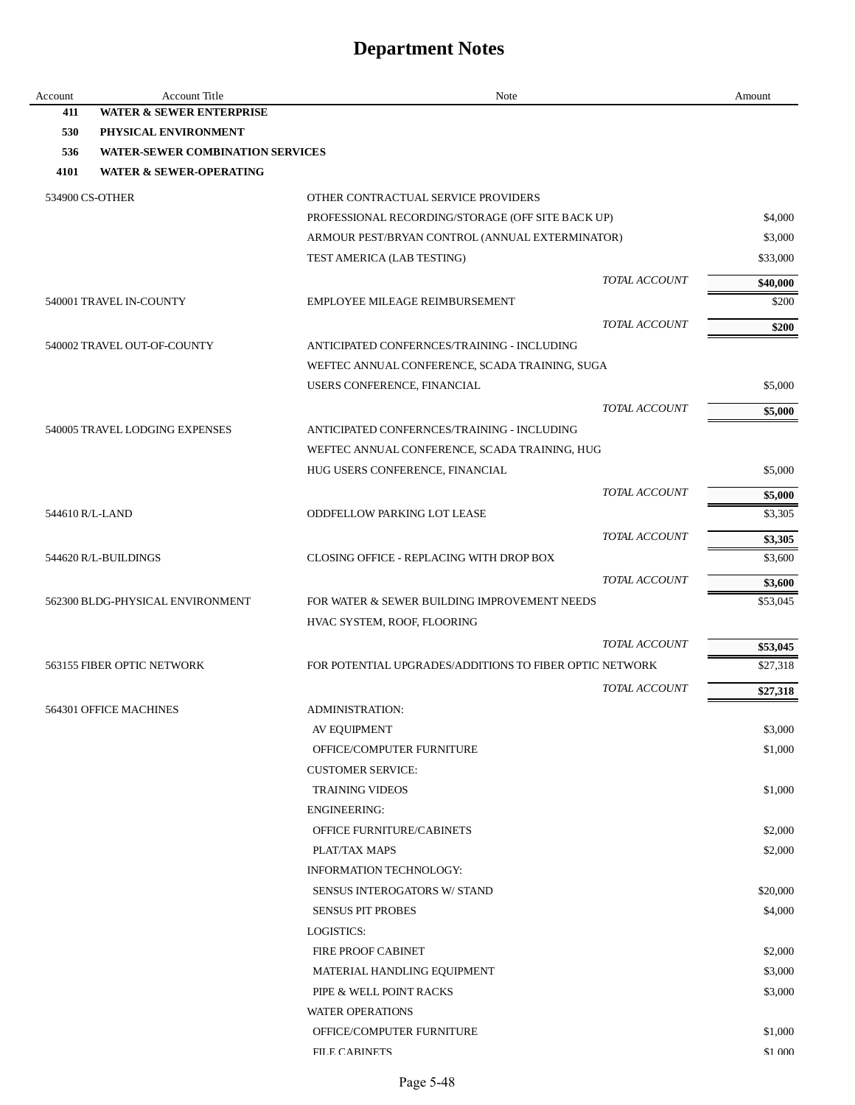| Account | <b>Account Title</b>                    | Note                                                    | Amount             |
|---------|-----------------------------------------|---------------------------------------------------------|--------------------|
| 411     | <b>WATER &amp; SEWER ENTERPRISE</b>     |                                                         |                    |
| 530     | PHYSICAL ENVIRONMENT                    |                                                         |                    |
| 536     | <b>WATER-SEWER COMBINATION SERVICES</b> |                                                         |                    |
| 4101    | <b>WATER &amp; SEWER-OPERATING</b>      |                                                         |                    |
|         | 534900 CS-OTHER                         | OTHER CONTRACTUAL SERVICE PROVIDERS                     |                    |
|         |                                         | PROFESSIONAL RECORDING/STORAGE (OFF SITE BACK UP)       | \$4,000            |
|         |                                         | ARMOUR PEST/BRYAN CONTROL (ANNUAL EXTERMINATOR)         | \$3,000            |
|         |                                         | TEST AMERICA (LAB TESTING)                              | \$33,000           |
|         |                                         | TOTAL ACCOUNT                                           | \$40,000           |
|         | 540001 TRAVEL IN-COUNTY                 | EMPLOYEE MILEAGE REIMBURSEMENT                          | \$200              |
|         |                                         | TOTAL ACCOUNT                                           | \$200              |
|         | 540002 TRAVEL OUT-OF-COUNTY             | ANTICIPATED CONFERNCES/TRAINING - INCLUDING             |                    |
|         |                                         | WEFTEC ANNUAL CONFERENCE, SCADA TRAINING, SUGA          |                    |
|         |                                         | USERS CONFERENCE, FINANCIAL                             | \$5,000            |
|         |                                         | TOTAL ACCOUNT                                           | \$5,000            |
|         | 540005 TRAVEL LODGING EXPENSES          | ANTICIPATED CONFERNCES/TRAINING - INCLUDING             |                    |
|         |                                         | WEFTEC ANNUAL CONFERENCE, SCADA TRAINING, HUG           |                    |
|         |                                         | HUG USERS CONFERENCE, FINANCIAL                         | \$5,000            |
|         |                                         | TOTAL ACCOUNT                                           |                    |
|         | 544610 R/L-LAND                         | <b>ODDFELLOW PARKING LOT LEASE</b>                      | \$5,000<br>\$3,305 |
|         |                                         |                                                         |                    |
|         |                                         | TOTAL ACCOUNT                                           | \$3,305            |
|         | 544620 R/L-BUILDINGS                    | CLOSING OFFICE - REPLACING WITH DROP BOX                | \$3,600            |
|         |                                         | TOTAL ACCOUNT                                           | \$3,600            |
|         | 562300 BLDG-PHYSICAL ENVIRONMENT        | FOR WATER & SEWER BUILDING IMPROVEMENT NEEDS            | \$53,045           |
|         |                                         | HVAC SYSTEM, ROOF, FLOORING                             |                    |
|         |                                         | TOTAL ACCOUNT                                           | \$53,045           |
|         | 563155 FIBER OPTIC NETWORK              | FOR POTENTIAL UPGRADES/ADDITIONS TO FIBER OPTIC NETWORK | \$27,318           |
|         |                                         | TOTAL ACCOUNT                                           | \$27,318           |
|         | 564301 OFFICE MACHINES                  | <b>ADMINISTRATION:</b>                                  |                    |
|         |                                         | AV EQUIPMENT                                            | \$3,000            |
|         |                                         | OFFICE/COMPUTER FURNITURE                               | \$1,000            |
|         |                                         | <b>CUSTOMER SERVICE:</b>                                |                    |
|         |                                         | <b>TRAINING VIDEOS</b>                                  | \$1,000            |
|         |                                         | <b>ENGINEERING:</b>                                     |                    |
|         |                                         | OFFICE FURNITURE/CABINETS                               | \$2,000            |
|         |                                         | PLAT/TAX MAPS                                           | \$2,000            |
|         |                                         | <b>INFORMATION TECHNOLOGY:</b>                          |                    |
|         |                                         | SENSUS INTEROGATORS W/ STAND                            | \$20,000           |
|         |                                         | <b>SENSUS PIT PROBES</b>                                | \$4,000            |
|         |                                         | LOGISTICS:                                              |                    |
|         |                                         | <b>FIRE PROOF CABINET</b>                               | \$2,000            |
|         |                                         | MATERIAL HANDLING EQUIPMENT                             | \$3,000            |
|         |                                         | PIPE & WELL POINT RACKS                                 | \$3,000            |
|         |                                         | <b>WATER OPERATIONS</b>                                 |                    |
|         |                                         | OFFICE/COMPUTER FURNITURE                               | \$1,000            |
|         |                                         | FILE CARINETS                                           | \$1,000            |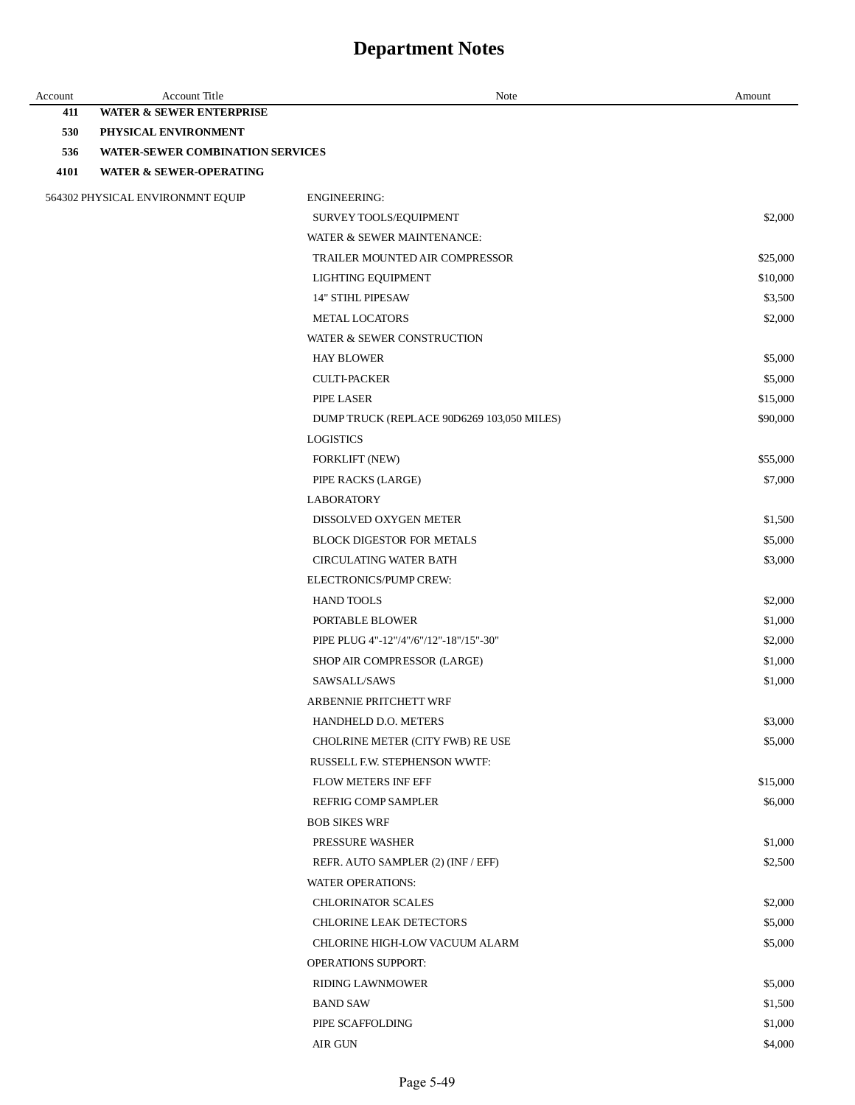| Account | <b>Account Title</b>                    | Note                                              | Amount              |
|---------|-----------------------------------------|---------------------------------------------------|---------------------|
| 411     | <b>WATER &amp; SEWER ENTERPRISE</b>     |                                                   |                     |
| 530     | PHYSICAL ENVIRONMENT                    |                                                   |                     |
| 536     | <b>WATER-SEWER COMBINATION SERVICES</b> |                                                   |                     |
| 4101    | <b>WATER &amp; SEWER-OPERATING</b>      |                                                   |                     |
|         | 564302 PHYSICAL ENVIRONMNT EQUIP        | <b>ENGINEERING:</b>                               |                     |
|         |                                         | SURVEY TOOLS/EQUIPMENT                            | \$2,000             |
|         |                                         | WATER & SEWER MAINTENANCE:                        |                     |
|         |                                         | TRAILER MOUNTED AIR COMPRESSOR                    | \$25,000            |
|         |                                         | LIGHTING EQUIPMENT                                | \$10,000            |
|         |                                         | <b>14" STIHL PIPESAW</b>                          | \$3,500             |
|         |                                         | METAL LOCATORS                                    | \$2,000             |
|         |                                         | WATER & SEWER CONSTRUCTION                        |                     |
|         |                                         | <b>HAY BLOWER</b>                                 | \$5,000             |
|         |                                         | <b>CULTI-PACKER</b>                               | \$5,000             |
|         |                                         | PIPE LASER                                        | \$15,000            |
|         |                                         | DUMP TRUCK (REPLACE 90D6269 103,050 MILES)        | \$90,000            |
|         |                                         | <b>LOGISTICS</b>                                  |                     |
|         |                                         | <b>FORKLIFT (NEW)</b>                             | \$55,000            |
|         |                                         | PIPE RACKS (LARGE)                                | \$7,000             |
|         |                                         | <b>LABORATORY</b>                                 |                     |
|         |                                         | DISSOLVED OXYGEN METER                            | \$1,500             |
|         |                                         | <b>BLOCK DIGESTOR FOR METALS</b>                  | \$5,000             |
|         |                                         | <b>CIRCULATING WATER BATH</b>                     | \$3,000             |
|         |                                         | ELECTRONICS/PUMP CREW:                            |                     |
|         |                                         | <b>HAND TOOLS</b>                                 | \$2,000             |
|         |                                         | PORTABLE BLOWER                                   | \$1,000             |
|         |                                         | PIPE PLUG 4"-12"/4"/6"/12"-18"/15"-30"            | \$2,000             |
|         |                                         | SHOP AIR COMPRESSOR (LARGE)                       | \$1,000             |
|         |                                         | SAWSALL/SAWS                                      | \$1,000             |
|         |                                         | ARBENNIE PRITCHETT WRF                            |                     |
|         |                                         | HANDHELD D.O. METERS                              | \$3,000             |
|         |                                         | CHOLRINE METER (CITY FWB) RE USE                  | \$5,000             |
|         |                                         | RUSSELL F.W. STEPHENSON WWTF:                     |                     |
|         |                                         | FLOW METERS INF EFF<br><b>REFRIG COMP SAMPLER</b> | \$15,000<br>\$6,000 |
|         |                                         | <b>BOB SIKES WRF</b>                              |                     |
|         |                                         | PRESSURE WASHER                                   | \$1,000             |
|         |                                         | REFR. AUTO SAMPLER (2) (INF / EFF)                | \$2,500             |
|         |                                         | <b>WATER OPERATIONS:</b>                          |                     |
|         |                                         | <b>CHLORINATOR SCALES</b>                         | \$2,000             |
|         |                                         | <b>CHLORINE LEAK DETECTORS</b>                    | \$5,000             |
|         |                                         | CHLORINE HIGH-LOW VACUUM ALARM                    | \$5,000             |
|         |                                         | <b>OPERATIONS SUPPORT:</b>                        |                     |
|         |                                         | <b>RIDING LAWNMOWER</b>                           | \$5,000             |
|         |                                         | <b>BAND SAW</b>                                   | \$1,500             |
|         |                                         | PIPE SCAFFOLDING                                  | \$1,000             |
|         |                                         | AIR GUN                                           | \$4,000             |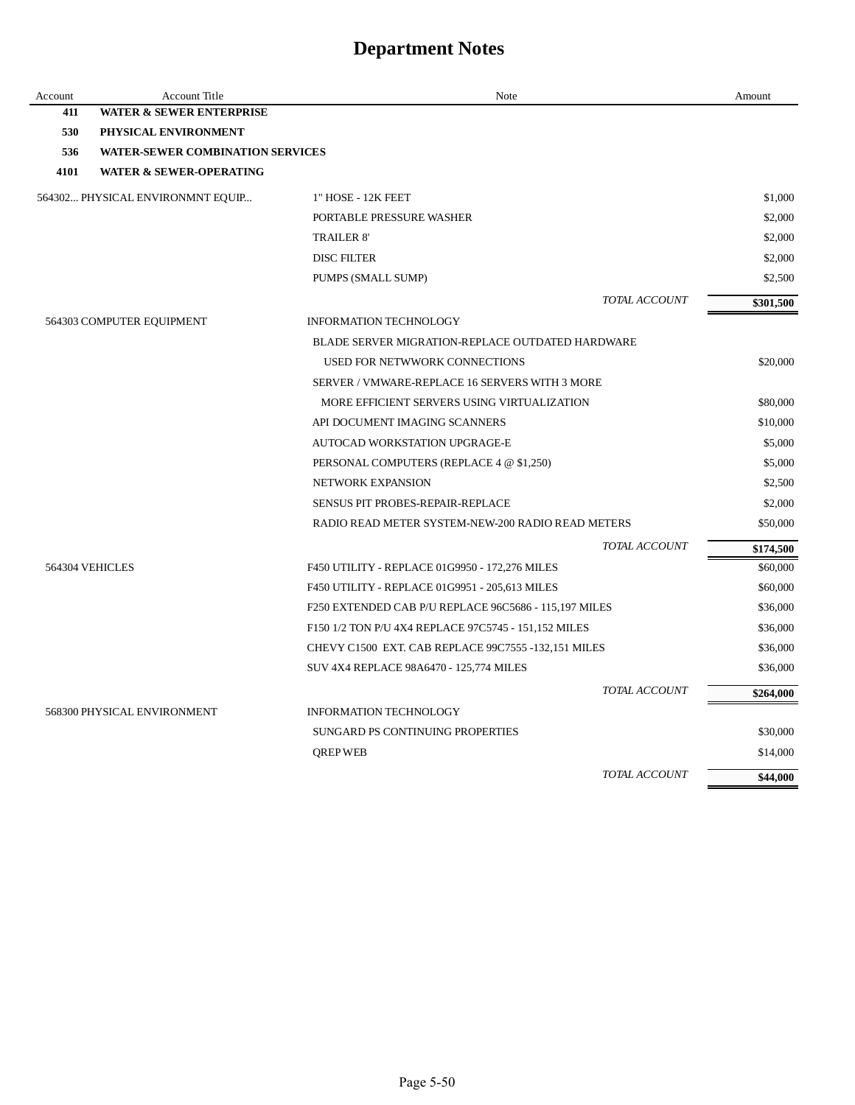| Account | <b>Account Title</b>                    | Note                                                  | Amount    |
|---------|-----------------------------------------|-------------------------------------------------------|-----------|
| 411     | <b>WATER &amp; SEWER ENTERPRISE</b>     |                                                       |           |
| 530     | PHYSICAL ENVIRONMENT                    |                                                       |           |
| 536     | <b>WATER-SEWER COMBINATION SERVICES</b> |                                                       |           |
| 4101    | <b>WATER &amp; SEWER-OPERATING</b>      |                                                       |           |
|         | 564302 PHYSICAL ENVIRONMNT EQUIP        | 1" HOSE - 12K FEET                                    | \$1,000   |
|         |                                         | PORTABLE PRESSURE WASHER                              | \$2,000   |
|         |                                         | <b>TRAILER 8'</b>                                     | \$2,000   |
|         |                                         | <b>DISC FILTER</b>                                    | \$2,000   |
|         |                                         | PUMPS (SMALL SUMP)                                    | \$2,500   |
|         |                                         | TOTAL ACCOUNT                                         | \$301,500 |
|         | 564303 COMPUTER EQUIPMENT               | <b>INFORMATION TECHNOLOGY</b>                         |           |
|         |                                         | BLADE SERVER MIGRATION-REPLACE OUTDATED HARDWARE      |           |
|         |                                         | USED FOR NETWWORK CONNECTIONS                         | \$20,000  |
|         |                                         | SERVER / VMWARE-REPLACE 16 SERVERS WITH 3 MORE        |           |
|         |                                         | MORE EFFICIENT SERVERS USING VIRTUALIZATION           | \$80,000  |
|         |                                         | API DOCUMENT IMAGING SCANNERS                         | \$10,000  |
|         |                                         | AUTOCAD WORKSTATION UPGRAGE-E                         | \$5,000   |
|         |                                         | PERSONAL COMPUTERS (REPLACE 4 @ \$1,250)              | \$5,000   |
|         |                                         | NETWORK EXPANSION                                     | \$2,500   |
|         |                                         | SENSUS PIT PROBES-REPAIR-REPLACE                      | \$2,000   |
|         |                                         | RADIO READ METER SYSTEM-NEW-200 RADIO READ METERS     | \$50,000  |
|         |                                         | TOTAL ACCOUNT                                         | \$174,500 |
|         | 564304 VEHICLES                         | F450 UTILITY - REPLACE 01G9950 - 172,276 MILES        | \$60,000  |
|         |                                         | F450 UTILITY - REPLACE 01G9951 - 205,613 MILES        | \$60,000  |
|         |                                         | F250 EXTENDED CAB P/U REPLACE 96C5686 - 115,197 MILES | \$36,000  |
|         |                                         | F150 1/2 TON P/U 4X4 REPLACE 97C5745 - 151,152 MILES  | \$36,000  |
|         |                                         | CHEVY C1500 EXT. CAB REPLACE 99C7555 -132,151 MILES   | \$36,000  |
|         |                                         | SUV 4X4 REPLACE 98A6470 - 125,774 MILES               | \$36,000  |
|         |                                         | TOTAL ACCOUNT                                         | \$264,000 |
|         | 568300 PHYSICAL ENVIRONMENT             | <b>INFORMATION TECHNOLOGY</b>                         |           |
|         |                                         | SUNGARD PS CONTINUING PROPERTIES                      | \$30,000  |
|         |                                         | <b>QREP WEB</b>                                       | \$14,000  |
|         |                                         | TOTAL ACCOUNT                                         | \$44,000  |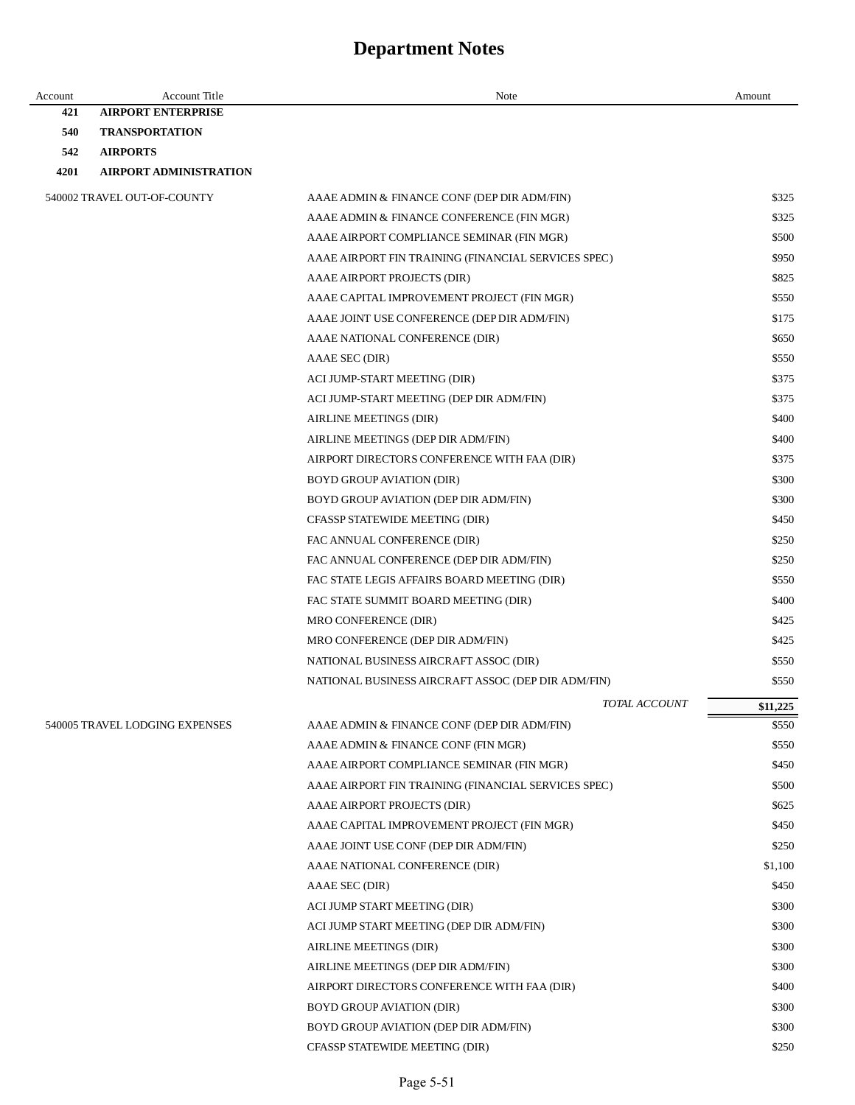| Account | <b>Account Title</b>           | Note                                                | Amount   |
|---------|--------------------------------|-----------------------------------------------------|----------|
| 421     | <b>AIRPORT ENTERPRISE</b>      |                                                     |          |
| 540     | <b>TRANSPORTATION</b>          |                                                     |          |
| 542     | <b>AIRPORTS</b>                |                                                     |          |
| 4201    | <b>AIRPORT ADMINISTRATION</b>  |                                                     |          |
|         | 540002 TRAVEL OUT-OF-COUNTY    | AAAE ADMIN & FINANCE CONF (DEP DIR ADM/FIN)         | \$325    |
|         |                                | AAAE ADMIN & FINANCE CONFERENCE (FIN MGR)           | \$325    |
|         |                                | AAAE AIRPORT COMPLIANCE SEMINAR (FIN MGR)           | \$500    |
|         |                                | AAAE AIRPORT FIN TRAINING (FINANCIAL SERVICES SPEC) | \$950    |
|         |                                | AAAE AIRPORT PROJECTS (DIR)                         | \$825    |
|         |                                | AAAE CAPITAL IMPROVEMENT PROJECT (FIN MGR)          | \$550    |
|         |                                | AAAE JOINT USE CONFERENCE (DEP DIR ADM/FIN)         | \$175    |
|         |                                | AAAE NATIONAL CONFERENCE (DIR)                      | \$650    |
|         |                                | AAAE SEC (DIR)                                      | \$550    |
|         |                                | ACI JUMP-START MEETING (DIR)                        | \$375    |
|         |                                | ACI JUMP-START MEETING (DEP DIR ADM/FIN)            | \$375    |
|         |                                | AIRLINE MEETINGS (DIR)                              | \$400    |
|         |                                | AIRLINE MEETINGS (DEP DIR ADM/FIN)                  | \$400    |
|         |                                | AIRPORT DIRECTORS CONFERENCE WITH FAA (DIR)         | \$375    |
|         |                                | <b>BOYD GROUP AVIATION (DIR)</b>                    | \$300    |
|         |                                | BOYD GROUP AVIATION (DEP DIR ADM/FIN)               | \$300    |
|         |                                | CFASSP STATEWIDE MEETING (DIR)                      | \$450    |
|         |                                | FAC ANNUAL CONFERENCE (DIR)                         | \$250    |
|         |                                | FAC ANNUAL CONFERENCE (DEP DIR ADM/FIN)             | \$250    |
|         |                                | FAC STATE LEGIS AFFAIRS BOARD MEETING (DIR)         | \$550    |
|         |                                | FAC STATE SUMMIT BOARD MEETING (DIR)                | \$400    |
|         |                                | MRO CONFERENCE (DIR)                                | \$425    |
|         |                                | MRO CONFERENCE (DEP DIR ADM/FIN)                    | \$425    |
|         |                                | NATIONAL BUSINESS AIRCRAFT ASSOC (DIR)              | \$550    |
|         |                                | NATIONAL BUSINESS AIRCRAFT ASSOC (DEP DIR ADM/FIN)  | \$550    |
|         |                                | TOTAL ACCOUNT                                       | \$11,225 |
|         | 540005 TRAVEL LODGING EXPENSES | AAAE ADMIN & FINANCE CONF (DEP DIR ADM/FIN)         | \$550    |
|         |                                | AAAE ADMIN & FINANCE CONF (FIN MGR)                 | \$550    |
|         |                                | AAAE AIRPORT COMPLIANCE SEMINAR (FIN MGR)           | \$450    |
|         |                                | AAAE AIRPORT FIN TRAINING (FINANCIAL SERVICES SPEC) | \$500    |
|         |                                | AAAE AIRPORT PROJECTS (DIR)                         | \$625    |
|         |                                | AAAE CAPITAL IMPROVEMENT PROJECT (FIN MGR)          | \$450    |
|         |                                | AAAE JOINT USE CONF (DEP DIR ADM/FIN)               | \$250    |
|         |                                | AAAE NATIONAL CONFERENCE (DIR)                      | \$1,100  |
|         |                                | AAAE SEC (DIR)                                      | \$450    |
|         |                                | ACI JUMP START MEETING (DIR)                        | \$300    |
|         |                                | ACI JUMP START MEETING (DEP DIR ADM/FIN)            | \$300    |
|         |                                | AIRLINE MEETINGS (DIR)                              | \$300    |
|         |                                | AIRLINE MEETINGS (DEP DIR ADM/FIN)                  | \$300    |
|         |                                | AIRPORT DIRECTORS CONFERENCE WITH FAA (DIR)         | \$400    |
|         |                                | <b>BOYD GROUP AVIATION (DIR)</b>                    | \$300    |
|         |                                | BOYD GROUP AVIATION (DEP DIR ADM/FIN)               | \$300    |
|         |                                | CFASSP STATEWIDE MEETING (DIR)                      | \$250    |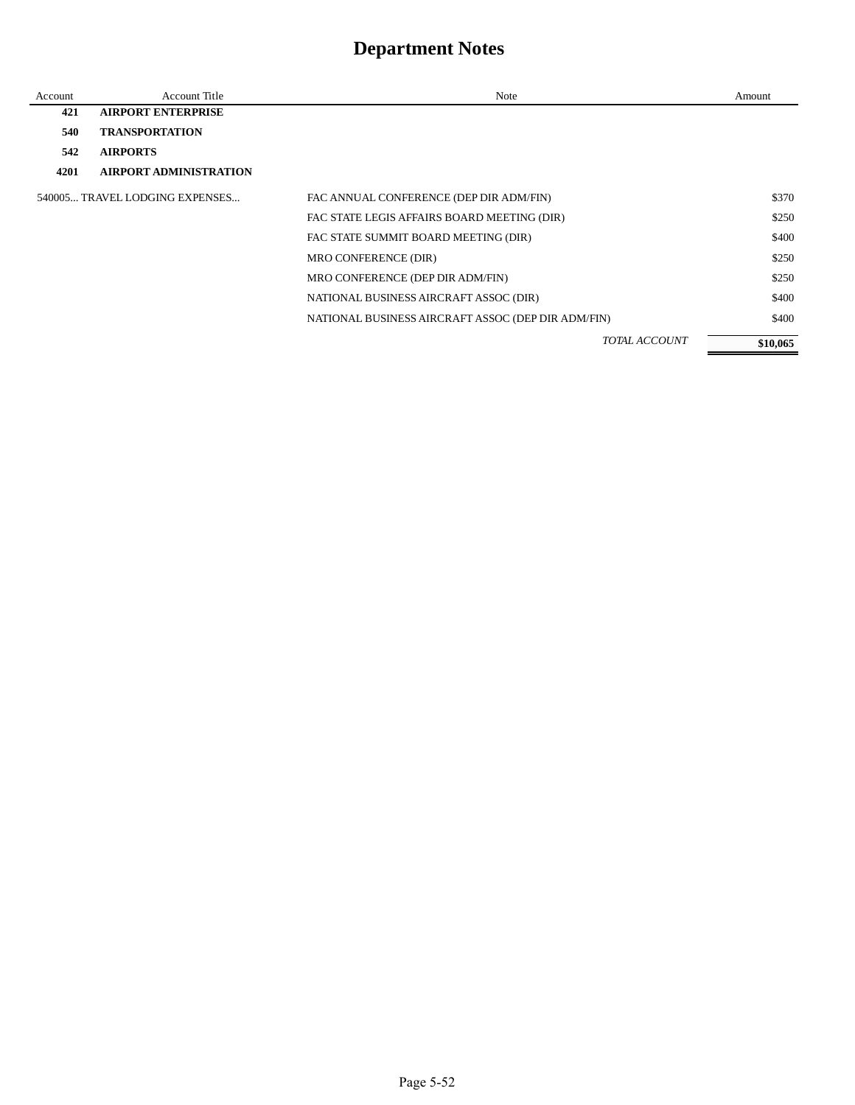| Account | <b>Account Title</b>           | Note                                               | Amount   |
|---------|--------------------------------|----------------------------------------------------|----------|
| 421     | <b>AIRPORT ENTERPRISE</b>      |                                                    |          |
| 540     | <b>TRANSPORTATION</b>          |                                                    |          |
| 542     | <b>AIRPORTS</b>                |                                                    |          |
| 4201    | <b>AIRPORT ADMINISTRATION</b>  |                                                    |          |
|         | 540005 TRAVEL LODGING EXPENSES | FAC ANNUAL CONFERENCE (DEP DIR ADM/FIN)            | \$370    |
|         |                                | FAC STATE LEGIS AFFAIRS BOARD MEETING (DIR)        | \$250    |
|         |                                | FAC STATE SUMMIT BOARD MEETING (DIR)               | \$400    |
|         |                                | MRO CONFERENCE (DIR)                               | \$250    |
|         |                                | MRO CONFERENCE (DEP DIR ADM/FIN)                   | \$250    |
|         |                                | NATIONAL BUSINESS AIRCRAFT ASSOC (DIR)             | \$400    |
|         |                                | NATIONAL BUSINESS AIRCRAFT ASSOC (DEP DIR ADM/FIN) | \$400    |
|         |                                | <b>TOTAL ACCOUNT</b>                               | \$10,065 |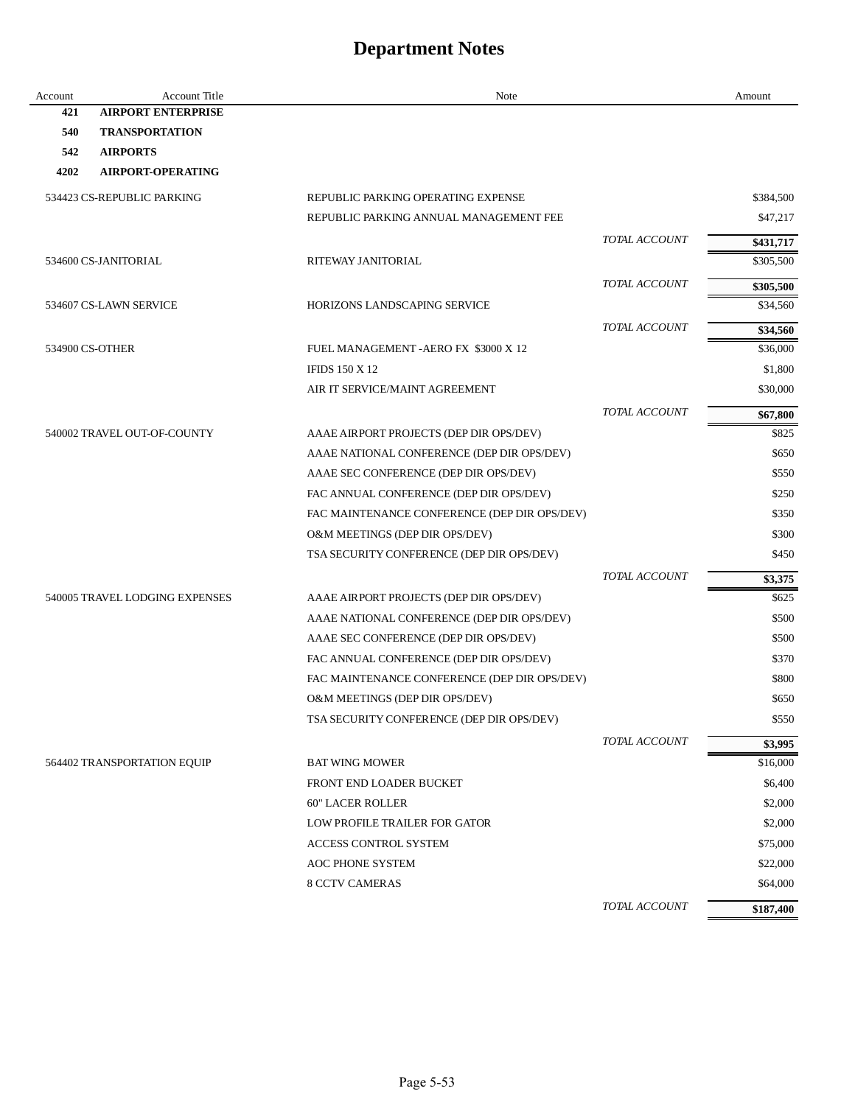| Account | Account Title                  | Note                                         |               | Amount            |
|---------|--------------------------------|----------------------------------------------|---------------|-------------------|
| 421     | <b>AIRPORT ENTERPRISE</b>      |                                              |               |                   |
| 540     | <b>TRANSPORTATION</b>          |                                              |               |                   |
| 542     | <b>AIRPORTS</b>                |                                              |               |                   |
| 4202    | <b>AIRPORT-OPERATING</b>       |                                              |               |                   |
|         | 534423 CS-REPUBLIC PARKING     | REPUBLIC PARKING OPERATING EXPENSE           |               | \$384,500         |
|         |                                | REPUBLIC PARKING ANNUAL MANAGEMENT FEE       |               | \$47,217          |
|         |                                |                                              | TOTAL ACCOUNT | \$431,717         |
|         | 534600 CS-JANITORIAL           | RITEWAY JANITORIAL                           |               | \$305,500         |
|         |                                |                                              | TOTAL ACCOUNT | \$305,500         |
|         | 534607 CS-LAWN SERVICE         | <b>HORIZONS LANDSCAPING SERVICE</b>          |               | \$34,560          |
|         |                                |                                              | TOTAL ACCOUNT | \$34,560          |
|         | 534900 CS-OTHER                | FUEL MANAGEMENT - AERO FX \$3000 X 12        |               | \$36,000          |
|         |                                | <b>IFIDS 150 X 12</b>                        |               | \$1,800           |
|         |                                | AIR IT SERVICE/MAINT AGREEMENT               |               | \$30,000          |
|         |                                |                                              | TOTAL ACCOUNT |                   |
|         | 540002 TRAVEL OUT-OF-COUNTY    | AAAE AIRPORT PROJECTS (DEP DIR OPS/DEV)      |               | \$67,800<br>\$825 |
|         |                                | AAAE NATIONAL CONFERENCE (DEP DIR OPS/DEV)   |               | \$650             |
|         |                                | AAAE SEC CONFERENCE (DEP DIR OPS/DEV)        |               | \$550             |
|         |                                | FAC ANNUAL CONFERENCE (DEP DIR OPS/DEV)      |               | \$250             |
|         |                                | FAC MAINTENANCE CONFERENCE (DEP DIR OPS/DEV) |               | \$350             |
|         |                                | O&M MEETINGS (DEP DIR OPS/DEV)               |               | \$300             |
|         |                                | TSA SECURITY CONFERENCE (DEP DIR OPS/DEV)    |               | \$450             |
|         |                                |                                              | TOTAL ACCOUNT | \$3,375           |
|         | 540005 TRAVEL LODGING EXPENSES | AAAE AIRPORT PROJECTS (DEP DIR OPS/DEV)      |               | \$625             |
|         |                                | AAAE NATIONAL CONFERENCE (DEP DIR OPS/DEV)   |               | \$500             |
|         |                                | AAAE SEC CONFERENCE (DEP DIR OPS/DEV)        |               | \$500             |
|         |                                | FAC ANNUAL CONFERENCE (DEP DIR OPS/DEV)      |               | \$370             |
|         |                                | FAC MAINTENANCE CONFERENCE (DEP DIR OPS/DEV) |               | \$800             |
|         |                                | O&M MEETINGS (DEP DIR OPS/DEV)               |               | \$650             |
|         |                                | TSA SECURITY CONFERENCE (DEP DIR OPS/DEV)    |               | \$550             |
|         |                                |                                              | TOTAL ACCOUNT | \$3,995           |
|         | 564402 TRANSPORTATION EQUIP    | <b>BAT WING MOWER</b>                        |               | \$16,000          |
|         |                                | FRONT END LOADER BUCKET                      |               | \$6,400           |
|         |                                | <b>60" LACER ROLLER</b>                      |               | \$2,000           |
|         |                                | LOW PROFILE TRAILER FOR GATOR                |               | \$2,000           |
|         |                                | ACCESS CONTROL SYSTEM                        |               | \$75,000          |
|         |                                | <b>AOC PHONE SYSTEM</b>                      |               | \$22,000          |
|         |                                | <b>8 CCTV CAMERAS</b>                        |               | \$64,000          |
|         |                                |                                              | TOTAL ACCOUNT | \$187,400         |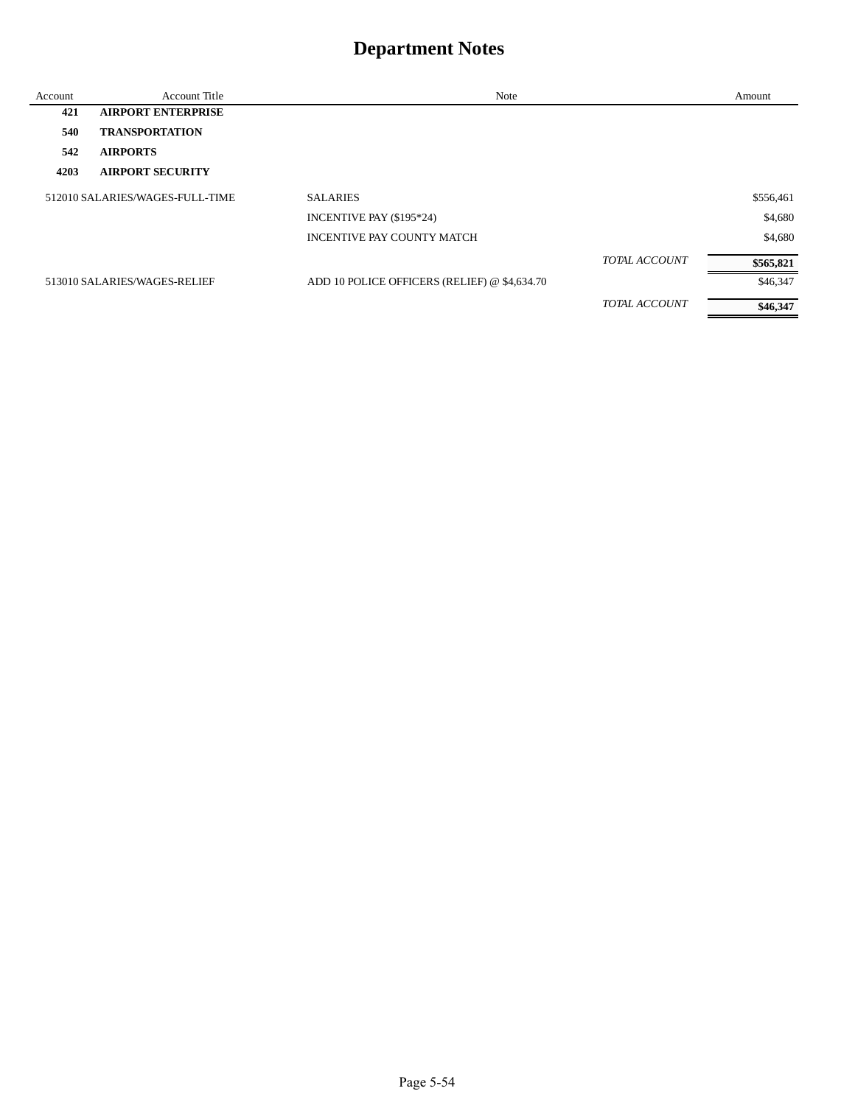| Account | <b>Account Title</b>            | Note                                         |                      | Amount    |
|---------|---------------------------------|----------------------------------------------|----------------------|-----------|
| 421     | <b>AIRPORT ENTERPRISE</b>       |                                              |                      |           |
| 540     | <b>TRANSPORTATION</b>           |                                              |                      |           |
| 542     | <b>AIRPORTS</b>                 |                                              |                      |           |
| 4203    | <b>AIRPORT SECURITY</b>         |                                              |                      |           |
|         | 512010 SALARIES/WAGES-FULL-TIME | <b>SALARIES</b>                              |                      | \$556,461 |
|         |                                 | INCENTIVE PAY (\$195*24)                     |                      | \$4,680   |
|         |                                 | INCENTIVE PAY COUNTY MATCH                   |                      | \$4,680   |
|         |                                 |                                              | <b>TOTAL ACCOUNT</b> | \$565,821 |
|         | 513010 SALARIES/WAGES-RELIEF    | ADD 10 POLICE OFFICERS (RELIEF) @ \$4,634.70 |                      | \$46,347  |
|         |                                 |                                              | <b>TOTAL ACCOUNT</b> | \$46,347  |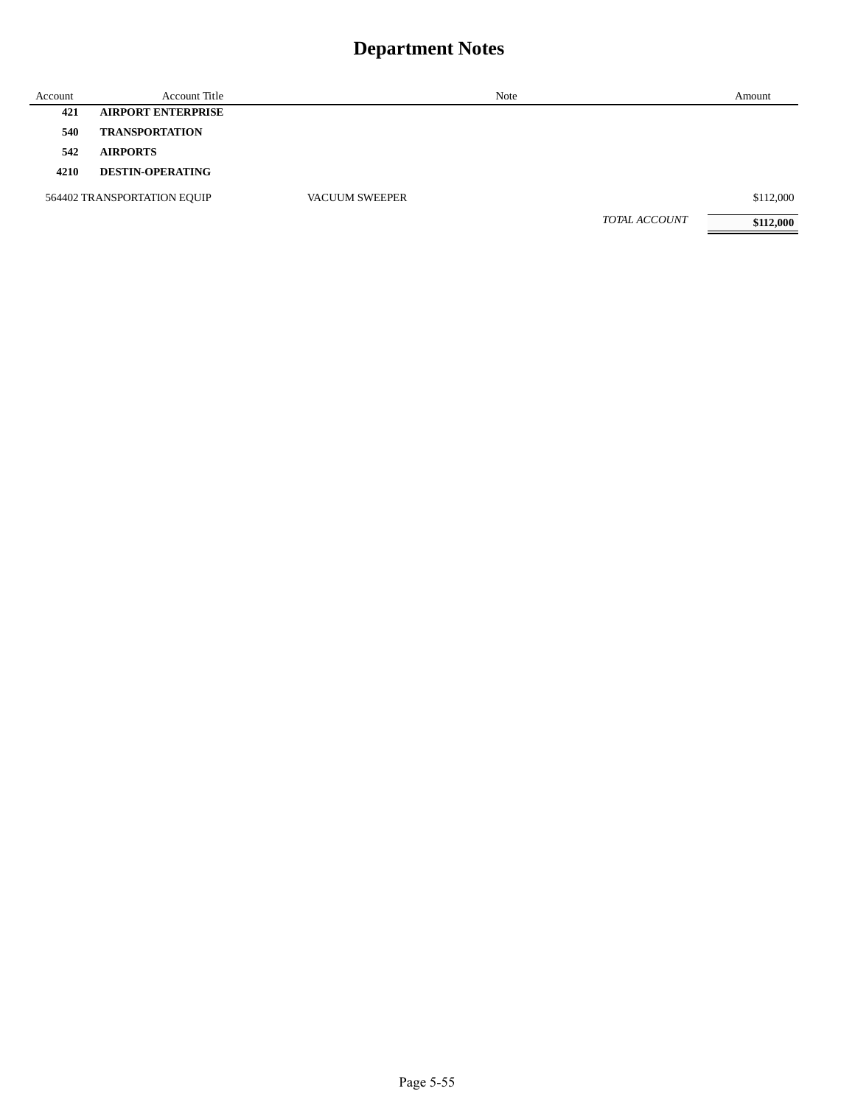| Account | <b>Account Title</b>        |                       | Note | Amount                            |
|---------|-----------------------------|-----------------------|------|-----------------------------------|
| 421     | <b>AIRPORT ENTERPRISE</b>   |                       |      |                                   |
| 540     | <b>TRANSPORTATION</b>       |                       |      |                                   |
| 542     | <b>AIRPORTS</b>             |                       |      |                                   |
| 4210    | <b>DESTIN-OPERATING</b>     |                       |      |                                   |
|         | 564402 TRANSPORTATION EQUIP | <b>VACUUM SWEEPER</b> |      | \$112,000                         |
|         |                             |                       |      | <b>TOTAL ACCOUNT</b><br>\$112,000 |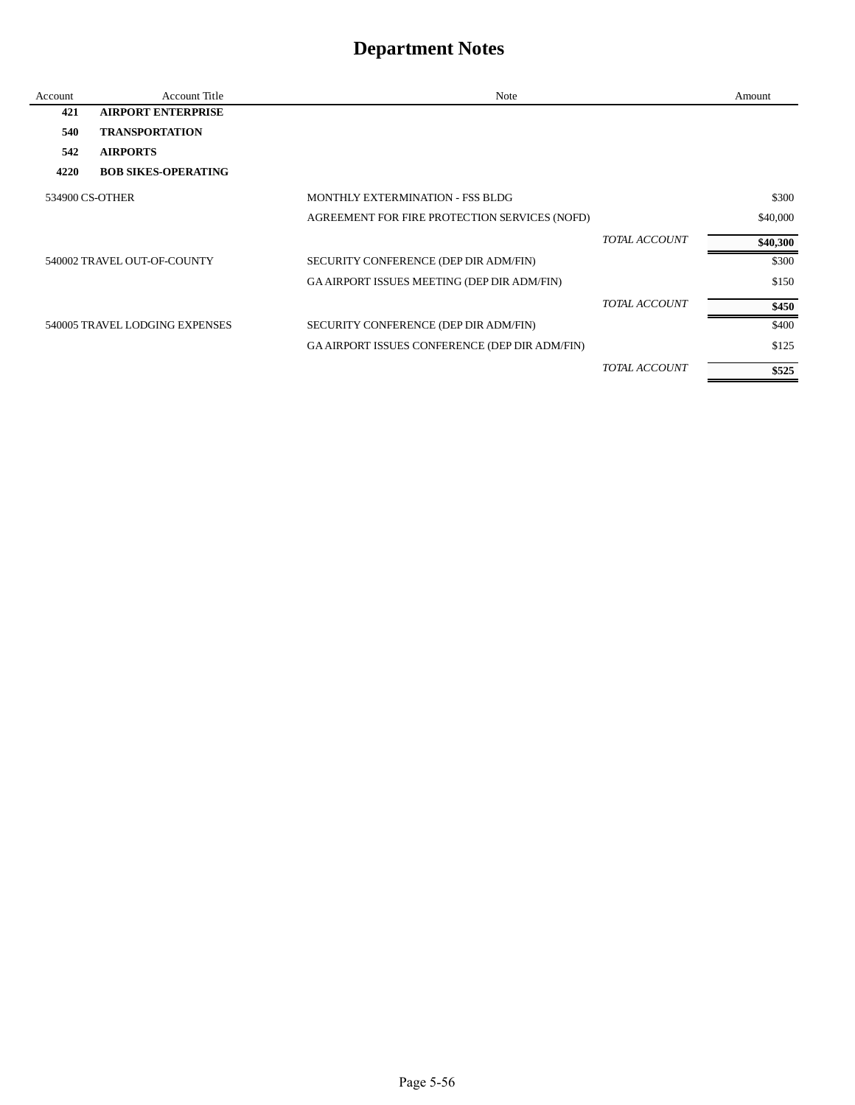| Account         | <b>Account Title</b>           | Note                                           |                      | Amount   |
|-----------------|--------------------------------|------------------------------------------------|----------------------|----------|
| 421             | <b>AIRPORT ENTERPRISE</b>      |                                                |                      |          |
| 540             | <b>TRANSPORTATION</b>          |                                                |                      |          |
| 542             | <b>AIRPORTS</b>                |                                                |                      |          |
| 4220            | <b>BOB SIKES-OPERATING</b>     |                                                |                      |          |
| 534900 CS-OTHER |                                | MONTHLY EXTERMINATION - FSS BLDG               |                      | \$300    |
|                 |                                | AGREEMENT FOR FIRE PROTECTION SERVICES (NOFD)  |                      | \$40,000 |
|                 |                                |                                                | TOTAL ACCOUNT        | \$40,300 |
|                 | 540002 TRAVEL OUT-OF-COUNTY    | SECURITY CONFERENCE (DEP DIR ADM/FIN)          |                      | \$300    |
|                 |                                | GA AIRPORT ISSUES MEETING (DEP DIR ADM/FIN)    |                      | \$150    |
|                 |                                |                                                | <b>TOTAL ACCOUNT</b> | \$450    |
|                 | 540005 TRAVEL LODGING EXPENSES | SECURITY CONFERENCE (DEP DIR ADM/FIN)          |                      | \$400    |
|                 |                                | GA AIRPORT ISSUES CONFERENCE (DEP DIR ADM/FIN) |                      | \$125    |
|                 |                                |                                                | <b>TOTAL ACCOUNT</b> | \$525    |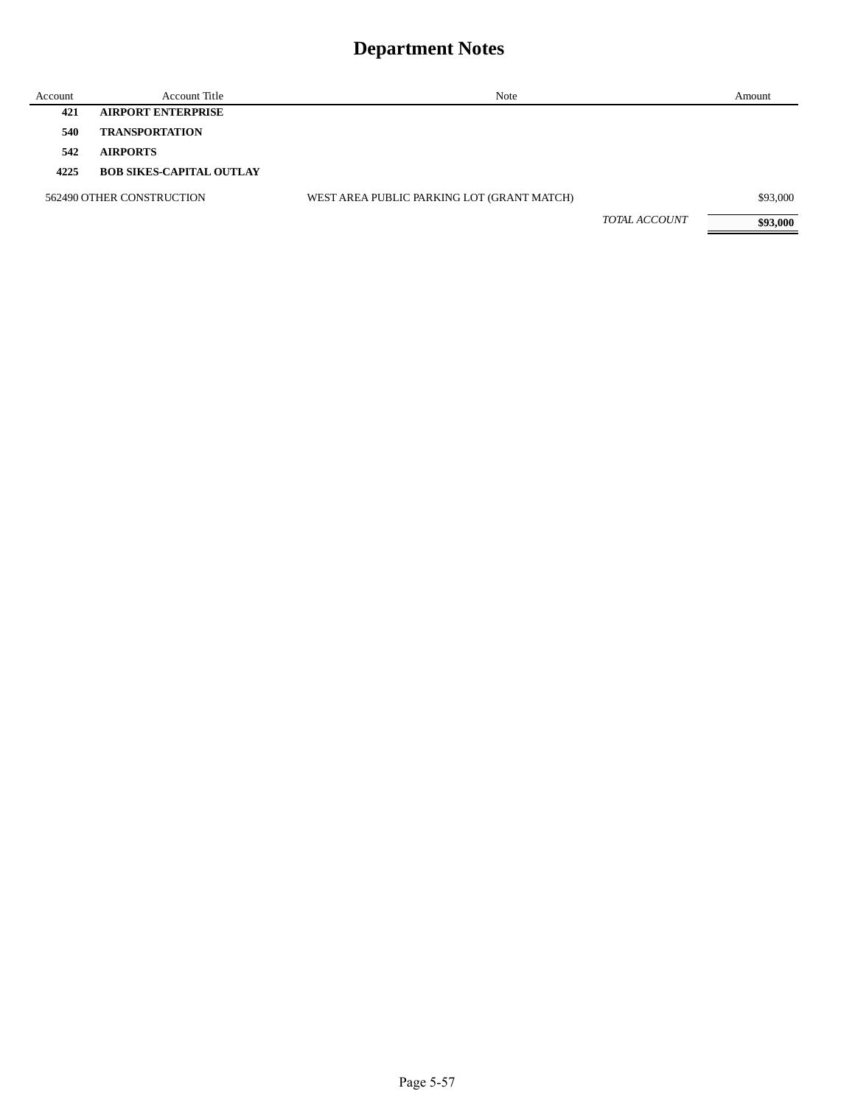| Account | Account Title                   | Note                                       |               | Amount   |
|---------|---------------------------------|--------------------------------------------|---------------|----------|
| 421     | <b>AIRPORT ENTERPRISE</b>       |                                            |               |          |
| 540     | <b>TRANSPORTATION</b>           |                                            |               |          |
| 542     | <b>AIRPORTS</b>                 |                                            |               |          |
| 4225    | <b>BOB SIKES-CAPITAL OUTLAY</b> |                                            |               |          |
|         | 562490 OTHER CONSTRUCTION       | WEST AREA PUBLIC PARKING LOT (GRANT MATCH) |               | \$93,000 |
|         |                                 |                                            | TOTAL ACCOUNT | \$93,000 |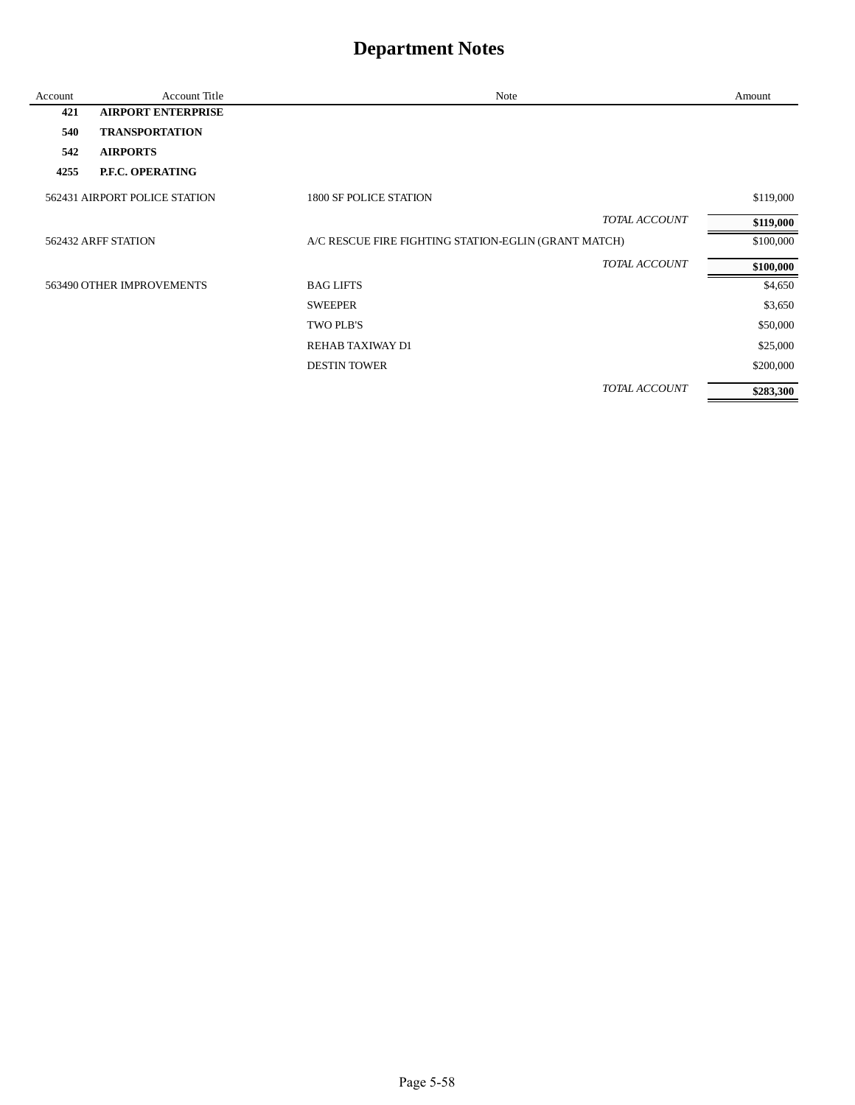| Account | Account Title                 | Note                                                 | Amount    |
|---------|-------------------------------|------------------------------------------------------|-----------|
| 421     | <b>AIRPORT ENTERPRISE</b>     |                                                      |           |
| 540     | <b>TRANSPORTATION</b>         |                                                      |           |
| 542     | <b>AIRPORTS</b>               |                                                      |           |
| 4255    | P.F.C. OPERATING              |                                                      |           |
|         | 562431 AIRPORT POLICE STATION | 1800 SF POLICE STATION                               | \$119,000 |
|         |                               | <b>TOTAL ACCOUNT</b>                                 | \$119,000 |
|         | 562432 ARFF STATION           | A/C RESCUE FIRE FIGHTING STATION-EGLIN (GRANT MATCH) | \$100,000 |
|         |                               | TOTAL ACCOUNT                                        | \$100,000 |
|         | 563490 OTHER IMPROVEMENTS     | <b>BAG LIFTS</b>                                     | \$4,650   |
|         |                               | <b>SWEEPER</b>                                       | \$3,650   |
|         |                               | TWO PLB'S                                            | \$50,000  |
|         |                               | REHAB TAXIWAY D1                                     | \$25,000  |
|         |                               | <b>DESTIN TOWER</b>                                  | \$200,000 |
|         |                               | TOTAL ACCOUNT                                        | \$283,300 |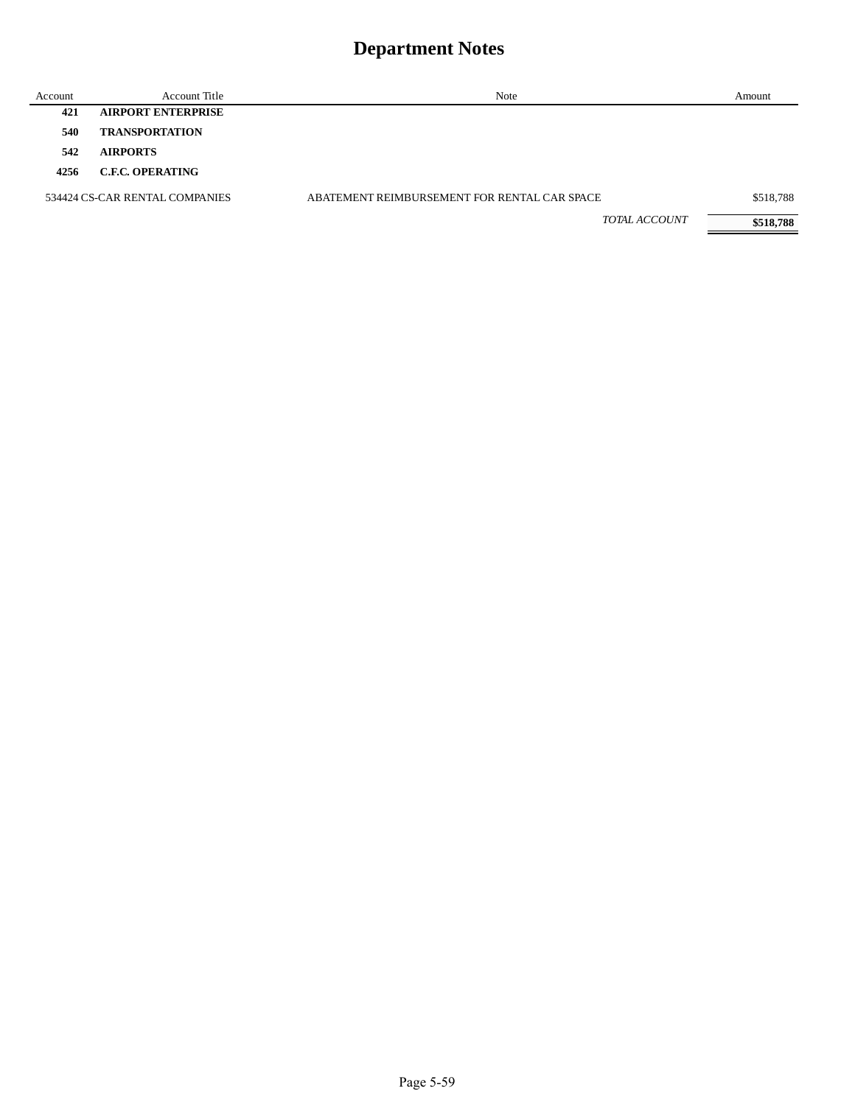| Account | Account Title                  | Note                                         | Amount    |
|---------|--------------------------------|----------------------------------------------|-----------|
| 421     | <b>AIRPORT ENTERPRISE</b>      |                                              |           |
| 540     | <b>TRANSPORTATION</b>          |                                              |           |
| 542     | <b>AIRPORTS</b>                |                                              |           |
| 4256    | <b>C.F.C. OPERATING</b>        |                                              |           |
|         | 534424 CS-CAR RENTAL COMPANIES | ABATEMENT REIMBURSEMENT FOR RENTAL CAR SPACE | \$518,788 |
|         |                                | TOTAL ACCOUNT                                | \$518,788 |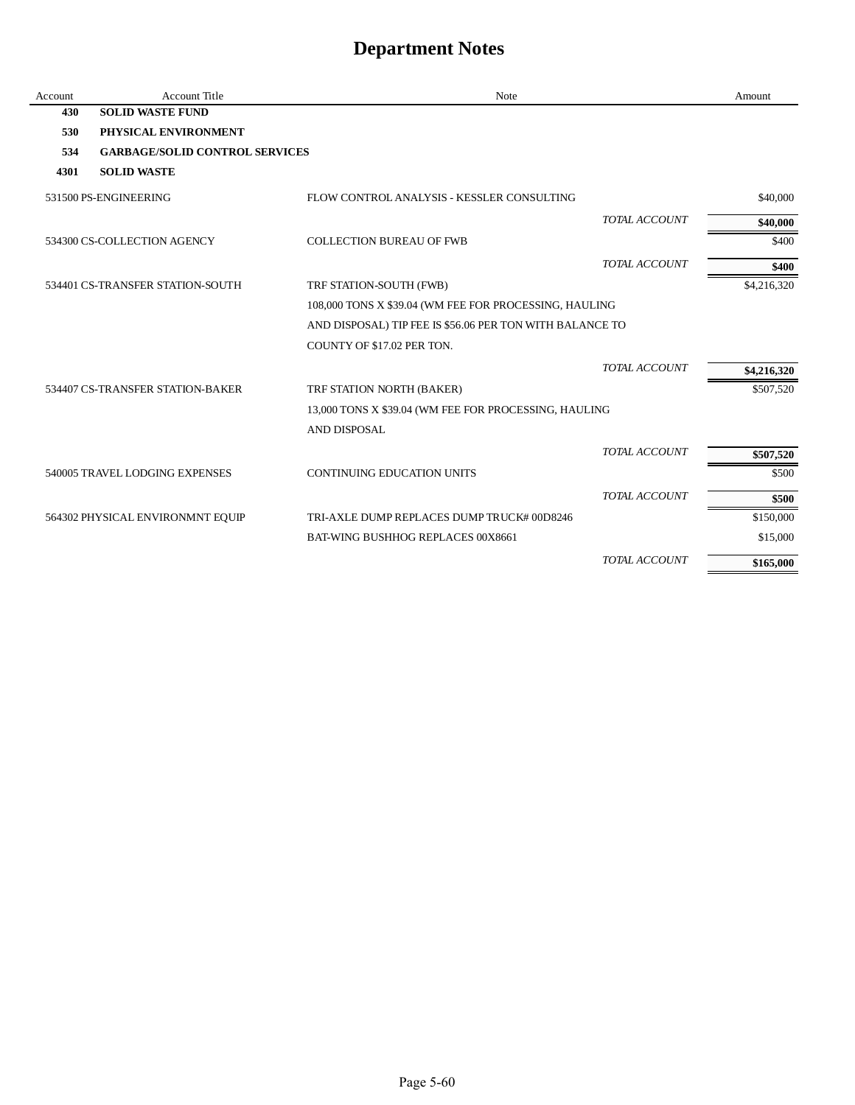| Account | <b>Account Title</b>                  | <b>Note</b>                                              |                      | Amount      |
|---------|---------------------------------------|----------------------------------------------------------|----------------------|-------------|
| 430     | <b>SOLID WASTE FUND</b>               |                                                          |                      |             |
| 530     | PHYSICAL ENVIRONMENT                  |                                                          |                      |             |
| 534     | <b>GARBAGE/SOLID CONTROL SERVICES</b> |                                                          |                      |             |
| 4301    | <b>SOLID WASTE</b>                    |                                                          |                      |             |
|         | 531500 PS-ENGINEERING                 | FLOW CONTROL ANALYSIS - KESSLER CONSULTING               |                      | \$40,000    |
|         |                                       |                                                          | <b>TOTAL ACCOUNT</b> | \$40,000    |
|         | 534300 CS-COLLECTION AGENCY           | <b>COLLECTION BUREAU OF FWB</b>                          |                      | \$400       |
|         |                                       |                                                          | TOTAL ACCOUNT        | \$400       |
|         | 534401 CS-TRANSFER STATION-SOUTH      | TRF STATION-SOUTH (FWB)                                  |                      | \$4,216,320 |
|         |                                       | 108,000 TONS X \$39.04 (WM FEE FOR PROCESSING, HAULING   |                      |             |
|         |                                       | AND DISPOSAL) TIP FEE IS \$56.06 PER TON WITH BALANCE TO |                      |             |
|         |                                       | COUNTY OF \$17.02 PER TON.                               |                      |             |
|         |                                       |                                                          | TOTAL ACCOUNT        | \$4,216,320 |
|         | 534407 CS-TRANSFER STATION-BAKER      | TRF STATION NORTH (BAKER)                                |                      | \$507,520   |
|         |                                       | 13,000 TONS X \$39.04 (WM FEE FOR PROCESSING, HAULING    |                      |             |
|         |                                       | AND DISPOSAL                                             |                      |             |
|         |                                       |                                                          | TOTAL ACCOUNT        | \$507,520   |
|         | 540005 TRAVEL LODGING EXPENSES        | <b>CONTINUING EDUCATION UNITS</b>                        |                      | \$500       |
|         |                                       |                                                          | TOTAL ACCOUNT        | \$500       |
|         | 564302 PHYSICAL ENVIRONMNT EQUIP      | TRI-AXLE DUMP REPLACES DUMP TRUCK# 00D8246               |                      | \$150,000   |
|         |                                       | BAT-WING BUSHHOG REPLACES 00X8661                        |                      | \$15,000    |
|         |                                       |                                                          | TOTAL ACCOUNT        | \$165,000   |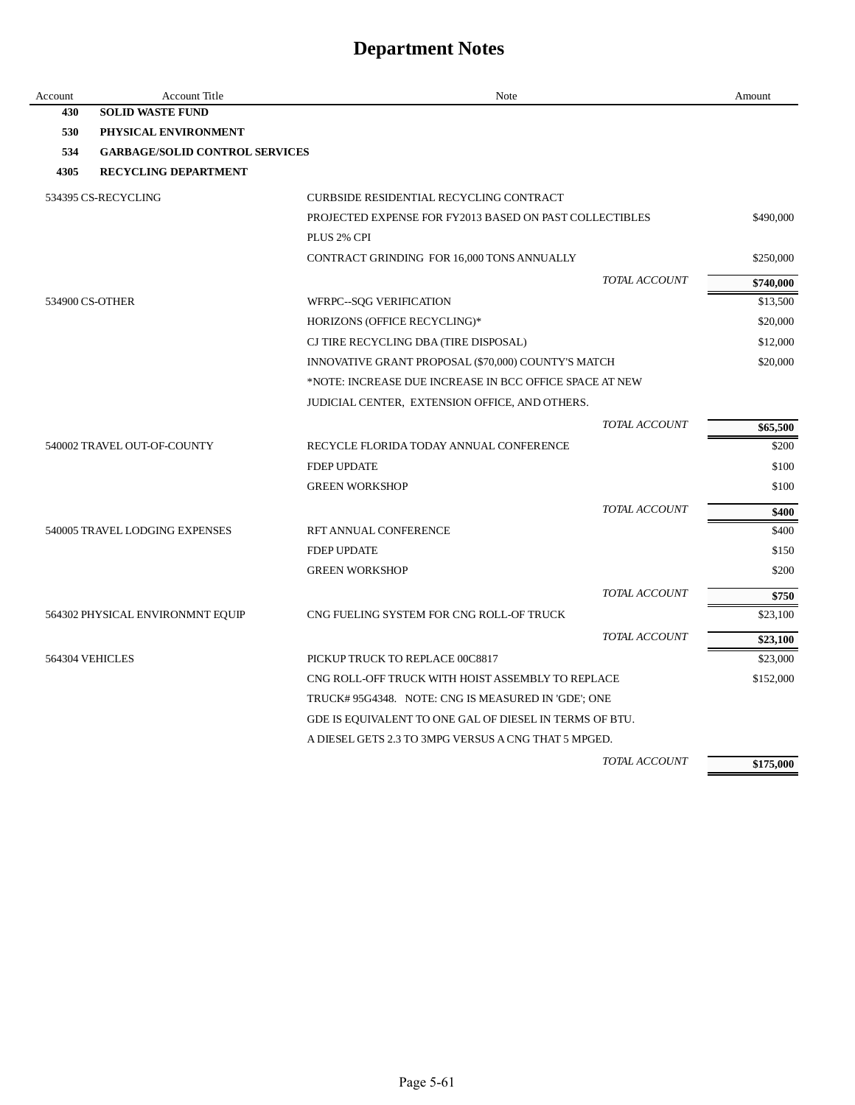| Account         | <b>Account Title</b>                  | Note                                                    |               | Amount    |
|-----------------|---------------------------------------|---------------------------------------------------------|---------------|-----------|
| 430             | <b>SOLID WASTE FUND</b>               |                                                         |               |           |
| 530             | PHYSICAL ENVIRONMENT                  |                                                         |               |           |
| 534             | <b>GARBAGE/SOLID CONTROL SERVICES</b> |                                                         |               |           |
| 4305            | <b>RECYCLING DEPARTMENT</b>           |                                                         |               |           |
|                 | 534395 CS-RECYCLING                   | CURBSIDE RESIDENTIAL RECYCLING CONTRACT                 |               |           |
|                 |                                       | PROJECTED EXPENSE FOR FY2013 BASED ON PAST COLLECTIBLES |               | \$490,000 |
|                 |                                       | PLUS 2% CPI                                             |               |           |
|                 |                                       | CONTRACT GRINDING FOR 16,000 TONS ANNUALLY              |               | \$250,000 |
|                 |                                       |                                                         | TOTAL ACCOUNT | \$740,000 |
| 534900 CS-OTHER |                                       | WFRPC--SQG VERIFICATION                                 |               | \$13,500  |
|                 |                                       | HORIZONS (OFFICE RECYCLING)*                            |               | \$20,000  |
|                 |                                       | CJ TIRE RECYCLING DBA (TIRE DISPOSAL)                   |               | \$12,000  |
|                 |                                       | INNOVATIVE GRANT PROPOSAL (\$70,000) COUNTY'S MATCH     |               | \$20,000  |
|                 |                                       | *NOTE: INCREASE DUE INCREASE IN BCC OFFICE SPACE AT NEW |               |           |
|                 |                                       | JUDICIAL CENTER, EXTENSION OFFICE, AND OTHERS.          |               |           |
|                 |                                       |                                                         | TOTAL ACCOUNT | \$65,500  |
|                 | 540002 TRAVEL OUT-OF-COUNTY           | RECYCLE FLORIDA TODAY ANNUAL CONFERENCE                 |               | \$200     |
|                 |                                       | <b>FDEP UPDATE</b>                                      |               | \$100     |
|                 |                                       | <b>GREEN WORKSHOP</b>                                   |               | \$100     |
|                 |                                       |                                                         | TOTAL ACCOUNT | \$400     |
|                 | 540005 TRAVEL LODGING EXPENSES        | RFT ANNUAL CONFERENCE                                   |               | \$400     |
|                 |                                       | <b>FDEP UPDATE</b>                                      |               | \$150     |
|                 |                                       | <b>GREEN WORKSHOP</b>                                   |               | \$200     |
|                 |                                       |                                                         | TOTAL ACCOUNT | \$750     |
|                 | 564302 PHYSICAL ENVIRONMNT EQUIP      | CNG FUELING SYSTEM FOR CNG ROLL-OF TRUCK                |               | \$23,100  |
|                 |                                       |                                                         | TOTAL ACCOUNT | \$23,100  |
| 564304 VEHICLES |                                       | PICKUP TRUCK TO REPLACE 00C8817                         |               | \$23,000  |
|                 |                                       | CNG ROLL-OFF TRUCK WITH HOIST ASSEMBLY TO REPLACE       |               | \$152,000 |
|                 |                                       | TRUCK#95G4348. NOTE: CNG IS MEASURED IN 'GDE'; ONE      |               |           |
|                 |                                       | GDE IS EQUIVALENT TO ONE GAL OF DIESEL IN TERMS OF BTU. |               |           |
|                 |                                       | A DIESEL GETS 2.3 TO 3MPG VERSUS A CNG THAT 5 MPGED.    |               |           |
|                 |                                       |                                                         | TOTAL ACCOUNT | \$175,000 |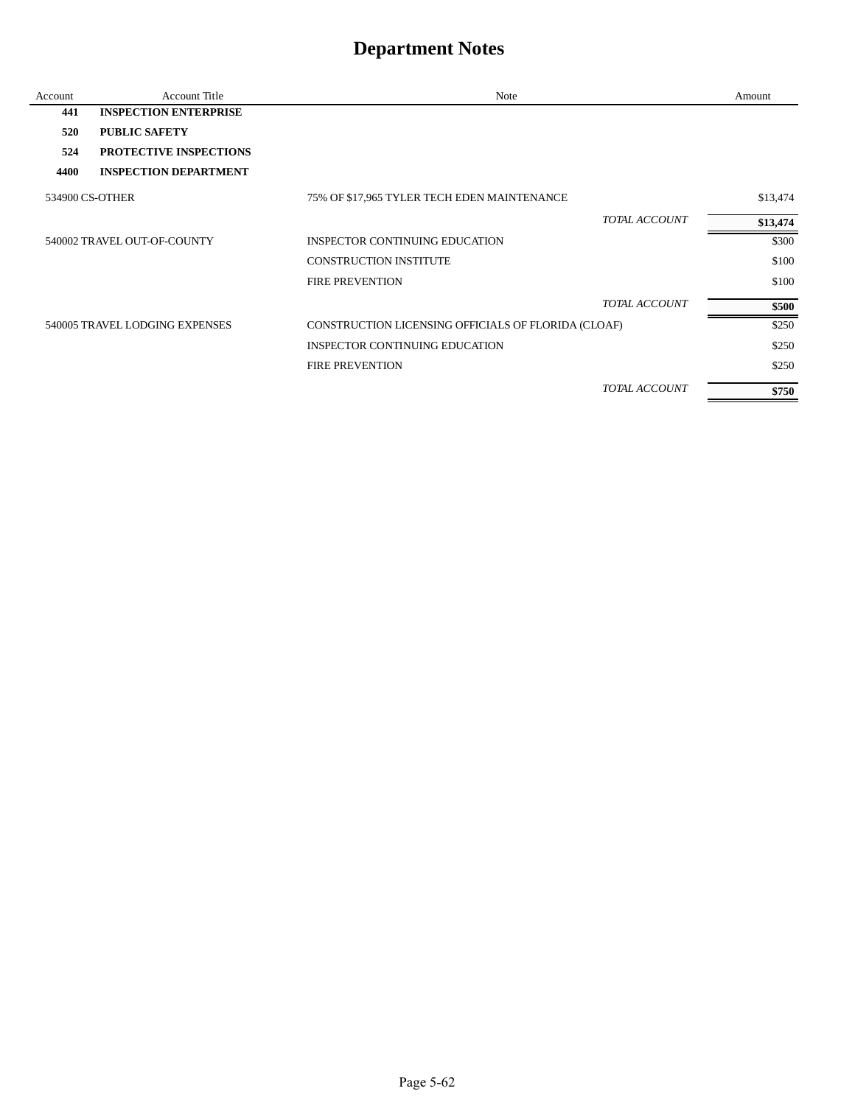| Account | <b>Account Title</b>           | Note                                                | Amount   |
|---------|--------------------------------|-----------------------------------------------------|----------|
| 441     | <b>INSPECTION ENTERPRISE</b>   |                                                     |          |
| 520     | <b>PUBLIC SAFETY</b>           |                                                     |          |
| 524     | PROTECTIVE INSPECTIONS         |                                                     |          |
| 4400    | <b>INSPECTION DEPARTMENT</b>   |                                                     |          |
|         | 534900 CS-OTHER                | 75% OF \$17,965 TYLER TECH EDEN MAINTENANCE         | \$13,474 |
|         |                                | TOTAL ACCOUNT                                       | \$13,474 |
|         | 540002 TRAVEL OUT-OF-COUNTY    | INSPECTOR CONTINUING EDUCATION                      | \$300    |
|         |                                | <b>CONSTRUCTION INSTITUTE</b>                       | \$100    |
|         |                                | <b>FIRE PREVENTION</b>                              | \$100    |
|         |                                | TOTAL ACCOUNT                                       | \$500    |
|         | 540005 TRAVEL LODGING EXPENSES | CONSTRUCTION LICENSING OFFICIALS OF FLORIDA (CLOAF) | \$250    |
|         |                                | <b>INSPECTOR CONTINUING EDUCATION</b>               | \$250    |
|         |                                | <b>FIRE PREVENTION</b>                              | \$250    |
|         |                                | TOTAL ACCOUNT                                       | \$750    |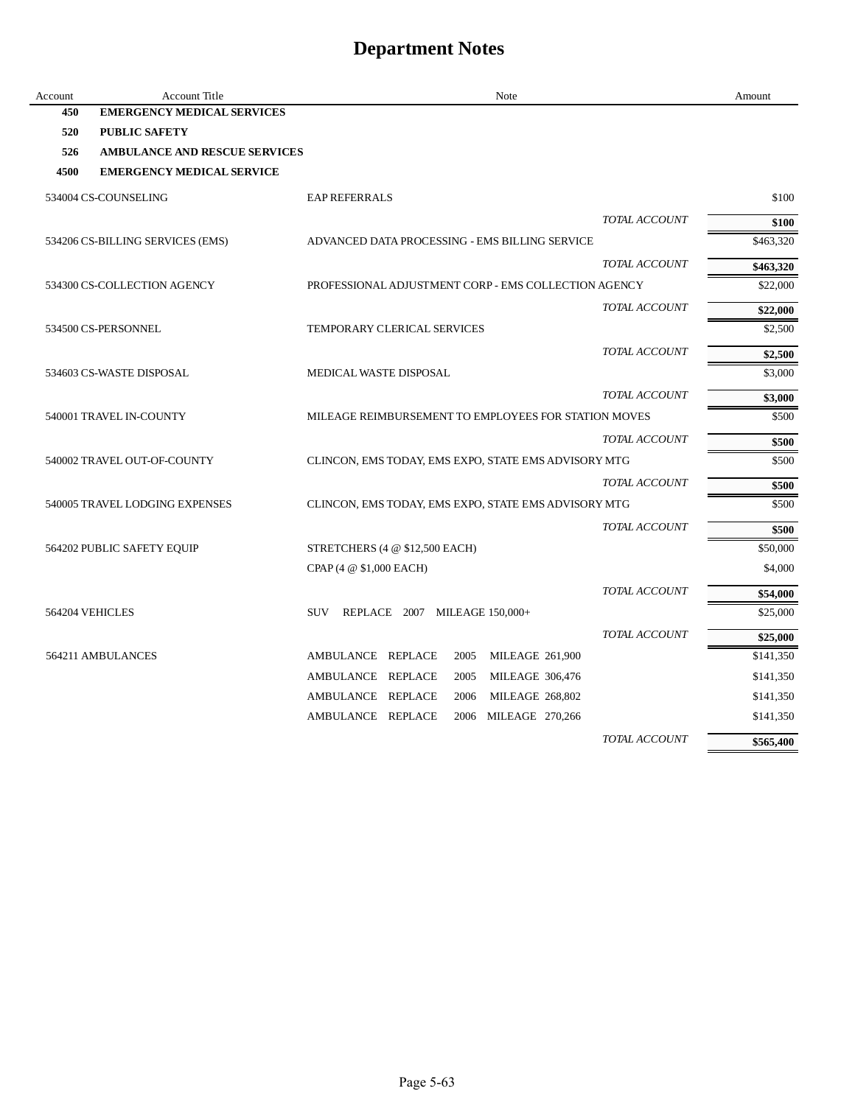| Account | Account Title                        | Note                                                 | Amount    |
|---------|--------------------------------------|------------------------------------------------------|-----------|
| 450     | <b>EMERGENCY MEDICAL SERVICES</b>    |                                                      |           |
| 520     | <b>PUBLIC SAFETY</b>                 |                                                      |           |
| 526     | <b>AMBULANCE AND RESCUE SERVICES</b> |                                                      |           |
| 4500    | <b>EMERGENCY MEDICAL SERVICE</b>     |                                                      |           |
|         | 534004 CS-COUNSELING                 | <b>EAP REFERRALS</b>                                 | \$100     |
|         |                                      | TOTAL ACCOUNT                                        | \$100     |
|         | 534206 CS-BILLING SERVICES (EMS)     | ADVANCED DATA PROCESSING - EMS BILLING SERVICE       | \$463,320 |
|         |                                      | TOTAL ACCOUNT                                        | \$463,320 |
|         | 534300 CS-COLLECTION AGENCY          | PROFESSIONAL ADJUSTMENT CORP - EMS COLLECTION AGENCY | \$22,000  |
|         |                                      | TOTAL ACCOUNT                                        | \$22,000  |
|         | 534500 CS-PERSONNEL                  | <b>TEMPORARY CLERICAL SERVICES</b>                   | \$2,500   |
|         |                                      | TOTAL ACCOUNT                                        | \$2,500   |
|         | 534603 CS-WASTE DISPOSAL             | MEDICAL WASTE DISPOSAL                               | \$3,000   |
|         |                                      | TOTAL ACCOUNT                                        | \$3,000   |
|         | 540001 TRAVEL IN-COUNTY              | MILEAGE REIMBURSEMENT TO EMPLOYEES FOR STATION MOVES | \$500     |
|         |                                      | TOTAL ACCOUNT                                        | \$500     |
|         | 540002 TRAVEL OUT-OF-COUNTY          | CLINCON, EMS TODAY, EMS EXPO, STATE EMS ADVISORY MTG | \$500     |
|         |                                      | TOTAL ACCOUNT                                        | \$500     |
|         | 540005 TRAVEL LODGING EXPENSES       | CLINCON, EMS TODAY, EMS EXPO, STATE EMS ADVISORY MTG | \$500     |
|         |                                      | TOTAL ACCOUNT                                        | \$500     |
|         | 564202 PUBLIC SAFETY EQUIP           | STRETCHERS $(4 \otimes $12,500$ EACH)                | \$50,000  |
|         |                                      | CPAP (4 @ \$1,000 EACH)                              | \$4,000   |
|         |                                      | TOTAL ACCOUNT                                        | \$54,000  |
|         | 564204 VEHICLES                      | SUV REPLACE 2007 MILEAGE 150,000+                    | \$25,000  |
|         |                                      | TOTAL ACCOUNT                                        | \$25,000  |
|         | 564211 AMBULANCES                    | AMBULANCE REPLACE<br>2005<br><b>MILEAGE 261,900</b>  | \$141,350 |
|         |                                      | AMBULANCE REPLACE<br>2005<br><b>MILEAGE 306,476</b>  | \$141,350 |
|         |                                      | AMBULANCE REPLACE<br>2006<br><b>MILEAGE 268,802</b>  | \$141,350 |
|         |                                      | AMBULANCE REPLACE<br>2006 MILEAGE 270,266            | \$141,350 |
|         |                                      | TOTAL ACCOUNT                                        | \$565,400 |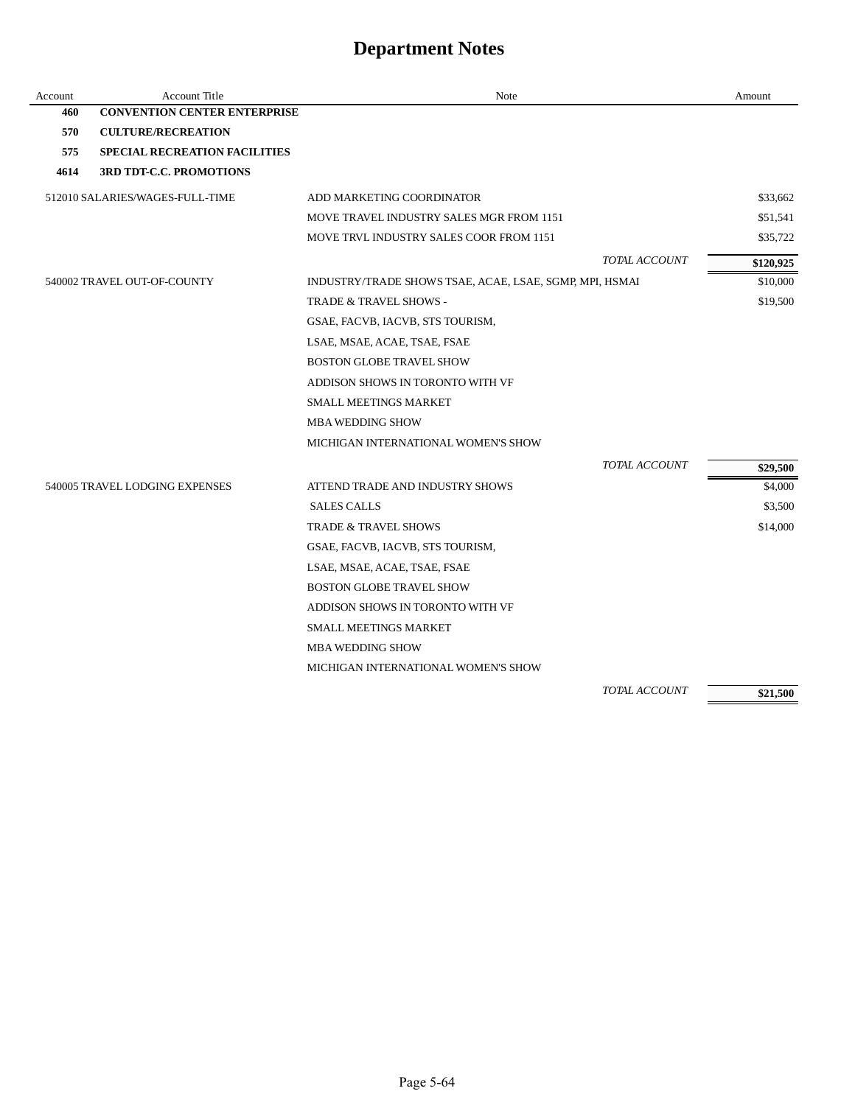| Account | <b>Account Title</b>                 | Note                                                    |               | Amount    |
|---------|--------------------------------------|---------------------------------------------------------|---------------|-----------|
| 460     | <b>CONVENTION CENTER ENTERPRISE</b>  |                                                         |               |           |
| 570     | <b>CULTURE/RECREATION</b>            |                                                         |               |           |
| 575     | <b>SPECIAL RECREATION FACILITIES</b> |                                                         |               |           |
| 4614    | <b>3RD TDT-C.C. PROMOTIONS</b>       |                                                         |               |           |
|         | 512010 SALARIES/WAGES-FULL-TIME      | ADD MARKETING COORDINATOR                               |               | \$33,662  |
|         |                                      | MOVE TRAVEL INDUSTRY SALES MGR FROM 1151                |               | \$51,541  |
|         |                                      | MOVE TRVL INDUSTRY SALES COOR FROM 1151                 |               | \$35,722  |
|         |                                      |                                                         | TOTAL ACCOUNT | \$120,925 |
|         | 540002 TRAVEL OUT-OF-COUNTY          | INDUSTRY/TRADE SHOWS TSAE, ACAE, LSAE, SGMP, MPI, HSMAI |               | \$10,000  |
|         |                                      | TRADE & TRAVEL SHOWS -                                  |               | \$19,500  |
|         |                                      | GSAE, FACVB, IACVB, STS TOURISM,                        |               |           |
|         |                                      | LSAE, MSAE, ACAE, TSAE, FSAE                            |               |           |
|         |                                      | <b>BOSTON GLOBE TRAVEL SHOW</b>                         |               |           |
|         |                                      | ADDISON SHOWS IN TORONTO WITH VF                        |               |           |
|         |                                      | <b>SMALL MEETINGS MARKET</b>                            |               |           |
|         |                                      | <b>MBA WEDDING SHOW</b>                                 |               |           |
|         |                                      | MICHIGAN INTERNATIONAL WOMEN'S SHOW                     |               |           |
|         |                                      |                                                         | TOTAL ACCOUNT | \$29,500  |
|         | 540005 TRAVEL LODGING EXPENSES       | ATTEND TRADE AND INDUSTRY SHOWS                         |               | \$4,000   |
|         |                                      | <b>SALES CALLS</b>                                      |               | \$3,500   |
|         |                                      | <b>TRADE &amp; TRAVEL SHOWS</b>                         |               | \$14,000  |
|         |                                      | GSAE, FACVB, IACVB, STS TOURISM,                        |               |           |
|         |                                      | LSAE, MSAE, ACAE, TSAE, FSAE                            |               |           |
|         |                                      | <b>BOSTON GLOBE TRAVEL SHOW</b>                         |               |           |
|         |                                      | ADDISON SHOWS IN TORONTO WITH VF                        |               |           |
|         |                                      | <b>SMALL MEETINGS MARKET</b>                            |               |           |
|         |                                      | <b>MBA WEDDING SHOW</b>                                 |               |           |
|         |                                      | MICHIGAN INTERNATIONAL WOMEN'S SHOW                     |               |           |
|         |                                      |                                                         | TOTAL ACCOUNT | \$21,500  |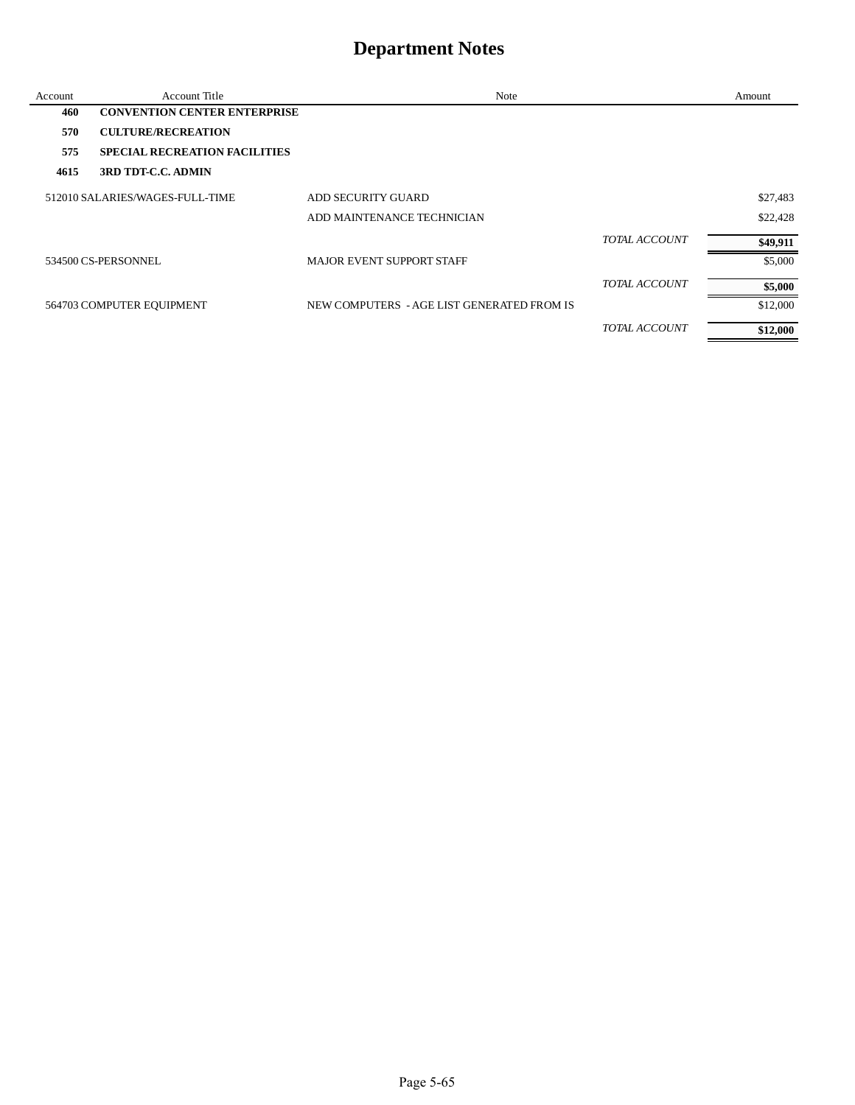| Account | Account Title                        | Note                                       |                      | Amount   |
|---------|--------------------------------------|--------------------------------------------|----------------------|----------|
| 460     | <b>CONVENTION CENTER ENTERPRISE</b>  |                                            |                      |          |
| 570     | <b>CULTURE/RECREATION</b>            |                                            |                      |          |
| 575     | <b>SPECIAL RECREATION FACILITIES</b> |                                            |                      |          |
| 4615    | 3RD TDT-C.C. ADMIN                   |                                            |                      |          |
|         | 512010 SALARIES/WAGES-FULL-TIME      | <b>ADD SECURITY GUARD</b>                  |                      | \$27,483 |
|         |                                      | ADD MAINTENANCE TECHNICIAN                 |                      | \$22,428 |
|         |                                      |                                            | <b>TOTAL ACCOUNT</b> | \$49,911 |
|         | 534500 CS-PERSONNEL                  | <b>MAJOR EVENT SUPPORT STAFF</b>           |                      | \$5,000  |
|         |                                      |                                            | TOTAL ACCOUNT        | \$5,000  |
|         | 564703 COMPUTER EQUIPMENT            | NEW COMPUTERS - AGE LIST GENERATED FROM IS |                      | \$12,000 |
|         |                                      |                                            | TOTAL ACCOUNT        | \$12,000 |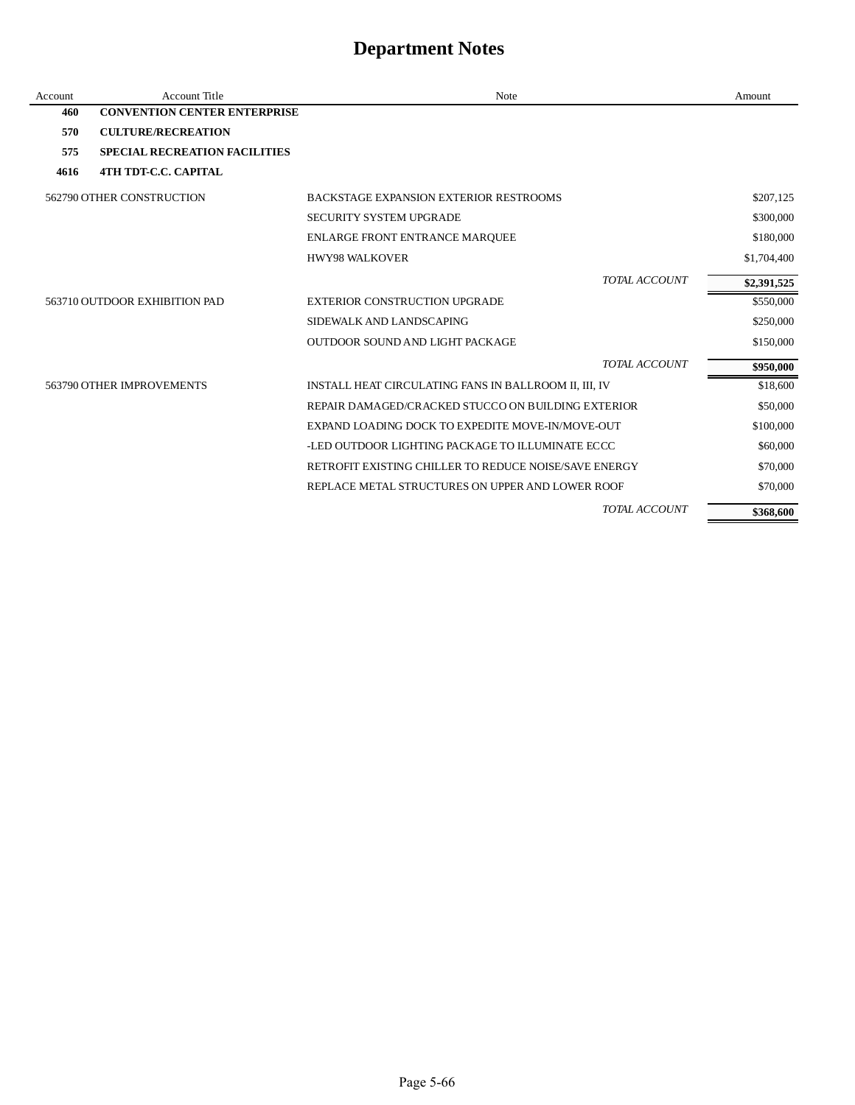| Account | <b>Account Title</b>                 | <b>Note</b>                                           | Amount      |
|---------|--------------------------------------|-------------------------------------------------------|-------------|
| 460     | <b>CONVENTION CENTER ENTERPRISE</b>  |                                                       |             |
| 570     | <b>CULTURE/RECREATION</b>            |                                                       |             |
| 575     | <b>SPECIAL RECREATION FACILITIES</b> |                                                       |             |
| 4616    | <b>4TH TDT-C.C. CAPITAL</b>          |                                                       |             |
|         | 562790 OTHER CONSTRUCTION            | <b>BACKSTAGE EXPANSION EXTERIOR RESTROOMS</b>         | \$207,125   |
|         |                                      | SECURITY SYSTEM UPGRADE                               | \$300,000   |
|         |                                      | ENLARGE FRONT ENTRANCE MARQUEE                        | \$180,000   |
|         |                                      | <b>HWY98 WALKOVER</b>                                 | \$1,704,400 |
|         |                                      | TOTAL ACCOUNT                                         | \$2,391,525 |
|         | 563710 OUTDOOR EXHIBITION PAD        | <b>EXTERIOR CONSTRUCTION UPGRADE</b>                  | \$550,000   |
|         |                                      | SIDEWALK AND LANDSCAPING                              | \$250,000   |
|         |                                      | OUTDOOR SOUND AND LIGHT PACKAGE                       | \$150,000   |
|         |                                      | TOTAL ACCOUNT                                         | \$950,000   |
|         | 563790 OTHER IMPROVEMENTS            | INSTALL HEAT CIRCULATING FANS IN BALLROOM II, III, IV | \$18,600    |
|         |                                      | REPAIR DAMAGED/CRACKED STUCCO ON BUILDING EXTERIOR    | \$50,000    |
|         |                                      | EXPAND LOADING DOCK TO EXPEDITE MOVE-IN/MOVE-OUT      | \$100,000   |
|         |                                      | -LED OUTDOOR LIGHTING PACKAGE TO ILLUMINATE ECCC      | \$60,000    |
|         |                                      | RETROFIT EXISTING CHILLER TO REDUCE NOISE/SAVE ENERGY | \$70,000    |
|         |                                      | REPLACE METAL STRUCTURES ON UPPER AND LOWER ROOF      | \$70,000    |
|         |                                      | TOTAL ACCOUNT                                         | \$368,600   |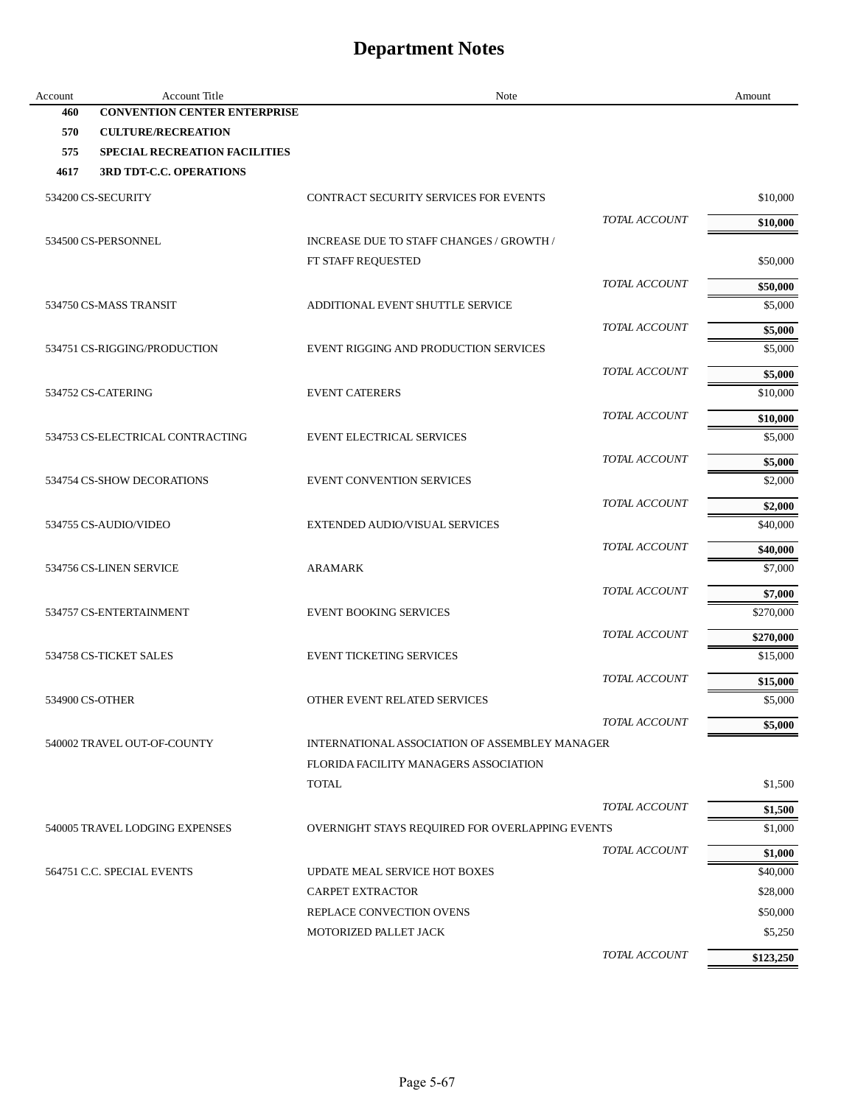| Account | <b>Account Title</b>                 | Note                                            | Amount              |
|---------|--------------------------------------|-------------------------------------------------|---------------------|
| 460     | <b>CONVENTION CENTER ENTERPRISE</b>  |                                                 |                     |
| 570     | <b>CULTURE/RECREATION</b>            |                                                 |                     |
| 575     | <b>SPECIAL RECREATION FACILITIES</b> |                                                 |                     |
| 4617    | <b>3RD TDT-C.C. OPERATIONS</b>       |                                                 |                     |
|         | 534200 CS-SECURITY                   | <b>CONTRACT SECURITY SERVICES FOR EVENTS</b>    | \$10,000            |
|         |                                      | TOTAL ACCOUNT                                   | \$10,000            |
|         | 534500 CS-PERSONNEL                  | INCREASE DUE TO STAFF CHANGES / GROWTH /        |                     |
|         |                                      | FT STAFF REQUESTED                              | \$50,000            |
|         |                                      | TOTAL ACCOUNT                                   | \$50,000            |
|         | 534750 CS-MASS TRANSIT               | ADDITIONAL EVENT SHUTTLE SERVICE                | \$5,000             |
|         |                                      | TOTAL ACCOUNT                                   | \$5,000             |
|         | 534751 CS-RIGGING/PRODUCTION         | EVENT RIGGING AND PRODUCTION SERVICES           | \$5,000             |
|         |                                      | TOTAL ACCOUNT                                   | \$5,000             |
|         | 534752 CS-CATERING                   | <b>EVENT CATERERS</b>                           | \$10,000            |
|         |                                      | TOTAL ACCOUNT                                   | \$10,000            |
|         | 534753 CS-ELECTRICAL CONTRACTING     | <b>EVENT ELECTRICAL SERVICES</b>                | \$5,000             |
|         |                                      | TOTAL ACCOUNT                                   |                     |
|         | 534754 CS-SHOW DECORATIONS           | <b>EVENT CONVENTION SERVICES</b>                | \$5,000<br>\$2,000  |
|         |                                      | TOTAL ACCOUNT                                   |                     |
|         | 534755 CS-AUDIO/VIDEO                | EXTENDED AUDIO/VISUAL SERVICES                  | \$2,000<br>\$40,000 |
|         |                                      |                                                 |                     |
|         |                                      | TOTAL ACCOUNT                                   | \$40,000            |
|         | 534756 CS-LINEN SERVICE              | <b>ARAMARK</b>                                  | \$7,000             |
|         |                                      | TOTAL ACCOUNT                                   | \$7,000             |
|         | 534757 CS-ENTERTAINMENT              | <b>EVENT BOOKING SERVICES</b>                   | \$270,000           |
|         |                                      | TOTAL ACCOUNT                                   | \$270,000           |
|         | 534758 CS-TICKET SALES               | <b>EVENT TICKETING SERVICES</b>                 | \$15,000            |
|         |                                      | TOTAL ACCOUNT                                   | \$15,000            |
|         | 534900 CS-OTHER                      | OTHER EVENT RELATED SERVICES                    | \$5,000             |
|         |                                      | TOTAL ACCOUNT                                   | \$5,000             |
|         | 540002 TRAVEL OUT-OF-COUNTY          | INTERNATIONAL ASSOCIATION OF ASSEMBLEY MANAGER  |                     |
|         |                                      | FLORIDA FACILITY MANAGERS ASSOCIATION           |                     |
|         |                                      | <b>TOTAL</b>                                    | \$1,500             |
|         |                                      | TOTAL ACCOUNT                                   | \$1,500             |
|         | 540005 TRAVEL LODGING EXPENSES       | OVERNIGHT STAYS REQUIRED FOR OVERLAPPING EVENTS | \$1,000             |
|         |                                      | TOTAL ACCOUNT                                   | \$1,000             |
|         | 564751 C.C. SPECIAL EVENTS           | UPDATE MEAL SERVICE HOT BOXES                   | \$40,000            |
|         |                                      | <b>CARPET EXTRACTOR</b>                         | \$28,000            |
|         |                                      | REPLACE CONVECTION OVENS                        | \$50,000            |
|         |                                      | MOTORIZED PALLET JACK                           | \$5,250             |
|         |                                      | TOTAL ACCOUNT                                   | \$123,250           |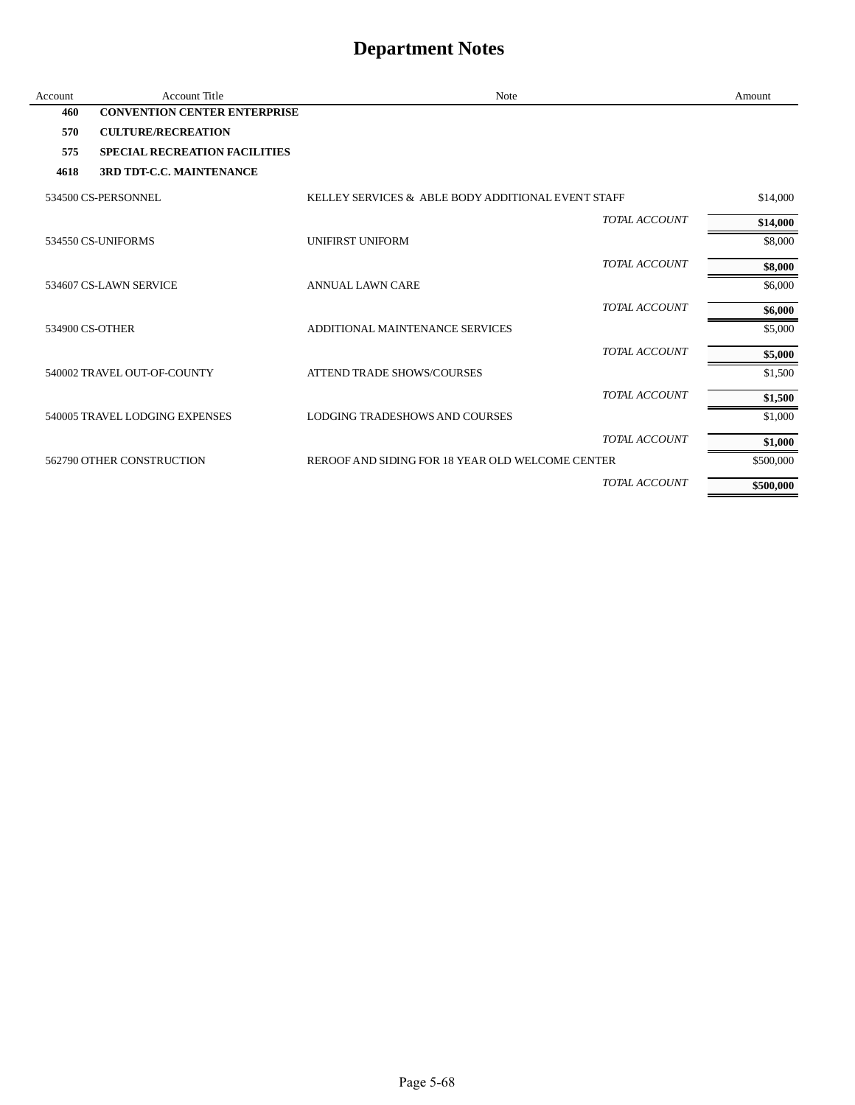| Account         | <b>Account Title</b>                 | Note                                               |                      | Amount    |
|-----------------|--------------------------------------|----------------------------------------------------|----------------------|-----------|
| 460             | <b>CONVENTION CENTER ENTERPRISE</b>  |                                                    |                      |           |
| 570             | <b>CULTURE/RECREATION</b>            |                                                    |                      |           |
| 575             | <b>SPECIAL RECREATION FACILITIES</b> |                                                    |                      |           |
| 4618            | 3RD TDT-C.C. MAINTENANCE             |                                                    |                      |           |
|                 | 534500 CS-PERSONNEL                  | KELLEY SERVICES & ABLE BODY ADDITIONAL EVENT STAFF |                      | \$14,000  |
|                 |                                      |                                                    | <b>TOTAL ACCOUNT</b> | \$14,000  |
|                 | 534550 CS-UNIFORMS                   | <b>UNIFIRST UNIFORM</b>                            |                      | \$8,000   |
|                 |                                      |                                                    | <b>TOTAL ACCOUNT</b> | \$8,000   |
|                 | 534607 CS-LAWN SERVICE               | <b>ANNUAL LAWN CARE</b>                            |                      | \$6,000   |
|                 |                                      |                                                    | TOTAL ACCOUNT        | \$6,000   |
| 534900 CS-OTHER |                                      | ADDITIONAL MAINTENANCE SERVICES                    |                      | \$5,000   |
|                 |                                      |                                                    | TOTAL ACCOUNT        | \$5,000   |
|                 | 540002 TRAVEL OUT-OF-COUNTY          | <b>ATTEND TRADE SHOWS/COURSES</b>                  |                      | \$1,500   |
|                 |                                      |                                                    | TOTAL ACCOUNT        | \$1,500   |
|                 | 540005 TRAVEL LODGING EXPENSES       | LODGING TRADESHOWS AND COURSES                     |                      | \$1,000   |
|                 |                                      |                                                    | TOTAL ACCOUNT        | \$1,000   |
|                 | 562790 OTHER CONSTRUCTION            | REROOF AND SIDING FOR 18 YEAR OLD WELCOME CENTER   |                      | \$500,000 |
|                 |                                      |                                                    | TOTAL ACCOUNT        | \$500,000 |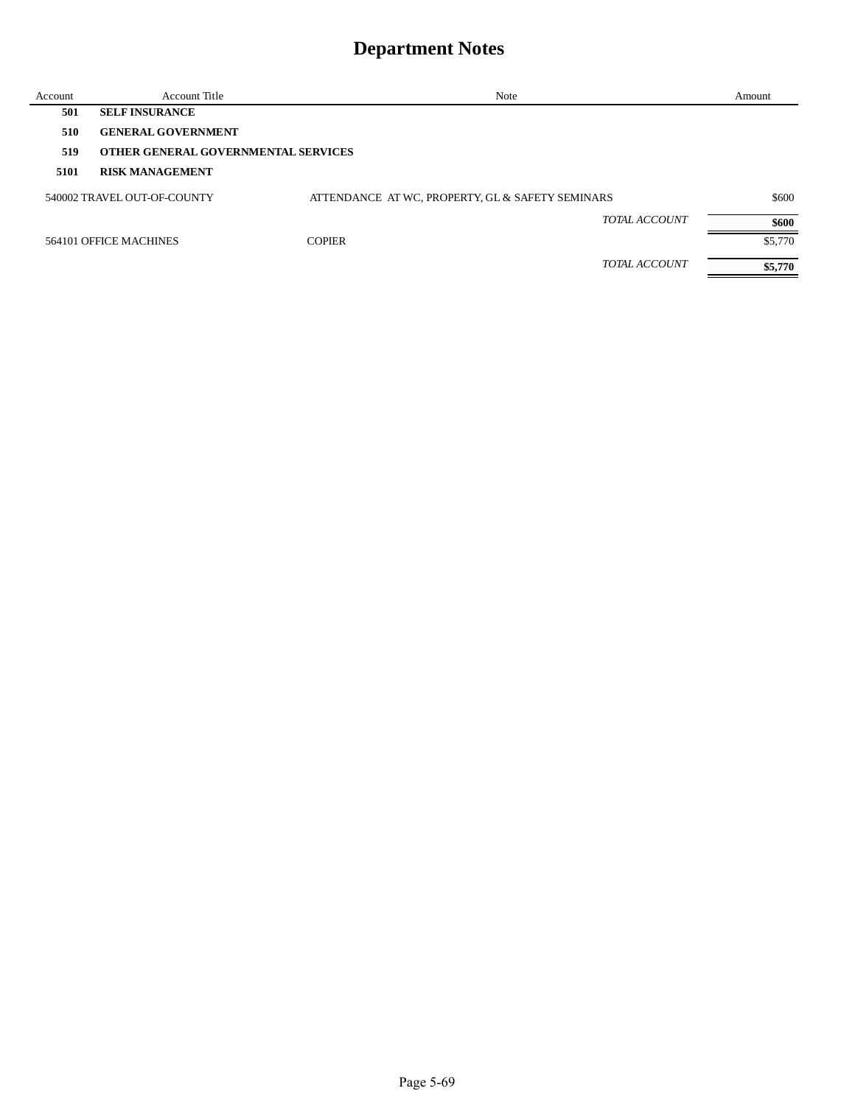| Account | <b>Account Title</b>                       | Note                                             | Amount  |
|---------|--------------------------------------------|--------------------------------------------------|---------|
| 501     | <b>SELF INSURANCE</b>                      |                                                  |         |
| 510     | <b>GENERAL GOVERNMENT</b>                  |                                                  |         |
| 519     | <b>OTHER GENERAL GOVERNMENTAL SERVICES</b> |                                                  |         |
| 5101    | <b>RISK MANAGEMENT</b>                     |                                                  |         |
|         | 540002 TRAVEL OUT-OF-COUNTY                | ATTENDANCE AT WC, PROPERTY, GL & SAFETY SEMINARS | \$600   |
|         |                                            | TOTAL ACCOUNT                                    | \$600   |
|         | 564101 OFFICE MACHINES                     | <b>COPIER</b>                                    | \$5,770 |
|         |                                            | TOTAL ACCOUNT                                    | \$5,770 |